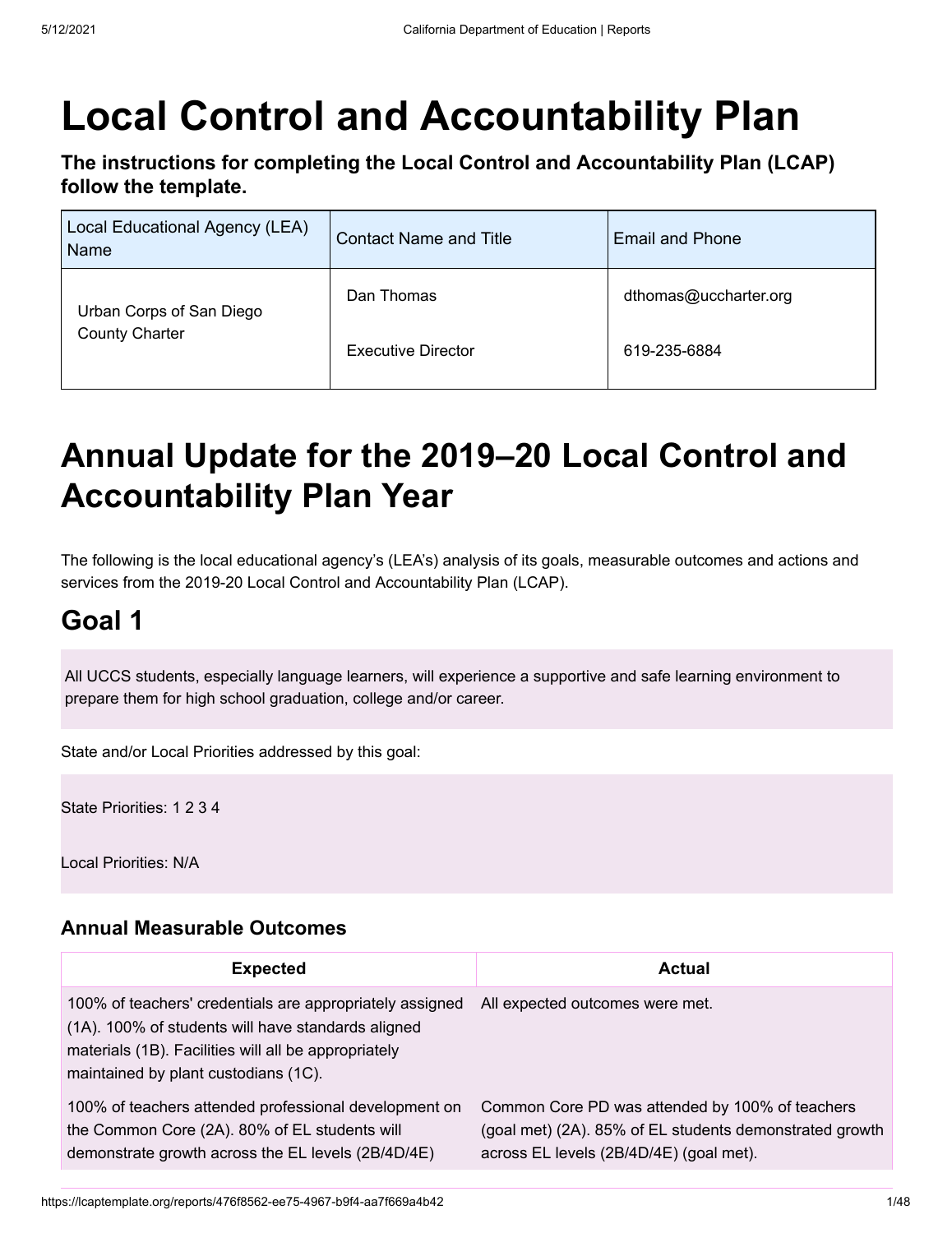## **Local Control and Accountability Plan**

**The instructions for completing the Local Control and Accountability Plan (LCAP) follow the template.**

| Local Educational Agency (LEA)<br>Name | <b>Contact Name and Title</b> | Email and Phone       |
|----------------------------------------|-------------------------------|-----------------------|
| Urban Corps of San Diego               | Dan Thomas                    | dthomas@uccharter.org |
| <b>County Charter</b>                  | <b>Executive Director</b>     | 619-235-6884          |

### **Annual Update for the 2019–20 Local Control and Accountability Plan Year**

The following is the local educational agency's (LEA's) analysis of its goals, measurable outcomes and actions and services from the 2019-20 Local Control and Accountability Plan (LCAP).

#### **Goal 1**

All UCCS students, especially language learners, will experience a supportive and safe learning environment to prepare them for high school graduation, college and/or career.

State and/or Local Priorities addressed by this goal:

State Priorities: 1 2 3 4

Local Priorities: N/A

#### **Annual Measurable Outcomes**

| <b>Expected</b>                                                                                                                                                                                                | <b>Actual</b>                                                                                                                                         |
|----------------------------------------------------------------------------------------------------------------------------------------------------------------------------------------------------------------|-------------------------------------------------------------------------------------------------------------------------------------------------------|
| 100% of teachers' credentials are appropriately assigned<br>(1A). 100% of students will have standards aligned<br>materials (1B). Facilities will all be appropriately<br>maintained by plant custodians (1C). | All expected outcomes were met.                                                                                                                       |
| 100% of teachers attended professional development on<br>the Common Core (2A). 80% of EL students will<br>demonstrate growth across the EL levels (2B/4D/4E)                                                   | Common Core PD was attended by 100% of teachers<br>(goal met) (2A). 85% of EL students demonstrated growth<br>across EL levels (2B/4D/4E) (goal met). |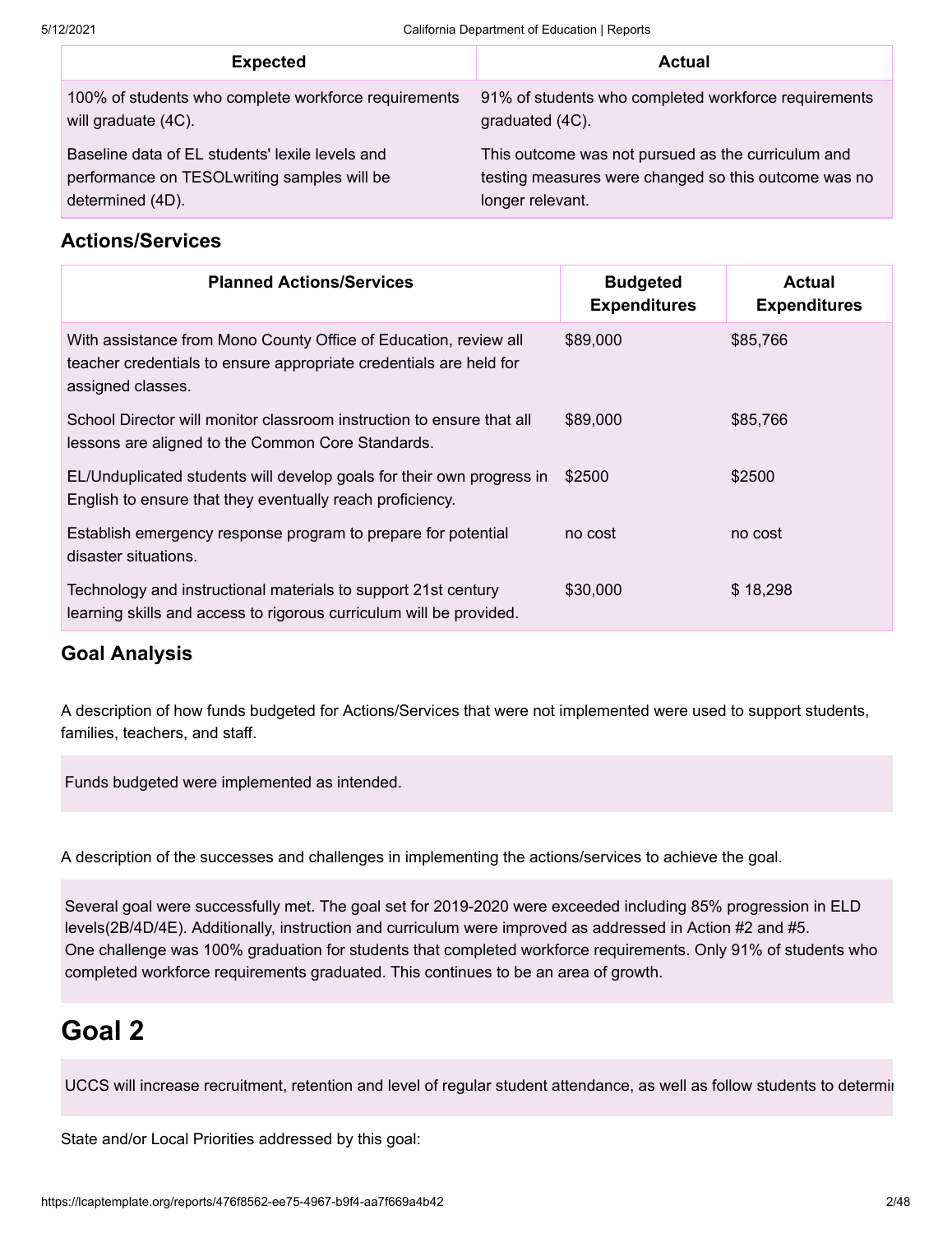| <b>Expected</b>                                      | <b>Actual</b>                                        |
|------------------------------------------------------|------------------------------------------------------|
| 100% of students who complete workforce requirements | 91% of students who completed workforce requirements |
| will graduate (4C).                                  | graduated (4C).                                      |
| Baseline data of EL students' lexile levels and      | This outcome was not pursued as the curriculum and   |
| performance on TESOLwriting samples will be          | testing measures were changed so this outcome was no |
| determined (4D).                                     | longer relevant.                                     |

#### **Actions/Services**

| <b>Planned Actions/Services</b>                                                                                                                             | <b>Budgeted</b><br><b>Expenditures</b> | Actual<br><b>Expenditures</b> |
|-------------------------------------------------------------------------------------------------------------------------------------------------------------|----------------------------------------|-------------------------------|
| With assistance from Mono County Office of Education, review all<br>teacher credentials to ensure appropriate credentials are held for<br>assigned classes. | \$89,000                               | \$85,766                      |
| School Director will monitor classroom instruction to ensure that all<br>lessons are aligned to the Common Core Standards.                                  | \$89,000                               | \$85,766                      |
| EL/Unduplicated students will develop goals for their own progress in<br>English to ensure that they eventually reach proficiency.                          | \$2500                                 | \$2500                        |
| Establish emergency response program to prepare for potential<br>disaster situations.                                                                       | no cost                                | no cost                       |
| Technology and instructional materials to support 21st century<br>learning skills and access to rigorous curriculum will be provided.                       | \$30,000                               | \$18,298                      |

#### **Goal Analysis**

A description of how funds budgeted for Actions/Services that were not implemented were used to support students, families, teachers, and staff.

Funds budgeted were implemented as intended.

A description of the successes and challenges in implementing the actions/services to achieve the goal.

Several goal were successfully met. The goal set for 2019-2020 were exceeded including 85% progression in ELD levels(2B/4D/4E). Additionally, instruction and curriculum were improved as addressed in Action #2 and #5. One challenge was 100% graduation for students that completed workforce requirements. Only 91% of students who completed workforce requirements graduated. This continues to be an area of growth.

#### **Goal 2**

UCCS will increase recruitment, retention and level of regular student attendance, as well as follow students to determin

State and/or Local Priorities addressed by this goal: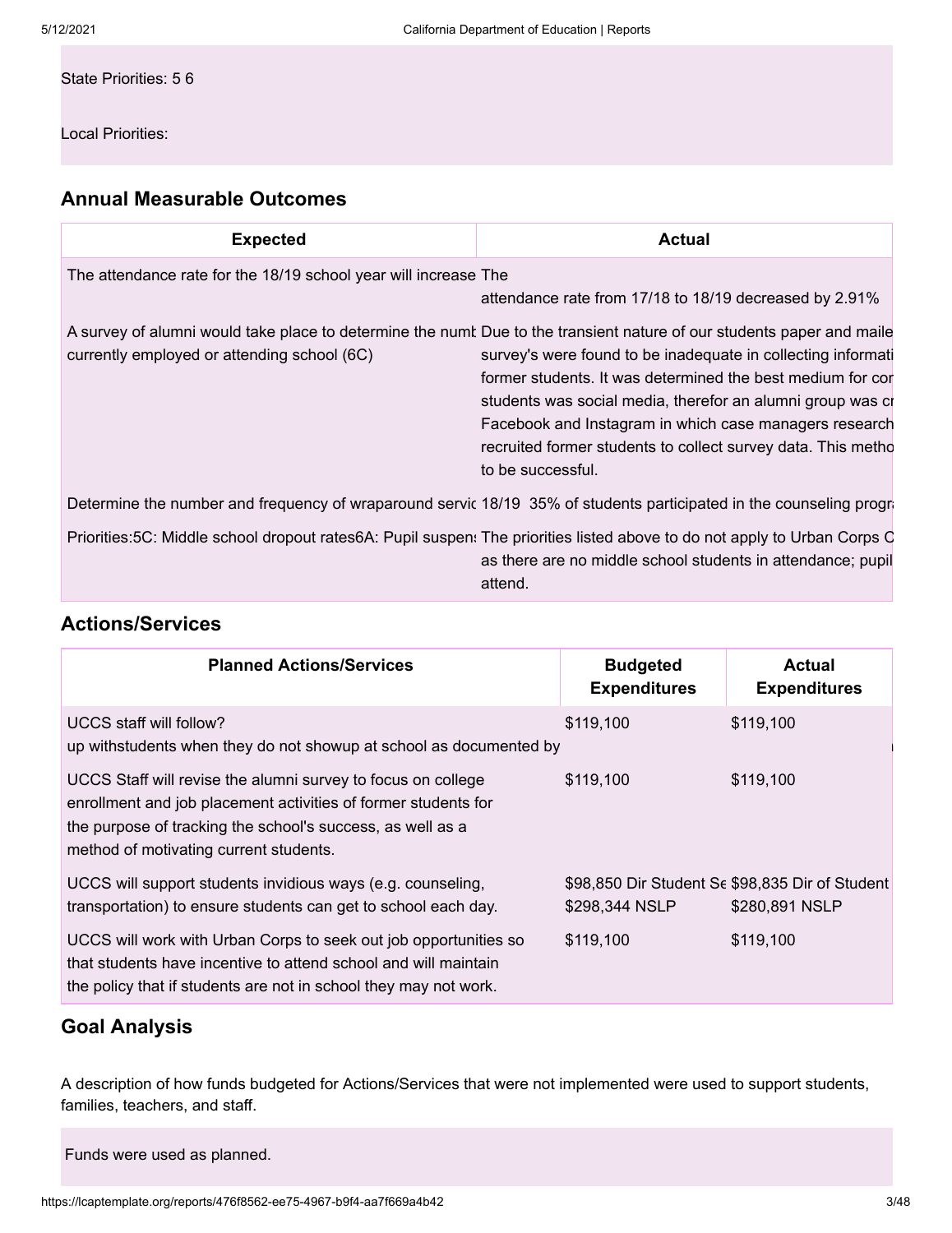State Priorities: 5 6

Local Priorities:

#### **Annual Measurable Outcomes**

| <b>Expected</b>                                                 | Actual                                                                                                                                                                                                                                                                                                                                                                                                                                                           |
|-----------------------------------------------------------------|------------------------------------------------------------------------------------------------------------------------------------------------------------------------------------------------------------------------------------------------------------------------------------------------------------------------------------------------------------------------------------------------------------------------------------------------------------------|
| The attendance rate for the 18/19 school year will increase The | attendance rate from 17/18 to 18/19 decreased by 2.91%                                                                                                                                                                                                                                                                                                                                                                                                           |
| currently employed or attending school (6C)                     | A survey of alumni would take place to determine the numt Due to the transient nature of our students paper and maile<br>survey's were found to be inadequate in collecting informati<br>former students. It was determined the best medium for cor<br>students was social media, therefor an alumni group was cr<br>Facebook and Instagram in which case managers research<br>recruited former students to collect survey data. This metho<br>to be successful. |
|                                                                 | Determine the number and frequency of wraparound servic 18/19 35% of students participated in the counseling progra                                                                                                                                                                                                                                                                                                                                              |
|                                                                 | Priorities:5C: Middle school dropout rates6A: Pupil suspen: The priorities listed above to do not apply to Urban Corps C<br>as there are no middle school students in attendance; pupil<br>attend.                                                                                                                                                                                                                                                               |

#### **Actions/Services**

| <b>Planned Actions/Services</b>                                                                                                                                                                                                        | <b>Budgeted</b><br><b>Expenditures</b> | Actual<br><b>Expenditures</b>                                     |
|----------------------------------------------------------------------------------------------------------------------------------------------------------------------------------------------------------------------------------------|----------------------------------------|-------------------------------------------------------------------|
| UCCS staff will follow?<br>up withstudents when they do not showup at school as documented by                                                                                                                                          | \$119,100                              | \$119,100                                                         |
| UCCS Staff will revise the alumni survey to focus on college<br>enrollment and job placement activities of former students for<br>the purpose of tracking the school's success, as well as a<br>method of motivating current students. | \$119,100                              | \$119,100                                                         |
| UCCS will support students invidious ways (e.g. counseling,<br>transportation) to ensure students can get to school each day.                                                                                                          | \$298,344 NSLP                         | \$98,850 Dir Student Sc \$98,835 Dir of Student<br>\$280,891 NSLP |
| UCCS will work with Urban Corps to seek out job opportunities so<br>that students have incentive to attend school and will maintain<br>the policy that if students are not in school they may not work.                                | \$119.100                              | \$119,100                                                         |

#### **Goal Analysis**

A description of how funds budgeted for Actions/Services that were not implemented were used to support students, families, teachers, and staff.

Funds were used as planned.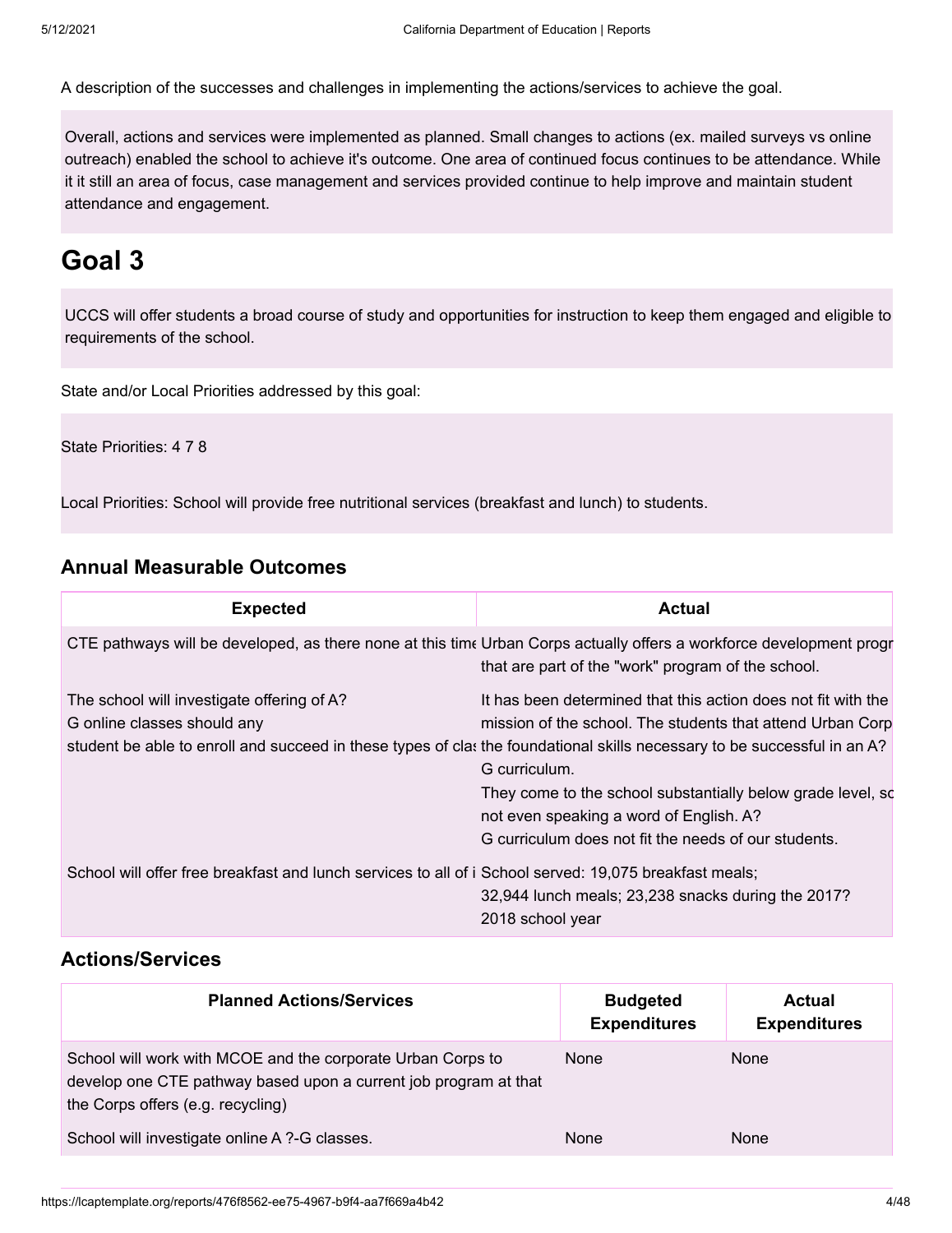A description of the successes and challenges in implementing the actions/services to achieve the goal.

Overall, actions and services were implemented as planned. Small changes to actions (ex. mailed surveys vs online outreach) enabled the school to achieve it's outcome. One area of continued focus continues to be attendance. While it it still an area of focus, case management and services provided continue to help improve and maintain student attendance and engagement.

#### **Goal 3**

UCCS will offer students a broad course of study and opportunities for instruction to keep them engaged and eligible to requirements of the school.

State and/or Local Priorities addressed by this goal:

State Priorities: 4 7 8

Local Priorities: School will provide free nutritional services (breakfast and lunch) to students.

#### **Annual Measurable Outcomes**

| <b>Expected</b>                                                                                        | <b>Actual</b>                                                                                                                                                                                                                                                                                                                                                                                                                              |
|--------------------------------------------------------------------------------------------------------|--------------------------------------------------------------------------------------------------------------------------------------------------------------------------------------------------------------------------------------------------------------------------------------------------------------------------------------------------------------------------------------------------------------------------------------------|
|                                                                                                        | CTE pathways will be developed, as there none at this time Urban Corps actually offers a workforce development progr<br>that are part of the "work" program of the school.                                                                                                                                                                                                                                                                 |
| The school will investigate offering of A?<br>G online classes should any                              | It has been determined that this action does not fit with the<br>mission of the school. The students that attend Urban Corp<br>student be able to enroll and succeed in these types of clas the foundational skills necessary to be successful in an A?<br>G curriculum.<br>They come to the school substantially below grade level, so<br>not even speaking a word of English. A?<br>G curriculum does not fit the needs of our students. |
| School will offer free breakfast and lunch services to all of i School served: 19,075 breakfast meals; | 32,944 lunch meals; 23,238 snacks during the 2017?<br>2018 school year                                                                                                                                                                                                                                                                                                                                                                     |

#### **Actions/Services**

| <b>Planned Actions/Services</b>                                                                                                                                      | <b>Budgeted</b><br><b>Expenditures</b> | <b>Actual</b><br><b>Expenditures</b> |
|----------------------------------------------------------------------------------------------------------------------------------------------------------------------|----------------------------------------|--------------------------------------|
| School will work with MCOE and the corporate Urban Corps to<br>develop one CTE pathway based upon a current job program at that<br>the Corps offers (e.g. recycling) | None                                   | <b>None</b>                          |
| School will investigate online A ?-G classes.                                                                                                                        | None                                   | <b>None</b>                          |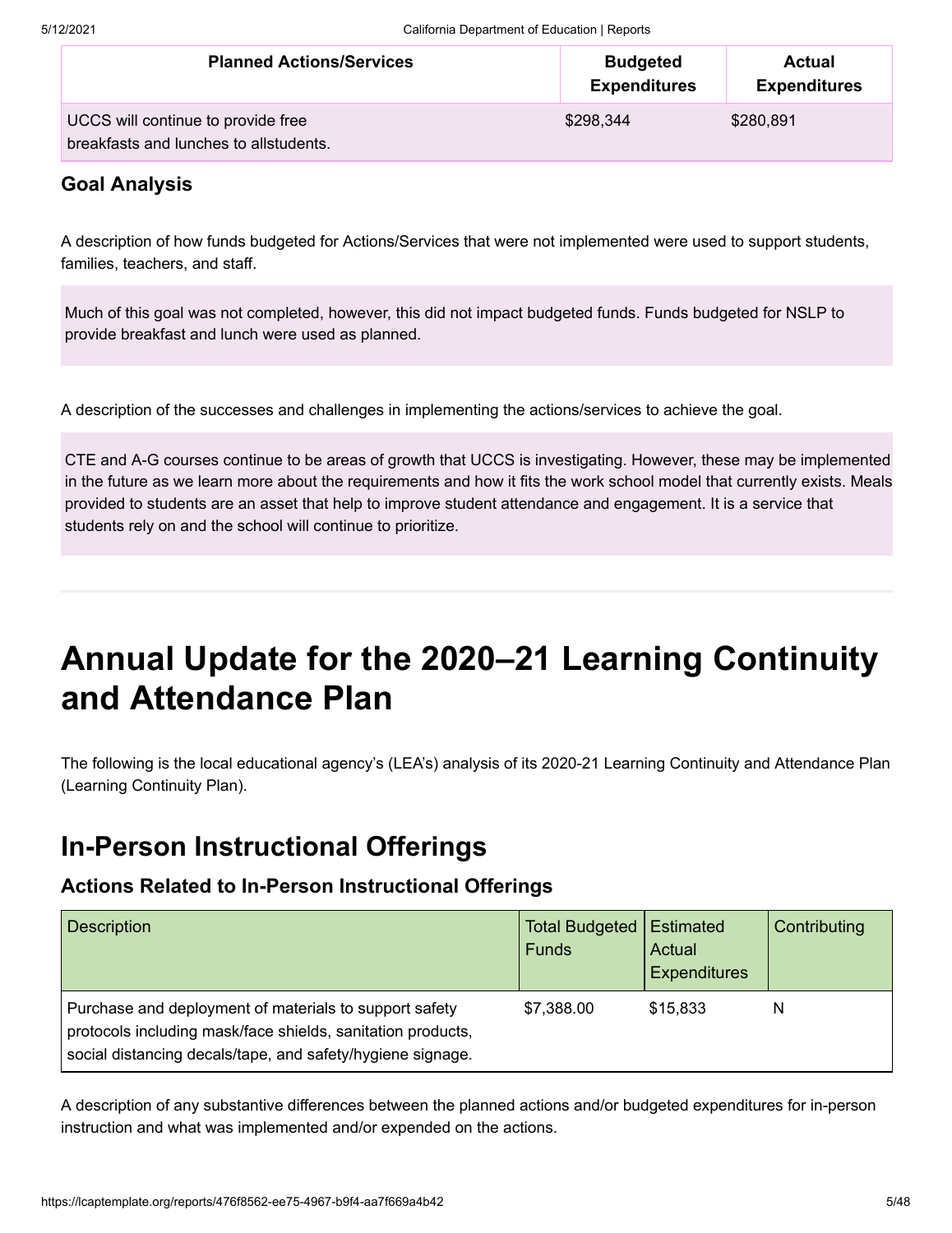| <b>Planned Actions/Services</b>        | <b>Budgeted</b><br><b>Expenditures</b> | Actual<br><b>Expenditures</b> |
|----------------------------------------|----------------------------------------|-------------------------------|
| UCCS will continue to provide free     | \$298,344                              | \$280,891                     |
| breakfasts and lunches to allstudents. |                                        |                               |

#### **Goal Analysis**

A description of how funds budgeted for Actions/Services that were not implemented were used to support students, families, teachers, and staff.

Much of this goal was not completed, however, this did not impact budgeted funds. Funds budgeted for NSLP to provide breakfast and lunch were used as planned.

A description of the successes and challenges in implementing the actions/services to achieve the goal.

CTE and A-G courses continue to be areas of growth that UCCS is investigating. However, these may be implemented in the future as we learn more about the requirements and how it fits the work school model that currently exists. Meals provided to students are an asset that help to improve student attendance and engagement. It is a service that students rely on and the school will continue to prioritize.

### **Annual Update for the 2020–21 Learning Continuity and Attendance Plan**

The following is the local educational agency's (LEA's) analysis of its 2020-21 Learning Continuity and Attendance Plan (Learning Continuity Plan).

### **In-Person Instructional Offerings**

#### **Actions Related to In-Person Instructional Offerings**

| <b>Description</b>                                                                                                                                                                  | <b>Total Budgeted</b><br><b>Funds</b> | Estimated<br>Actual<br><b>Expenditures</b> | Contributing |
|-------------------------------------------------------------------------------------------------------------------------------------------------------------------------------------|---------------------------------------|--------------------------------------------|--------------|
| Purchase and deployment of materials to support safety<br>protocols including mask/face shields, sanitation products,<br>social distancing decals/tape, and safety/hygiene signage. | \$7,388.00                            | \$15,833                                   | N            |

A description of any substantive differences between the planned actions and/or budgeted expenditures for in-person instruction and what was implemented and/or expended on the actions.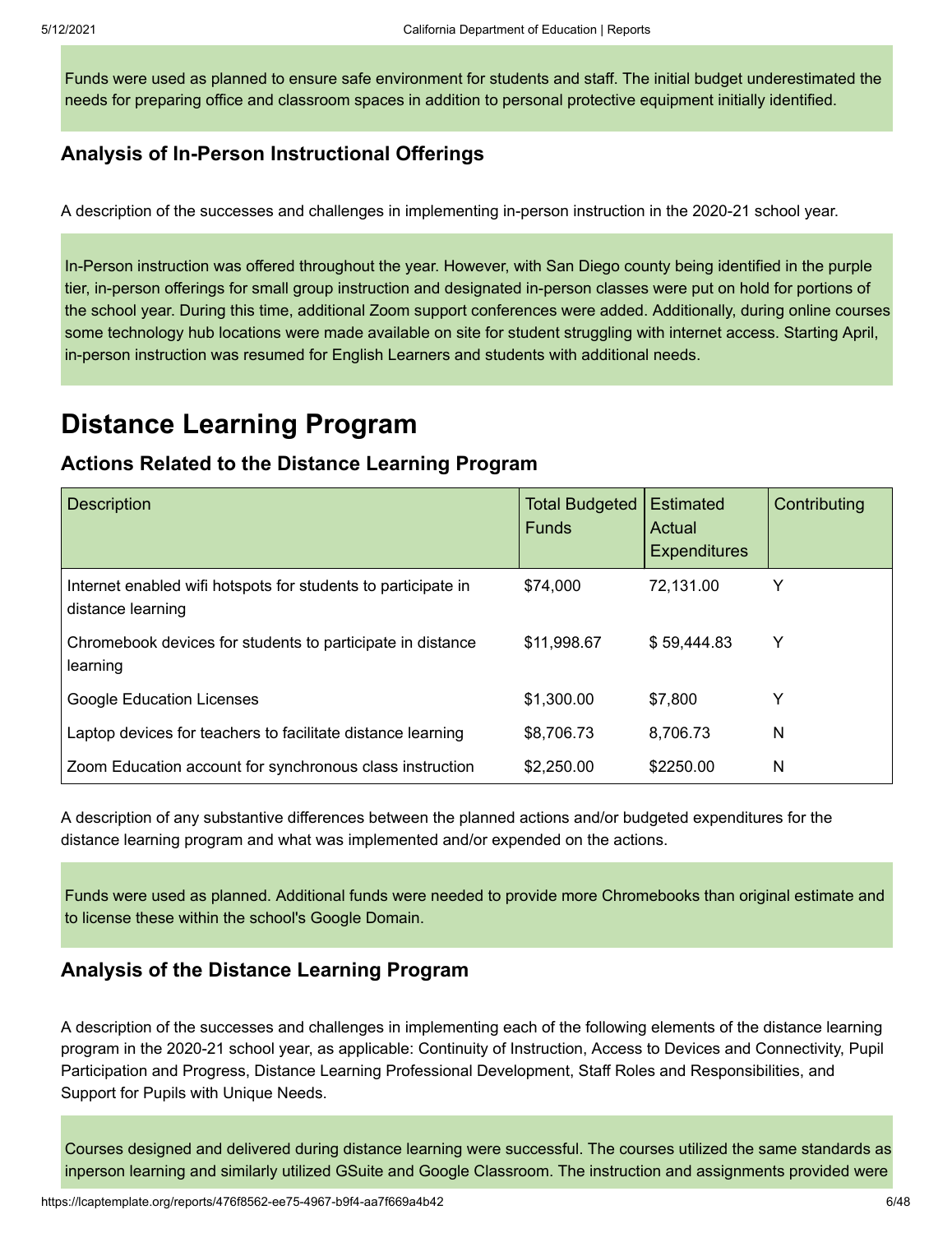Funds were used as planned to ensure safe environment for students and staff. The initial budget underestimated the needs for preparing office and classroom spaces in addition to personal protective equipment initially identified.

#### **Analysis of In-Person Instructional Offerings**

A description of the successes and challenges in implementing in-person instruction in the 2020-21 school year.

In-Person instruction was offered throughout the year. However, with San Diego county being identified in the purple tier, in-person offerings for small group instruction and designated in-person classes were put on hold for portions of the school year. During this time, additional Zoom support conferences were added. Additionally, during online courses some technology hub locations were made available on site for student struggling with internet access. Starting April, in-person instruction was resumed for English Learners and students with additional needs.

### **Distance Learning Program**

#### **Actions Related to the Distance Learning Program**

| <b>Description</b>                                                                 | <b>Total Budgeted</b><br><b>Funds</b> | <b>Estimated</b><br>Actual<br><b>Expenditures</b> | Contributing |
|------------------------------------------------------------------------------------|---------------------------------------|---------------------------------------------------|--------------|
| Internet enabled wifi hotspots for students to participate in<br>distance learning | \$74.000                              | 72,131.00                                         | Y            |
| Chromebook devices for students to participate in distance<br>learning             | \$11,998.67                           | \$59,444.83                                       | Y            |
| <b>Google Education Licenses</b>                                                   | \$1,300.00                            | \$7,800                                           | Y            |
| Laptop devices for teachers to facilitate distance learning                        | \$8,706.73                            | 8,706.73                                          | N            |
| Zoom Education account for synchronous class instruction                           | \$2,250.00                            | \$2250.00                                         | N            |

A description of any substantive differences between the planned actions and/or budgeted expenditures for the distance learning program and what was implemented and/or expended on the actions.

Funds were used as planned. Additional funds were needed to provide more Chromebooks than original estimate and to license these within the school's Google Domain.

#### **Analysis of the Distance Learning Program**

A description of the successes and challenges in implementing each of the following elements of the distance learning program in the 2020-21 school year, as applicable: Continuity of Instruction, Access to Devices and Connectivity, Pupil Participation and Progress, Distance Learning Professional Development, Staff Roles and Responsibilities, and Support for Pupils with Unique Needs.

Courses designed and delivered during distance learning were successful. The courses utilized the same standards as inperson learning and similarly utilized GSuite and Google Classroom. The instruction and assignments provided were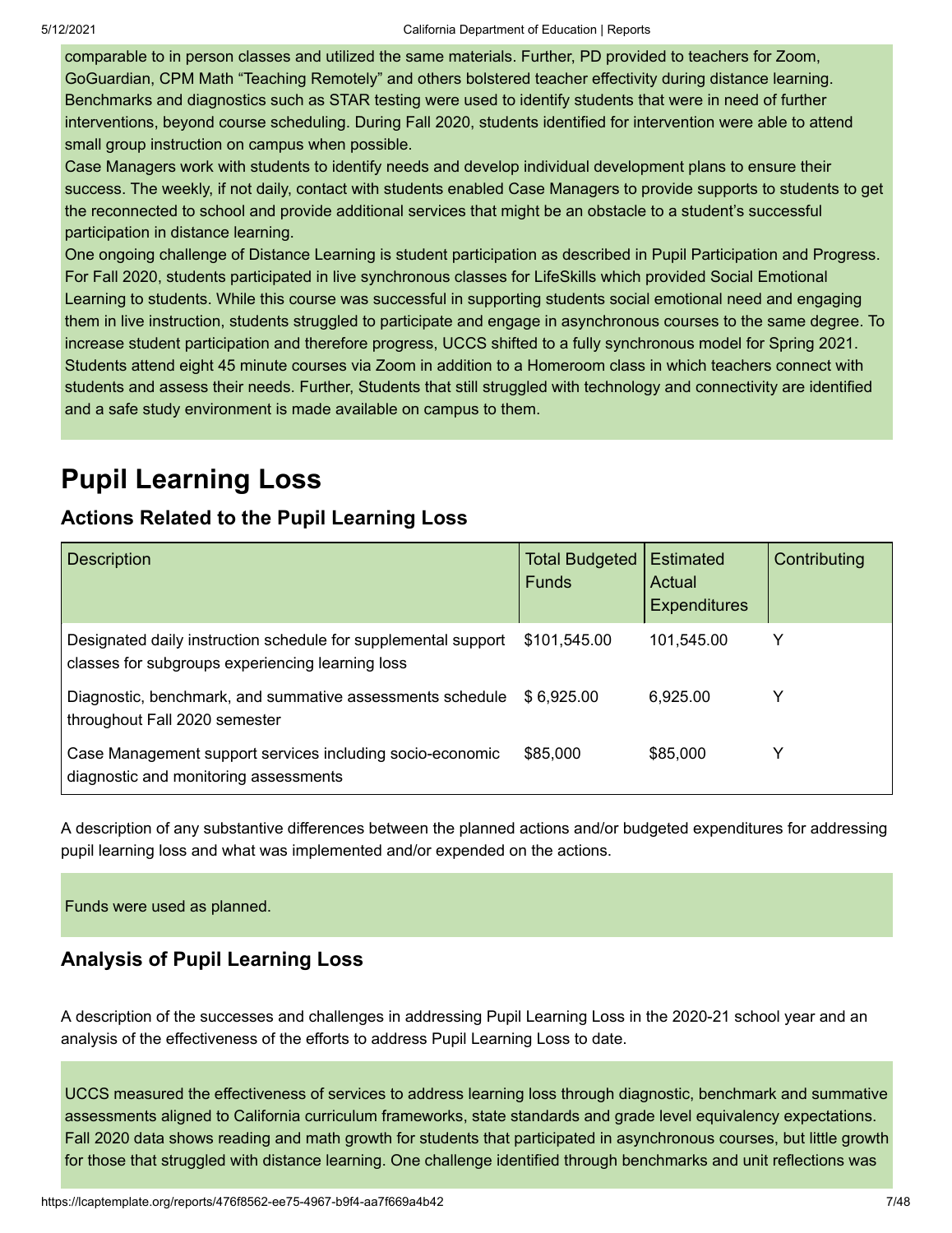comparable to in person classes and utilized the same materials. Further, PD provided to teachers for Zoom, GoGuardian, CPM Math "Teaching Remotely" and others bolstered teacher effectivity during distance learning. Benchmarks and diagnostics such as STAR testing were used to identify students that were in need of further interventions, beyond course scheduling. During Fall 2020, students identified for intervention were able to attend small group instruction on campus when possible.

Case Managers work with students to identify needs and develop individual development plans to ensure their success. The weekly, if not daily, contact with students enabled Case Managers to provide supports to students to get the reconnected to school and provide additional services that might be an obstacle to a student's successful participation in distance learning.

One ongoing challenge of Distance Learning is student participation as described in Pupil Participation and Progress. For Fall 2020, students participated in live synchronous classes for LifeSkills which provided Social Emotional Learning to students. While this course was successful in supporting students social emotional need and engaging them in live instruction, students struggled to participate and engage in asynchronous courses to the same degree. To increase student participation and therefore progress, UCCS shifted to a fully synchronous model for Spring 2021. Students attend eight 45 minute courses via Zoom in addition to a Homeroom class in which teachers connect with students and assess their needs. Further, Students that still struggled with technology and connectivity are identified and a safe study environment is made available on campus to them.

### **Pupil Learning Loss**

#### **Actions Related to the Pupil Learning Loss**

| <b>Description</b>                                                                                                 | <b>Total Budgeted</b><br><b>Funds</b> | Estimated<br>Actual<br><b>Expenditures</b> | Contributing |
|--------------------------------------------------------------------------------------------------------------------|---------------------------------------|--------------------------------------------|--------------|
| Designated daily instruction schedule for supplemental support<br>classes for subgroups experiencing learning loss | \$101,545.00                          | 101,545.00                                 |              |
| Diagnostic, benchmark, and summative assessments schedule<br>throughout Fall 2020 semester                         | \$6,925.00                            | 6,925.00                                   |              |
| Case Management support services including socio-economic<br>diagnostic and monitoring assessments                 | \$85,000                              | \$85,000                                   |              |

A description of any substantive differences between the planned actions and/or budgeted expenditures for addressing pupil learning loss and what was implemented and/or expended on the actions.

Funds were used as planned.

#### **Analysis of Pupil Learning Loss**

A description of the successes and challenges in addressing Pupil Learning Loss in the 2020-21 school year and an analysis of the effectiveness of the efforts to address Pupil Learning Loss to date.

UCCS measured the effectiveness of services to address learning loss through diagnostic, benchmark and summative assessments aligned to California curriculum frameworks, state standards and grade level equivalency expectations. Fall 2020 data shows reading and math growth for students that participated in asynchronous courses, but little growth for those that struggled with distance learning. One challenge identified through benchmarks and unit reflections was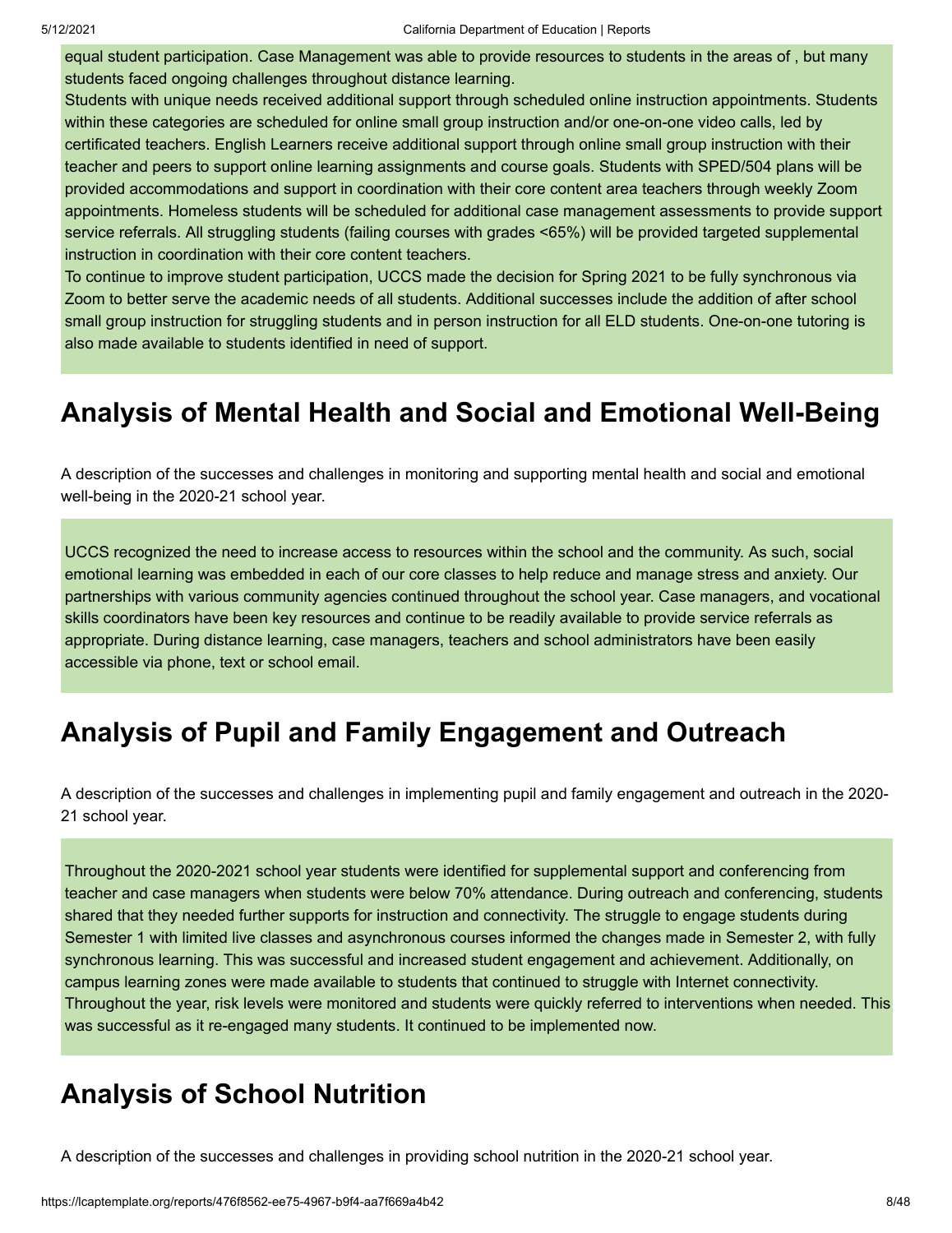equal student participation. Case Management was able to provide resources to students in the areas of , but many students faced ongoing challenges throughout distance learning.

Students with unique needs received additional support through scheduled online instruction appointments. Students within these categories are scheduled for online small group instruction and/or one-on-one video calls, led by certificated teachers. English Learners receive additional support through online small group instruction with their teacher and peers to support online learning assignments and course goals. Students with SPED/504 plans will be provided accommodations and support in coordination with their core content area teachers through weekly Zoom appointments. Homeless students will be scheduled for additional case management assessments to provide support service referrals. All struggling students (failing courses with grades <65%) will be provided targeted supplemental instruction in coordination with their core content teachers.

To continue to improve student participation, UCCS made the decision for Spring 2021 to be fully synchronous via Zoom to better serve the academic needs of all students. Additional successes include the addition of after school small group instruction for struggling students and in person instruction for all ELD students. One-on-one tutoring is also made available to students identified in need of support.

#### **Analysis of Mental Health and Social and Emotional Well-Being**

A description of the successes and challenges in monitoring and supporting mental health and social and emotional well-being in the 2020-21 school year.

UCCS recognized the need to increase access to resources within the school and the community. As such, social emotional learning was embedded in each of our core classes to help reduce and manage stress and anxiety. Our partnerships with various community agencies continued throughout the school year. Case managers, and vocational skills coordinators have been key resources and continue to be readily available to provide service referrals as appropriate. During distance learning, case managers, teachers and school administrators have been easily accessible via phone, text or school email.

#### **Analysis of Pupil and Family Engagement and Outreach**

A description of the successes and challenges in implementing pupil and family engagement and outreach in the 2020- 21 school year.

Throughout the 2020-2021 school year students were identified for supplemental support and conferencing from teacher and case managers when students were below 70% attendance. During outreach and conferencing, students shared that they needed further supports for instruction and connectivity. The struggle to engage students during Semester 1 with limited live classes and asynchronous courses informed the changes made in Semester 2, with fully synchronous learning. This was successful and increased student engagement and achievement. Additionally, on campus learning zones were made available to students that continued to struggle with Internet connectivity. Throughout the year, risk levels were monitored and students were quickly referred to interventions when needed. This was successful as it re-engaged many students. It continued to be implemented now.

#### **Analysis of School Nutrition**

A description of the successes and challenges in providing school nutrition in the 2020-21 school year.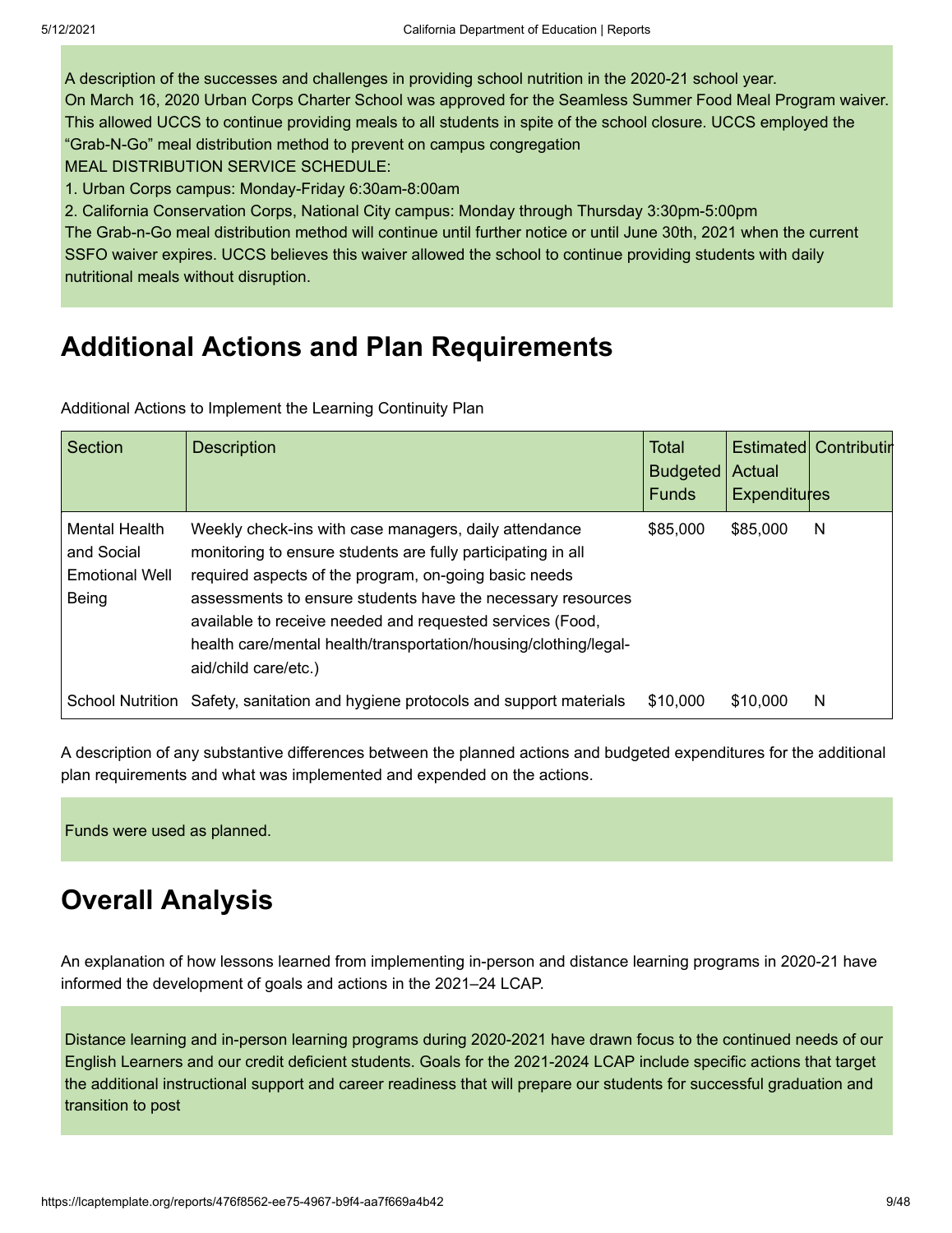A description of the successes and challenges in providing school nutrition in the 2020-21 school year. On March 16, 2020 Urban Corps Charter School was approved for the Seamless Summer Food Meal Program waiver. This allowed UCCS to continue providing meals to all students in spite of the school closure. UCCS employed the "Grab-N-Go" meal distribution method to prevent on campus congregation

MEAL DISTRIBUTION SERVICE SCHEDULE:

1. Urban Corps campus: Monday-Friday 6:30am-8:00am

2. California Conservation Corps, National City campus: Monday through Thursday 3:30pm-5:00pm The Grab-n-Go meal distribution method will continue until further notice or until June 30th, 2021 when the current SSFO waiver expires. UCCS believes this waiver allowed the school to continue providing students with daily nutritional meals without disruption.

#### **Additional Actions and Plan Requirements**

Additional Actions to Implement the Learning Continuity Plan

| Section                                                              | <b>Description</b>                                                                                                                                                                                                                                                                                                                                                                                     | Total<br><b>Budgeted</b><br><b>Funds</b> | Actual<br><b>Expenditures</b> | <b>Estimated Contributin</b> |
|----------------------------------------------------------------------|--------------------------------------------------------------------------------------------------------------------------------------------------------------------------------------------------------------------------------------------------------------------------------------------------------------------------------------------------------------------------------------------------------|------------------------------------------|-------------------------------|------------------------------|
| <b>Mental Health</b><br>and Social<br><b>Emotional Well</b><br>Being | Weekly check-ins with case managers, daily attendance<br>monitoring to ensure students are fully participating in all<br>required aspects of the program, on-going basic needs<br>assessments to ensure students have the necessary resources<br>available to receive needed and requested services (Food,<br>health care/mental health/transportation/housing/clothing/legal-<br>aid/child care/etc.) | \$85,000                                 | \$85,000                      | N                            |
| <b>School Nutrition</b>                                              | Safety, sanitation and hygiene protocols and support materials                                                                                                                                                                                                                                                                                                                                         | \$10,000                                 | \$10,000                      | N                            |

A description of any substantive differences between the planned actions and budgeted expenditures for the additional plan requirements and what was implemented and expended on the actions.

Funds were used as planned.

#### **Overall Analysis**

An explanation of how lessons learned from implementing in-person and distance learning programs in 2020-21 have informed the development of goals and actions in the 2021–24 LCAP.

Distance learning and in-person learning programs during 2020-2021 have drawn focus to the continued needs of our English Learners and our credit deficient students. Goals for the 2021-2024 LCAP include specific actions that target the additional instructional support and career readiness that will prepare our students for successful graduation and transition to post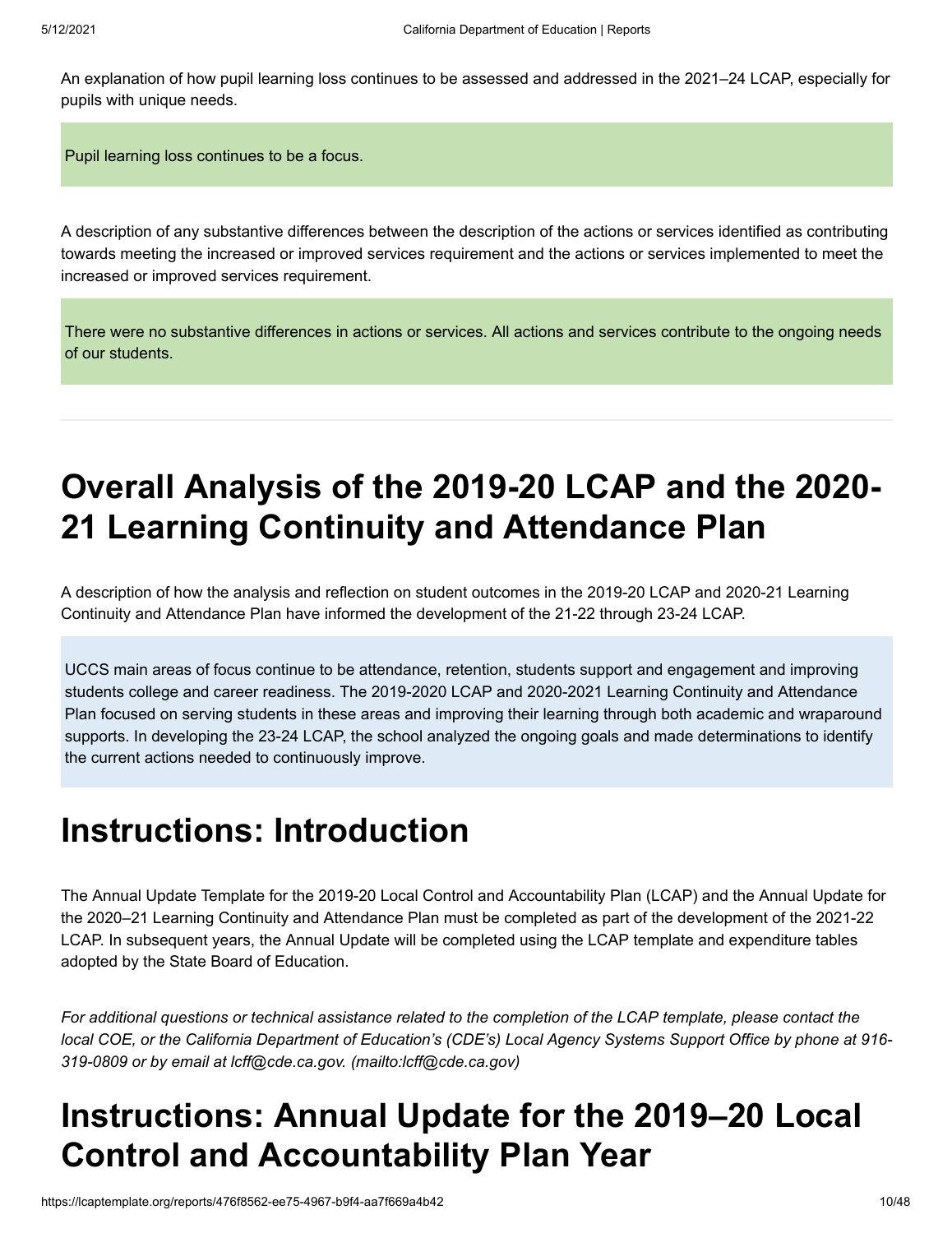An explanation of how pupil learning loss continues to be assessed and addressed in the 2021–24 LCAP, especially for pupils with unique needs.

Pupil learning loss continues to be a focus.

A description of any substantive differences between the description of the actions or services identified as contributing towards meeting the increased or improved services requirement and the actions or services implemented to meet the increased or improved services requirement.

There were no substantive differences in actions or services. All actions and services contribute to the ongoing needs of our students.

### **Overall Analysis of the 2019-20 LCAP and the 2020- 21 Learning Continuity and Attendance Plan**

A description of how the analysis and reflection on student outcomes in the 2019-20 LCAP and 2020-21 Learning Continuity and Attendance Plan have informed the development of the 21-22 through 23-24 LCAP.

UCCS main areas of focus continue to be attendance, retention, students support and engagement and improving students college and career readiness. The 2019-2020 LCAP and 2020-2021 Learning Continuity and Attendance Plan focused on serving students in these areas and improving their learning through both academic and wraparound supports. In developing the 23-24 LCAP, the school analyzed the ongoing goals and made determinations to identify the current actions needed to continuously improve.

### **Instructions: Introduction**

The Annual Update Template for the 2019-20 Local Control and Accountability Plan (LCAP) and the Annual Update for the 2020–21 Learning Continuity and Attendance Plan must be completed as part of the development of the 2021-22 LCAP. In subsequent years, the Annual Update will be completed using the LCAP template and expenditure tables adopted by the State Board of Education.

*For additional questions or technical assistance related to the completion of the LCAP template, please contact the local COE, or the California Department of Education's (CDE's) Local Agency Systems Support Office by phone at 916- 319-0809 or by email at [lcff@cde.ca.gov. \(mailto:lcff@cde.ca.gov\)](mailto:lcff@cde.ca.gov)*

### **Instructions: Annual Update for the 2019–20 Local Control and Accountability Plan Year**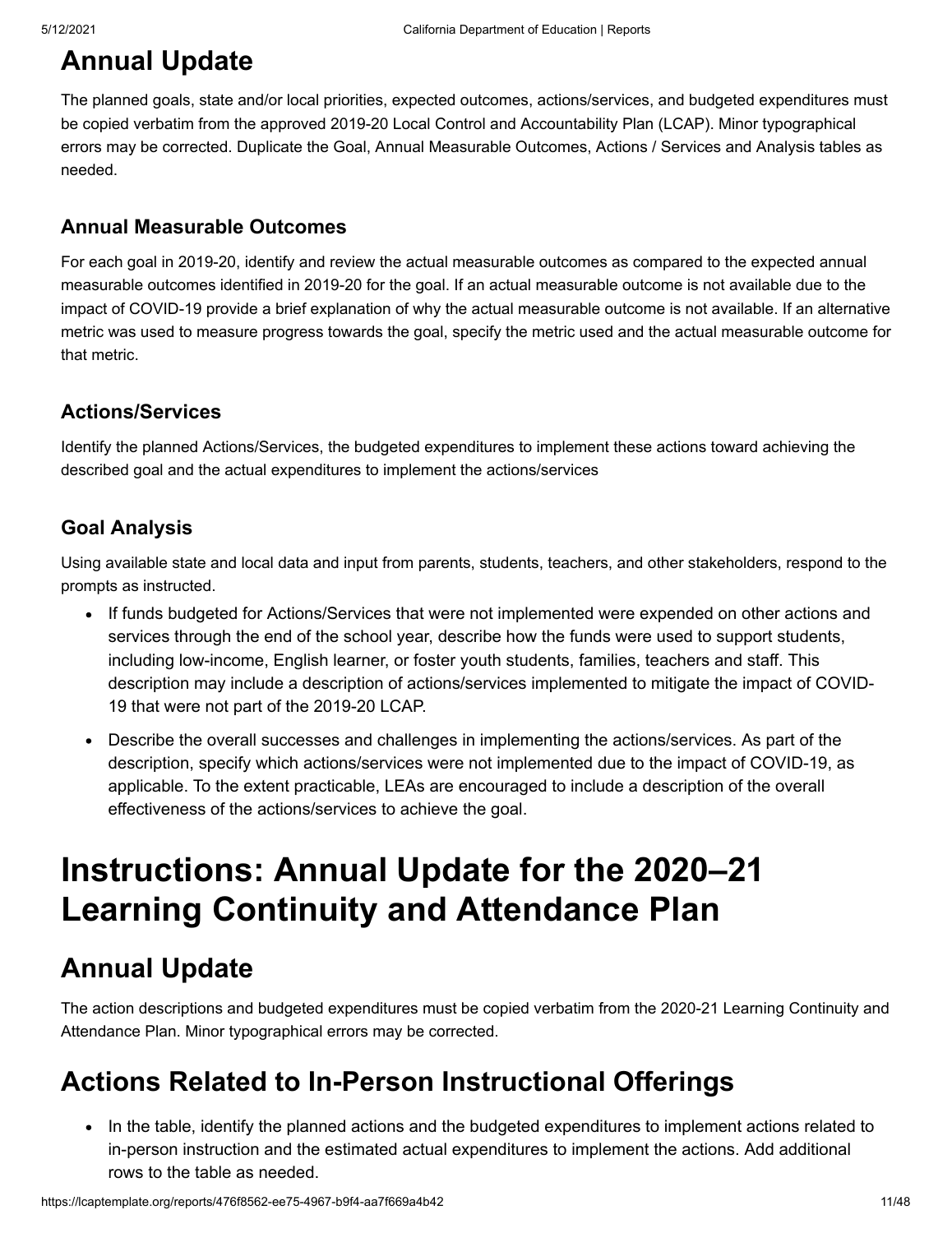### **Annual Update**

The planned goals, state and/or local priorities, expected outcomes, actions/services, and budgeted expenditures must be copied verbatim from the approved 2019-20 Local Control and Accountability Plan (LCAP). Minor typographical errors may be corrected. Duplicate the Goal, Annual Measurable Outcomes, Actions / Services and Analysis tables as needed.

#### **Annual Measurable Outcomes**

For each goal in 2019-20, identify and review the actual measurable outcomes as compared to the expected annual measurable outcomes identified in 2019-20 for the goal. If an actual measurable outcome is not available due to the impact of COVID-19 provide a brief explanation of why the actual measurable outcome is not available. If an alternative metric was used to measure progress towards the goal, specify the metric used and the actual measurable outcome for that metric.

#### **Actions/Services**

Identify the planned Actions/Services, the budgeted expenditures to implement these actions toward achieving the described goal and the actual expenditures to implement the actions/services

#### **Goal Analysis**

Using available state and local data and input from parents, students, teachers, and other stakeholders, respond to the prompts as instructed.

- If funds budgeted for Actions/Services that were not implemented were expended on other actions and services through the end of the school year, describe how the funds were used to support students, including low-income, English learner, or foster youth students, families, teachers and staff. This description may include a description of actions/services implemented to mitigate the impact of COVID-19 that were not part of the 2019-20 LCAP.
- Describe the overall successes and challenges in implementing the actions/services. As part of the  $\bullet$ description, specify which actions/services were not implemented due to the impact of COVID-19, as applicable. To the extent practicable, LEAs are encouraged to include a description of the overall effectiveness of the actions/services to achieve the goal.

### **Instructions: Annual Update for the 2020–21 Learning Continuity and Attendance Plan**

### **Annual Update**

The action descriptions and budgeted expenditures must be copied verbatim from the 2020-21 Learning Continuity and Attendance Plan. Minor typographical errors may be corrected.

### **Actions Related to In-Person Instructional Offerings**

• In the table, identify the planned actions and the budgeted expenditures to implement actions related to in-person instruction and the estimated actual expenditures to implement the actions. Add additional rows to the table as needed.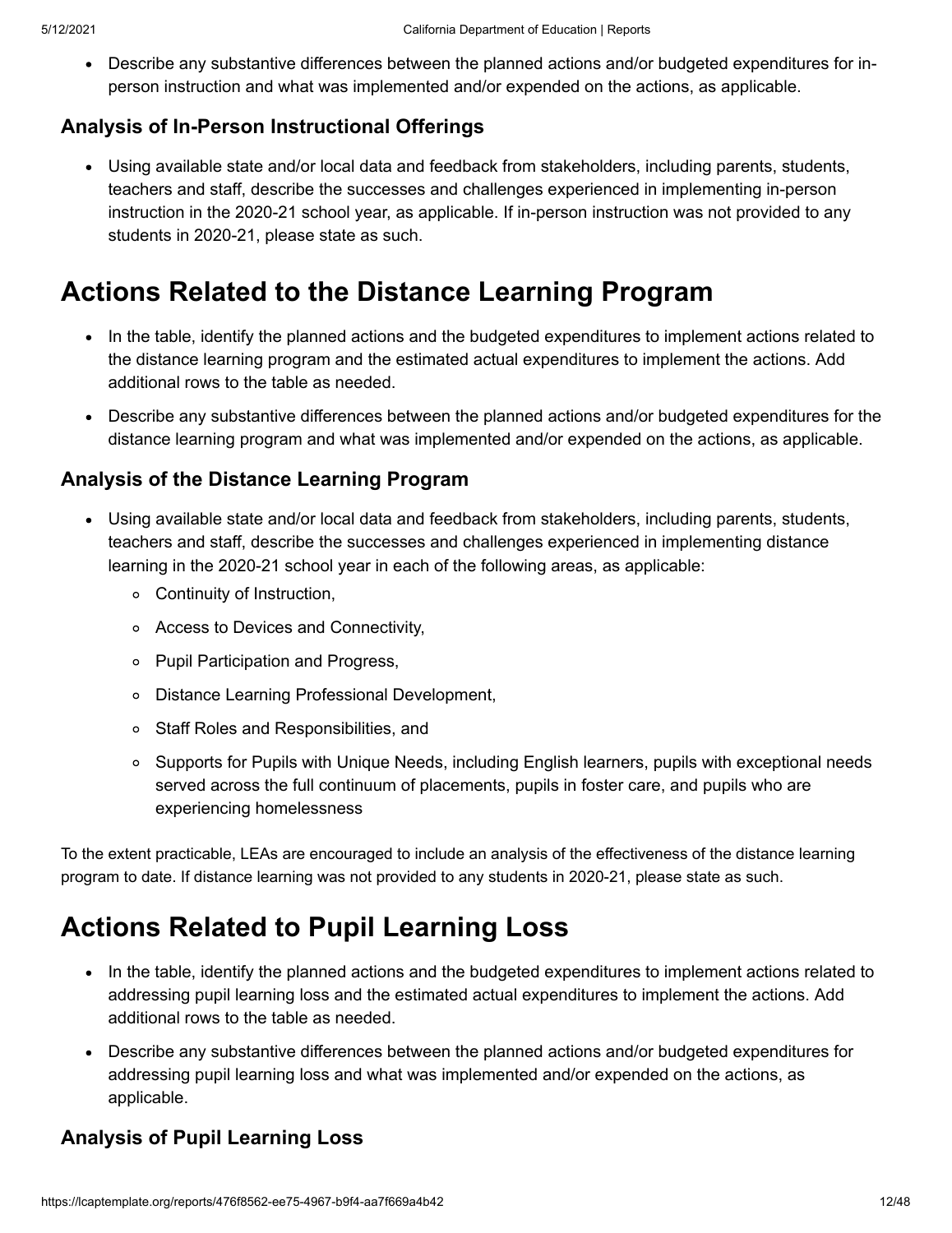Describe any substantive differences between the planned actions and/or budgeted expenditures for inperson instruction and what was implemented and/or expended on the actions, as applicable.

#### **Analysis of In-Person Instructional Offerings**

Using available state and/or local data and feedback from stakeholders, including parents, students, teachers and staff, describe the successes and challenges experienced in implementing in-person instruction in the 2020-21 school year, as applicable. If in-person instruction was not provided to any students in 2020-21, please state as such.

### **Actions Related to the Distance Learning Program**

- In the table, identify the planned actions and the budgeted expenditures to implement actions related to the distance learning program and the estimated actual expenditures to implement the actions. Add additional rows to the table as needed.
- Describe any substantive differences between the planned actions and/or budgeted expenditures for the distance learning program and what was implemented and/or expended on the actions, as applicable.

#### **Analysis of the Distance Learning Program**

- Using available state and/or local data and feedback from stakeholders, including parents, students, teachers and staff, describe the successes and challenges experienced in implementing distance learning in the 2020-21 school year in each of the following areas, as applicable:
	- Continuity of Instruction,
	- Access to Devices and Connectivity,
	- Pupil Participation and Progress,
	- Distance Learning Professional Development,
	- Staff Roles and Responsibilities, and
	- Supports for Pupils with Unique Needs, including English learners, pupils with exceptional needs served across the full continuum of placements, pupils in foster care, and pupils who are experiencing homelessness

To the extent practicable, LEAs are encouraged to include an analysis of the effectiveness of the distance learning program to date. If distance learning was not provided to any students in 2020-21, please state as such.

### **Actions Related to Pupil Learning Loss**

- In the table, identify the planned actions and the budgeted expenditures to implement actions related to addressing pupil learning loss and the estimated actual expenditures to implement the actions. Add additional rows to the table as needed.
- Describe any substantive differences between the planned actions and/or budgeted expenditures for addressing pupil learning loss and what was implemented and/or expended on the actions, as applicable.

#### **Analysis of Pupil Learning Loss**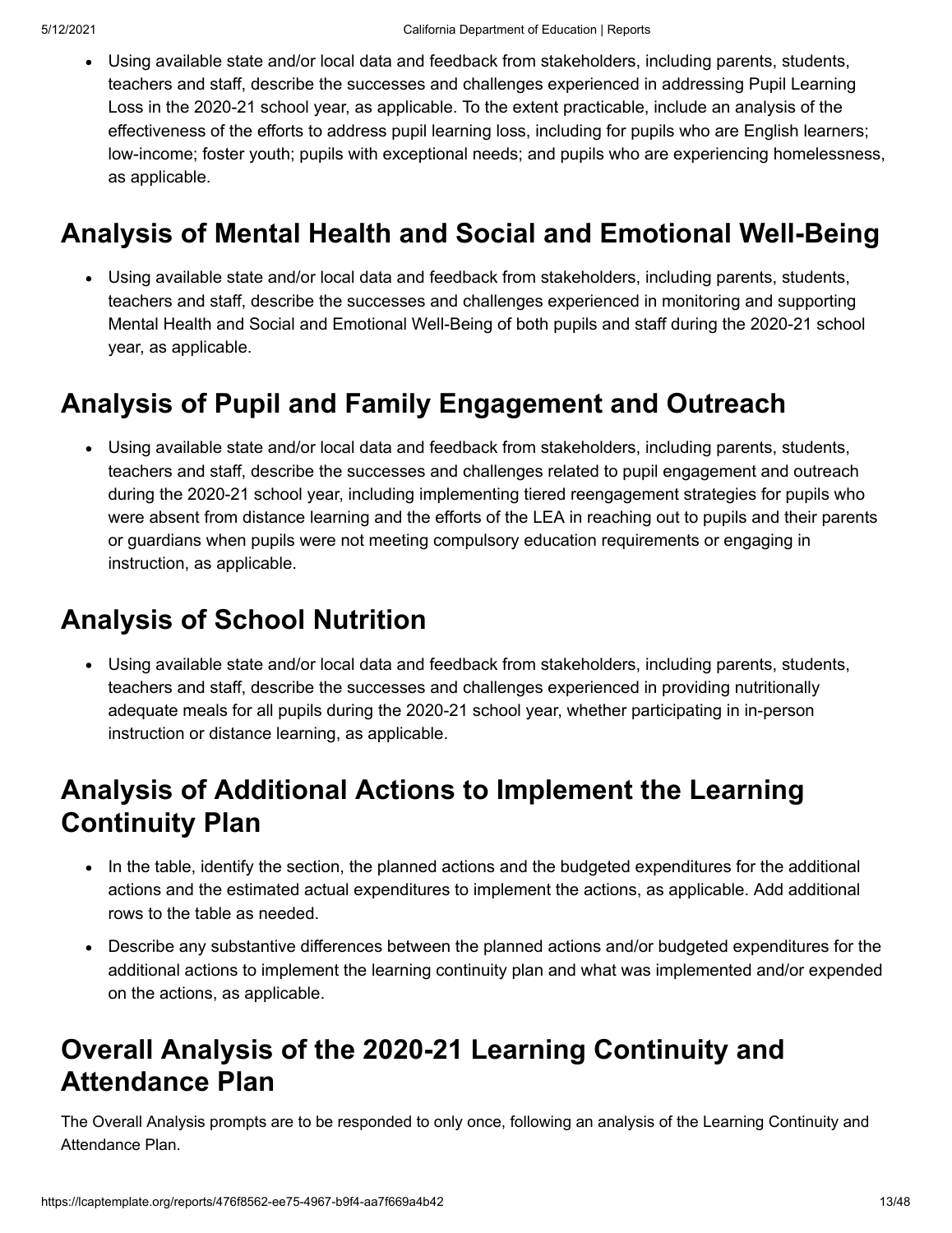Using available state and/or local data and feedback from stakeholders, including parents, students, teachers and staff, describe the successes and challenges experienced in addressing Pupil Learning Loss in the 2020-21 school year, as applicable. To the extent practicable, include an analysis of the effectiveness of the efforts to address pupil learning loss, including for pupils who are English learners; low-income; foster youth; pupils with exceptional needs; and pupils who are experiencing homelessness, as applicable.

### **Analysis of Mental Health and Social and Emotional Well-Being**

Using available state and/or local data and feedback from stakeholders, including parents, students, teachers and staff, describe the successes and challenges experienced in monitoring and supporting Mental Health and Social and Emotional Well-Being of both pupils and staff during the 2020-21 school year, as applicable.

### **Analysis of Pupil and Family Engagement and Outreach**

Using available state and/or local data and feedback from stakeholders, including parents, students, teachers and staff, describe the successes and challenges related to pupil engagement and outreach during the 2020-21 school year, including implementing tiered reengagement strategies for pupils who were absent from distance learning and the efforts of the LEA in reaching out to pupils and their parents or guardians when pupils were not meeting compulsory education requirements or engaging in instruction, as applicable.

### **Analysis of School Nutrition**

Using available state and/or local data and feedback from stakeholders, including parents, students, teachers and staff, describe the successes and challenges experienced in providing nutritionally adequate meals for all pupils during the 2020-21 school year, whether participating in in-person instruction or distance learning, as applicable.

### **Analysis of Additional Actions to Implement the Learning Continuity Plan**

- In the table, identify the section, the planned actions and the budgeted expenditures for the additional actions and the estimated actual expenditures to implement the actions, as applicable. Add additional rows to the table as needed.
- Describe any substantive differences between the planned actions and/or budgeted expenditures for the additional actions to implement the learning continuity plan and what was implemented and/or expended on the actions, as applicable.

### **Overall Analysis of the 2020-21 Learning Continuity and Attendance Plan**

The Overall Analysis prompts are to be responded to only once, following an analysis of the Learning Continuity and Attendance Plan.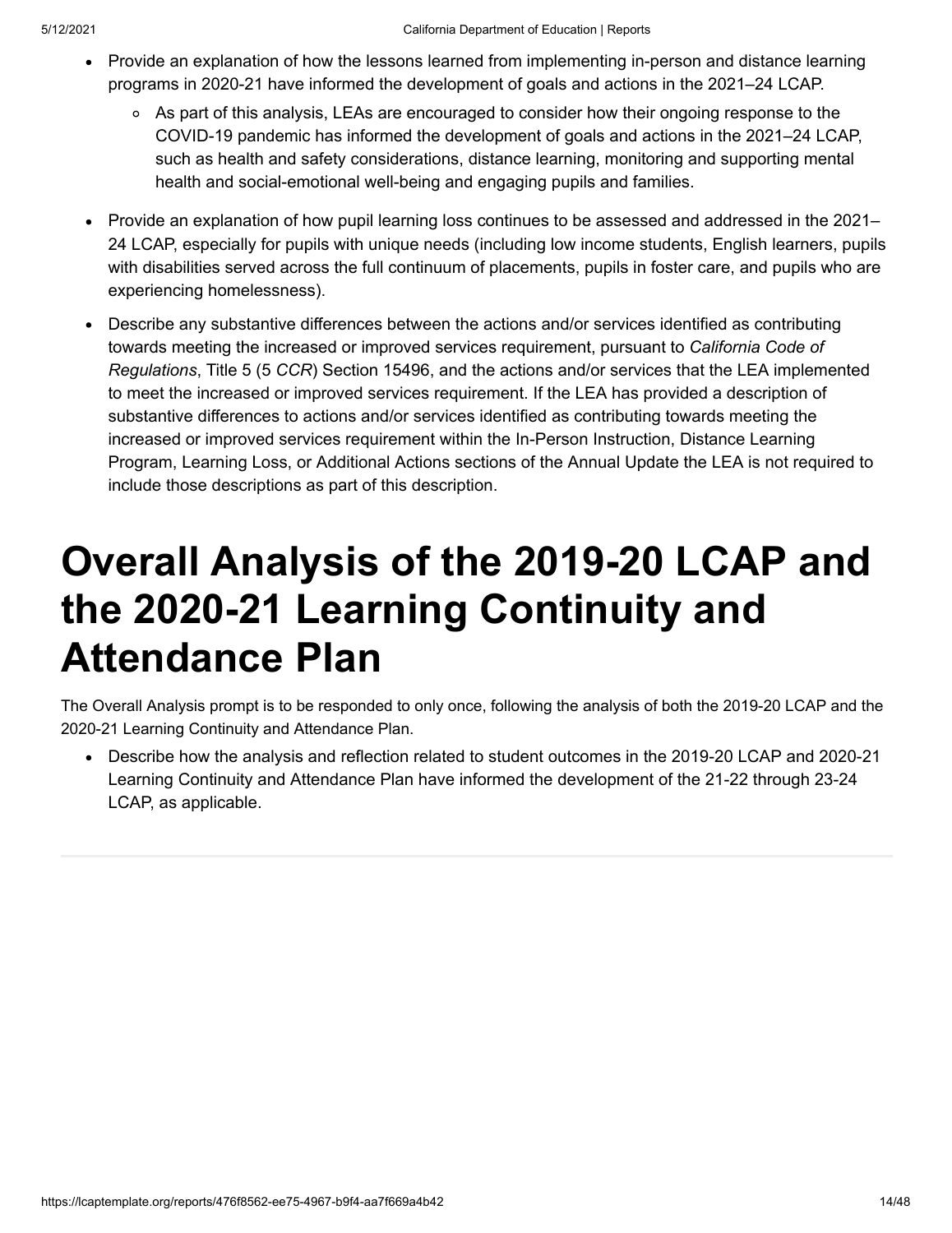- Provide an explanation of how the lessons learned from implementing in-person and distance learning programs in 2020-21 have informed the development of goals and actions in the 2021–24 LCAP.
	- As part of this analysis, LEAs are encouraged to consider how their ongoing response to the COVID-19 pandemic has informed the development of goals and actions in the 2021–24 LCAP, such as health and safety considerations, distance learning, monitoring and supporting mental health and social-emotional well-being and engaging pupils and families.
- Provide an explanation of how pupil learning loss continues to be assessed and addressed in the 2021– 24 LCAP, especially for pupils with unique needs (including low income students, English learners, pupils with disabilities served across the full continuum of placements, pupils in foster care, and pupils who are experiencing homelessness).
- Describe any substantive differences between the actions and/or services identified as contributing towards meeting the increased or improved services requirement, pursuant to *California Code of Regulations*, Title 5 (5 *CCR*) Section 15496, and the actions and/or services that the LEA implemented to meet the increased or improved services requirement. If the LEA has provided a description of substantive differences to actions and/or services identified as contributing towards meeting the increased or improved services requirement within the In-Person Instruction, Distance Learning Program, Learning Loss, or Additional Actions sections of the Annual Update the LEA is not required to include those descriptions as part of this description.

## **Overall Analysis of the 2019-20 LCAP and the 2020-21 Learning Continuity and Attendance Plan**

The Overall Analysis prompt is to be responded to only once, following the analysis of both the 2019-20 LCAP and the 2020-21 Learning Continuity and Attendance Plan.

Describe how the analysis and reflection related to student outcomes in the 2019-20 LCAP and 2020-21 Learning Continuity and Attendance Plan have informed the development of the 21-22 through 23-24 LCAP, as applicable.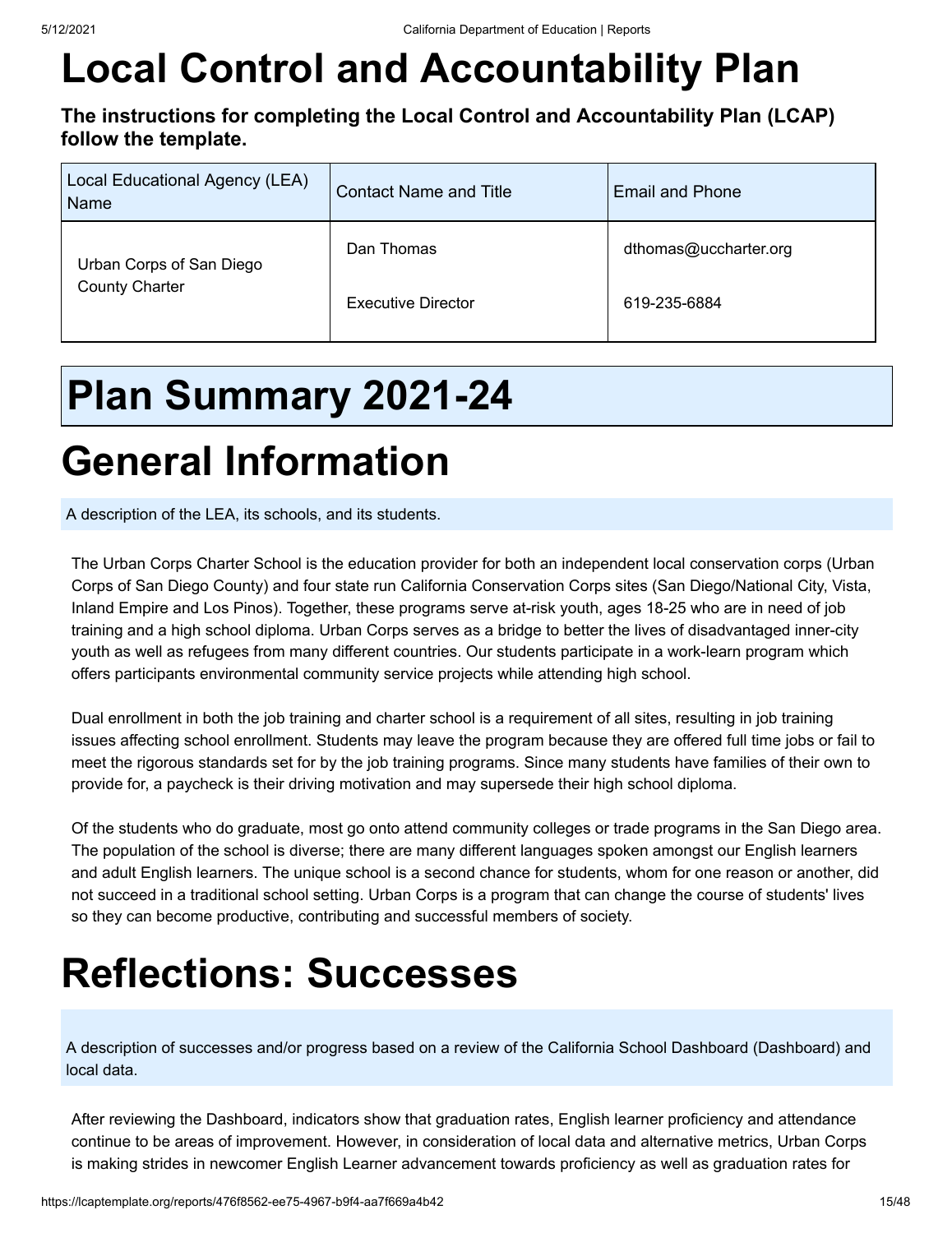# **Local Control and Accountability Plan**

**The instructions for completing the Local Control and Accountability Plan (LCAP) follow the template.**

| Local Educational Agency (LEA)<br>Name | <b>Contact Name and Title</b> | <b>Email and Phone</b> |
|----------------------------------------|-------------------------------|------------------------|
| Urban Corps of San Diego               | Dan Thomas                    | dthomas@uccharter.org  |
| <b>County Charter</b>                  | <b>Executive Director</b>     | 619-235-6884           |

## **Plan Summary 2021-24**

## **General Information**

A description of the LEA, its schools, and its students.

The Urban Corps Charter School is the education provider for both an independent local conservation corps (Urban Corps of San Diego County) and four state run California Conservation Corps sites (San Diego/National City, Vista, Inland Empire and Los Pinos). Together, these programs serve at-risk youth, ages 18-25 who are in need of job training and a high school diploma. Urban Corps serves as a bridge to better the lives of disadvantaged inner-city youth as well as refugees from many different countries. Our students participate in a work-learn program which offers participants environmental community service projects while attending high school.

Dual enrollment in both the job training and charter school is a requirement of all sites, resulting in job training issues affecting school enrollment. Students may leave the program because they are offered full time jobs or fail to meet the rigorous standards set for by the job training programs. Since many students have families of their own to provide for, a paycheck is their driving motivation and may supersede their high school diploma.

Of the students who do graduate, most go onto attend community colleges or trade programs in the San Diego area. The population of the school is diverse; there are many different languages spoken amongst our English learners and adult English learners. The unique school is a second chance for students, whom for one reason or another, did not succeed in a traditional school setting. Urban Corps is a program that can change the course of students' lives so they can become productive, contributing and successful members of society.

## **Reflections: Successes**

A description of successes and/or progress based on a review of the California School Dashboard (Dashboard) and local data.

After reviewing the Dashboard, indicators show that graduation rates, English learner proficiency and attendance continue to be areas of improvement. However, in consideration of local data and alternative metrics, Urban Corps is making strides in newcomer English Learner advancement towards proficiency as well as graduation rates for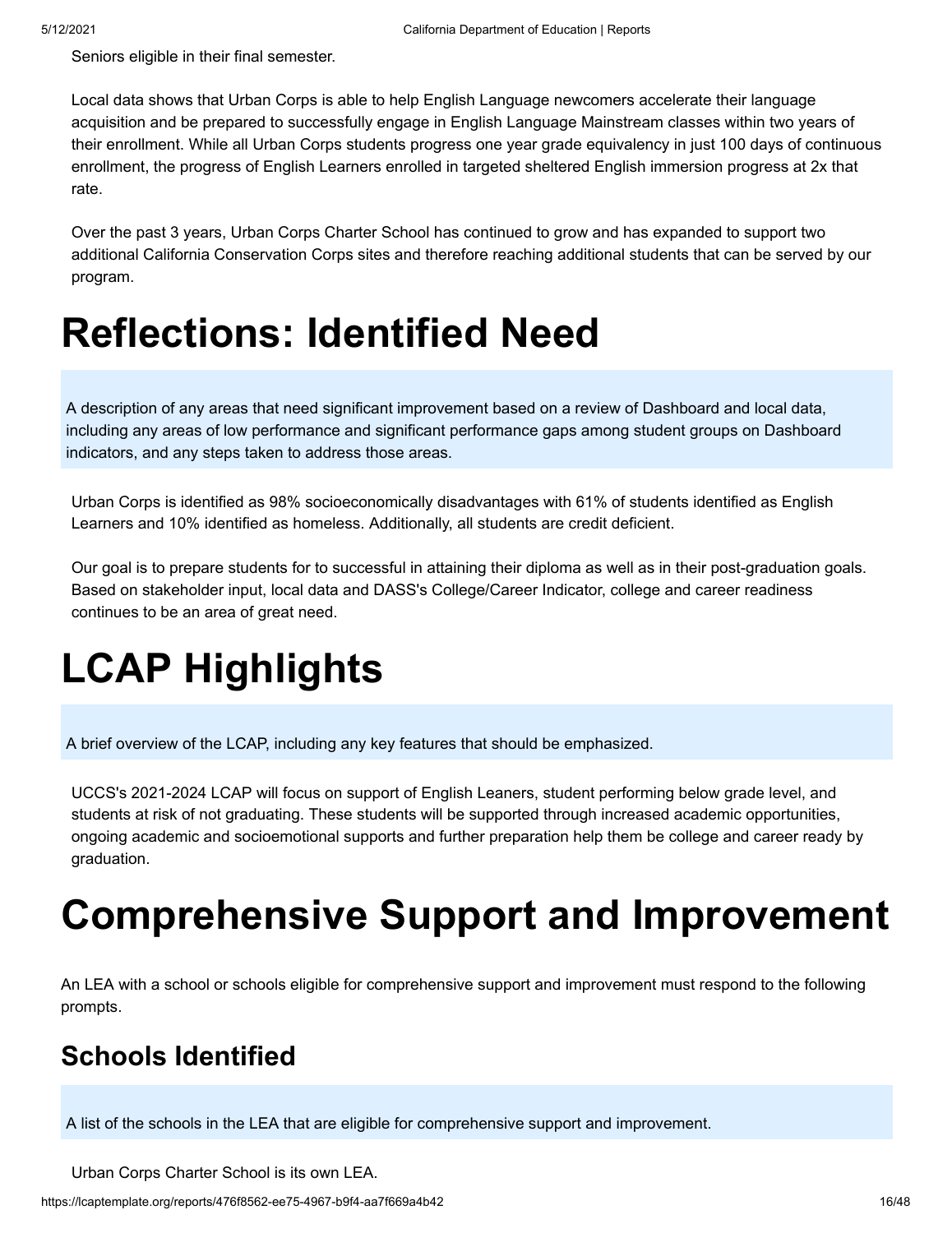Seniors eligible in their final semester.

Local data shows that Urban Corps is able to help English Language newcomers accelerate their language acquisition and be prepared to successfully engage in English Language Mainstream classes within two years of their enrollment. While all Urban Corps students progress one year grade equivalency in just 100 days of continuous enrollment, the progress of English Learners enrolled in targeted sheltered English immersion progress at 2x that rate.

Over the past 3 years, Urban Corps Charter School has continued to grow and has expanded to support two additional California Conservation Corps sites and therefore reaching additional students that can be served by our program.

## **Reflections: Identified Need**

A description of any areas that need significant improvement based on a review of Dashboard and local data, including any areas of low performance and significant performance gaps among student groups on Dashboard indicators, and any steps taken to address those areas.

Urban Corps is identified as 98% socioeconomically disadvantages with 61% of students identified as English Learners and 10% identified as homeless. Additionally, all students are credit deficient.

Our goal is to prepare students for to successful in attaining their diploma as well as in their post-graduation goals. Based on stakeholder input, local data and DASS's College/Career Indicator, college and career readiness continues to be an area of great need.

# **LCAP Highlights**

A brief overview of the LCAP, including any key features that should be emphasized.

UCCS's 2021-2024 LCAP will focus on support of English Leaners, student performing below grade level, and students at risk of not graduating. These students will be supported through increased academic opportunities, ongoing academic and socioemotional supports and further preparation help them be college and career ready by graduation.

## **Comprehensive Support and Improvement**

An LEA with a school or schools eligible for comprehensive support and improvement must respond to the following prompts.

### **Schools Identified**

A list of the schools in the LEA that are eligible for comprehensive support and improvement.

Urban Corps Charter School is its own LEA.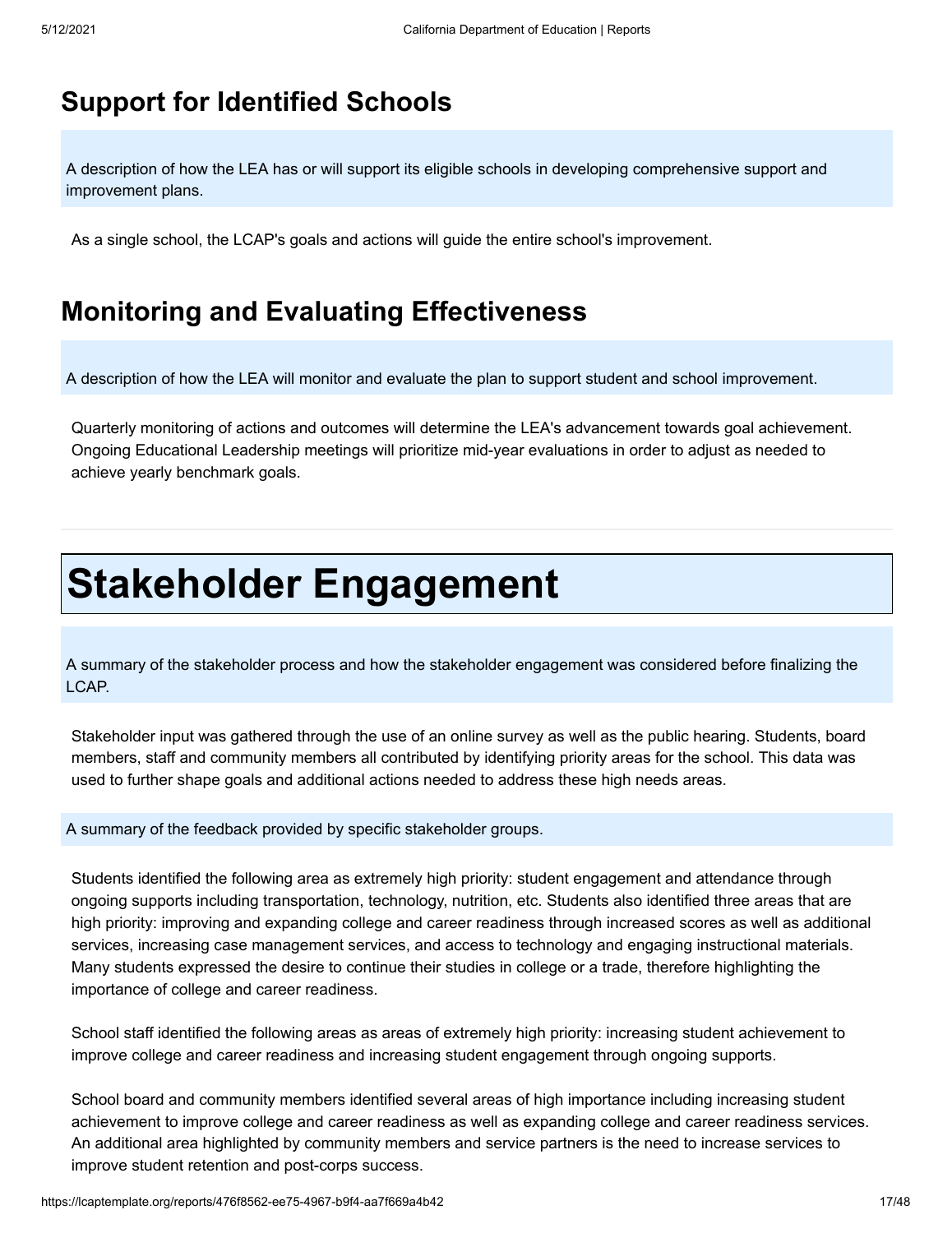### **Support for Identified Schools**

A description of how the LEA has or will support its eligible schools in developing comprehensive support and improvement plans.

As a single school, the LCAP's goals and actions will guide the entire school's improvement.

### **Monitoring and Evaluating Effectiveness**

A description of how the LEA will monitor and evaluate the plan to support student and school improvement.

Quarterly monitoring of actions and outcomes will determine the LEA's advancement towards goal achievement. Ongoing Educational Leadership meetings will prioritize mid-year evaluations in order to adjust as needed to achieve yearly benchmark goals.

## **Stakeholder Engagement**

A summary of the stakeholder process and how the stakeholder engagement was considered before finalizing the LCAP.

Stakeholder input was gathered through the use of an online survey as well as the public hearing. Students, board members, staff and community members all contributed by identifying priority areas for the school. This data was used to further shape goals and additional actions needed to address these high needs areas.

A summary of the feedback provided by specific stakeholder groups.

Students identified the following area as extremely high priority: student engagement and attendance through ongoing supports including transportation, technology, nutrition, etc. Students also identified three areas that are high priority: improving and expanding college and career readiness through increased scores as well as additional services, increasing case management services, and access to technology and engaging instructional materials. Many students expressed the desire to continue their studies in college or a trade, therefore highlighting the importance of college and career readiness.

School staff identified the following areas as areas of extremely high priority: increasing student achievement to improve college and career readiness and increasing student engagement through ongoing supports.

School board and community members identified several areas of high importance including increasing student achievement to improve college and career readiness as well as expanding college and career readiness services. An additional area highlighted by community members and service partners is the need to increase services to improve student retention and post-corps success.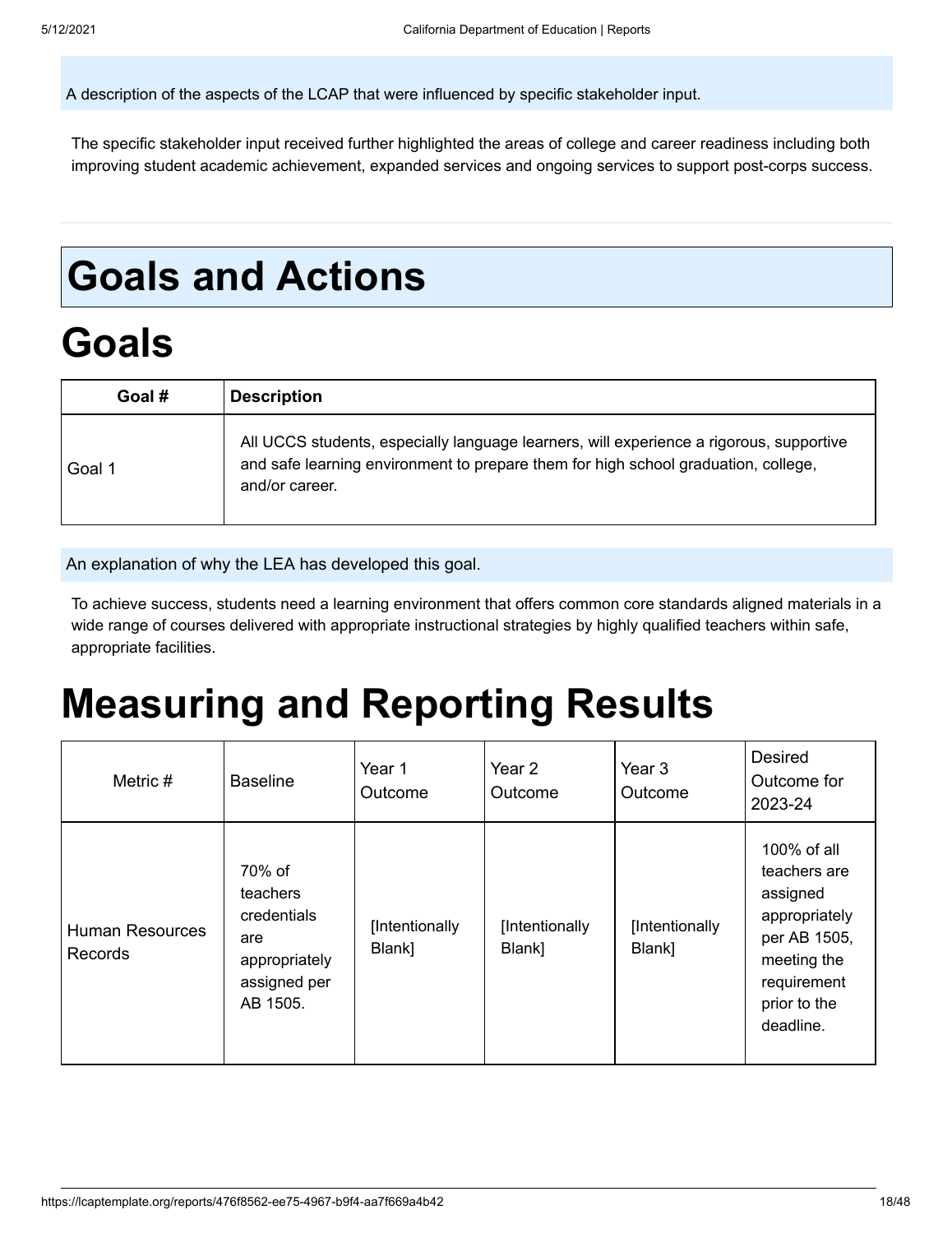A description of the aspects of the LCAP that were influenced by specific stakeholder input.

The specific stakeholder input received further highlighted the areas of college and career readiness including both improving student academic achievement, expanded services and ongoing services to support post-corps success.

## **Goals and Actions**

## **Goals**

| Goal # | <b>Description</b>                                                                                                                                                                              |
|--------|-------------------------------------------------------------------------------------------------------------------------------------------------------------------------------------------------|
| Goal 1 | All UCCS students, especially language learners, will experience a rigorous, supportive<br>and safe learning environment to prepare them for high school graduation, college,<br>and/or career. |

An explanation of why the LEA has developed this goal.

To achieve success, students need a learning environment that offers common core standards aligned materials in a wide range of courses delivered with appropriate instructional strategies by highly qualified teachers within safe, appropriate facilities.

## **Measuring and Reporting Results**

| Metric $#$                               | <b>Baseline</b>                                                                       | Year 1<br>Outcome        | Year 2<br>Outcome        | Year 3<br>Outcome        | <b>Desired</b><br>Outcome for<br>2023-24                                                                                            |
|------------------------------------------|---------------------------------------------------------------------------------------|--------------------------|--------------------------|--------------------------|-------------------------------------------------------------------------------------------------------------------------------------|
| <b>Human Resources</b><br><b>Records</b> | 70% of<br>teachers<br>credentials<br>are<br>appropriately<br>assigned per<br>AB 1505. | [Intentionally<br>Blank] | [Intentionally<br>Blank] | [Intentionally<br>Blank] | 100% of all<br>teachers are<br>assigned<br>appropriately<br>per AB 1505,<br>meeting the<br>requirement<br>prior to the<br>deadline. |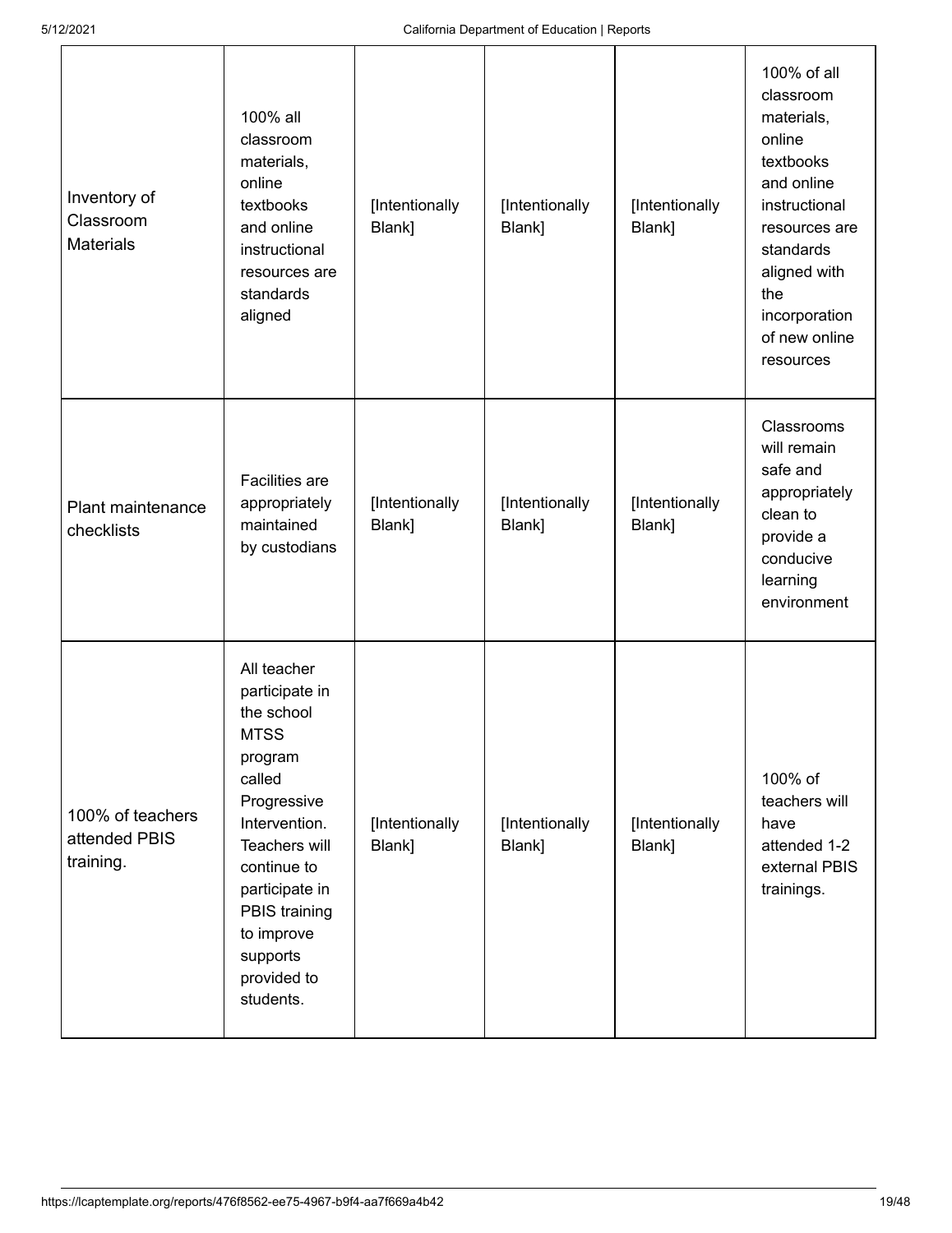| Inventory of<br>Classroom<br><b>Materials</b>  | 100% all<br>classroom<br>materials,<br>online<br>textbooks<br>and online<br>instructional<br>resources are<br>standards<br>aligned                                                                                                       | [Intentionally<br>Blank] | [Intentionally<br>Blank] | [Intentionally<br>Blank] | 100% of all<br>classroom<br>materials,<br>online<br>textbooks<br>and online<br>instructional<br>resources are<br>standards<br>aligned with<br>the<br>incorporation<br>of new online<br>resources |
|------------------------------------------------|------------------------------------------------------------------------------------------------------------------------------------------------------------------------------------------------------------------------------------------|--------------------------|--------------------------|--------------------------|--------------------------------------------------------------------------------------------------------------------------------------------------------------------------------------------------|
| Plant maintenance<br>checklists                | <b>Facilities</b> are<br>appropriately<br>maintained<br>by custodians                                                                                                                                                                    | [Intentionally<br>Blank] | [Intentionally<br>Blank] | [Intentionally<br>Blank] | Classrooms<br>will remain<br>safe and<br>appropriately<br>clean to<br>provide a<br>conducive<br>learning<br>environment                                                                          |
| 100% of teachers<br>attended PBIS<br>training. | All teacher<br>participate in<br>the school<br><b>MTSS</b><br>program<br>called<br>Progressive<br>Intervention.<br>Teachers will<br>continue to<br>participate in<br>PBIS training<br>to improve<br>supports<br>provided to<br>students. | [Intentionally<br>Blank] | [Intentionally<br>Blank] | [Intentionally<br>Blank] | 100% of<br>teachers will<br>have<br>attended 1-2<br>external PBIS<br>trainings.                                                                                                                  |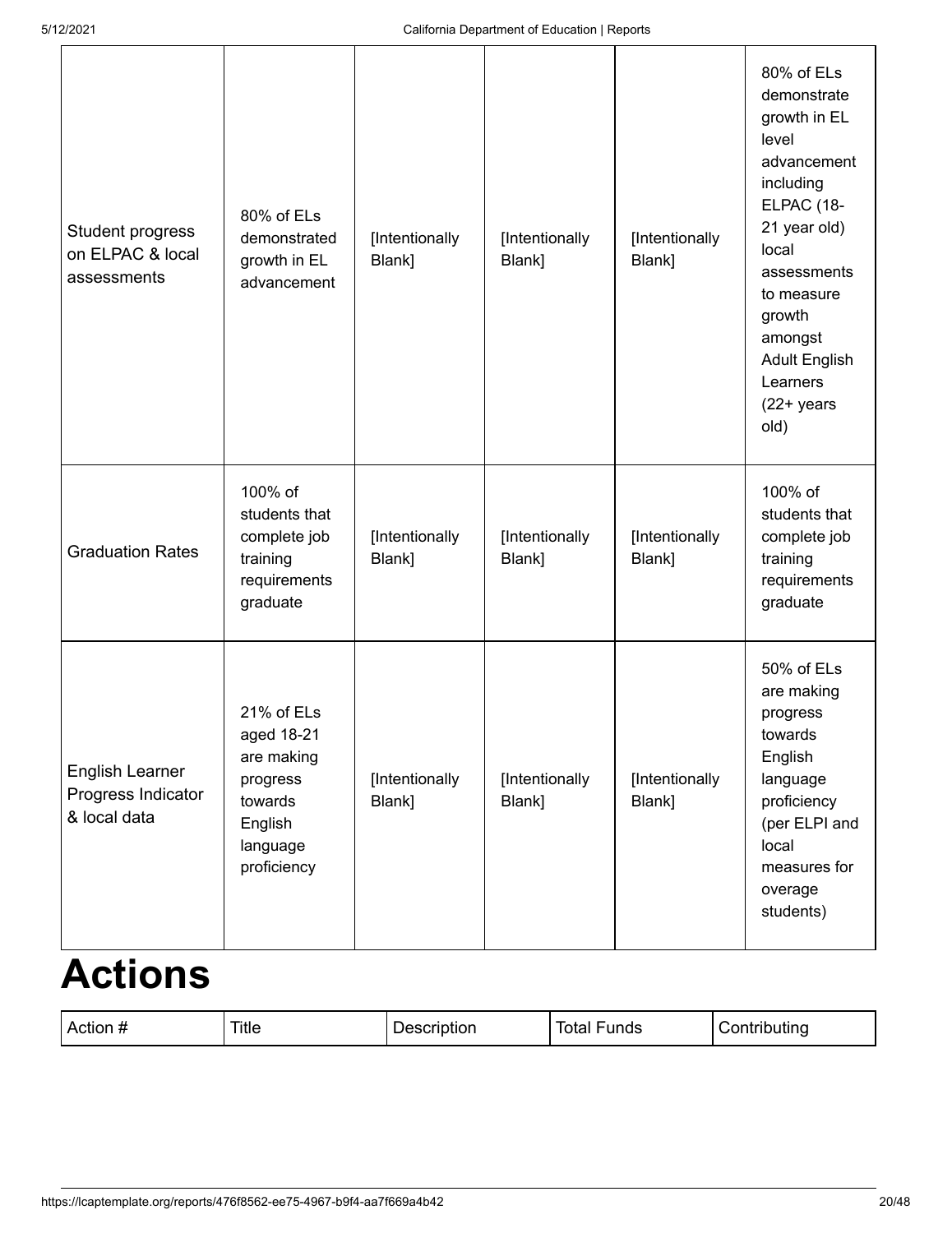| Student progress<br>on ELPAC & local<br>assessments   | 80% of ELs<br>demonstrated<br>growth in EL<br>advancement                                           | [Intentionally<br>Blank] | [Intentionally<br>Blank] | [Intentionally<br>Blank] | 80% of ELs<br>demonstrate<br>growth in EL<br>level<br>advancement<br>including<br>ELPAC (18-<br>21 year old)<br>local<br>assessments<br>to measure<br>growth<br>amongst<br><b>Adult English</b><br>Learners<br>$(22+)$ years<br>old) |
|-------------------------------------------------------|-----------------------------------------------------------------------------------------------------|--------------------------|--------------------------|--------------------------|--------------------------------------------------------------------------------------------------------------------------------------------------------------------------------------------------------------------------------------|
| <b>Graduation Rates</b>                               | 100% of<br>students that<br>complete job<br>training<br>requirements<br>graduate                    | [Intentionally<br>Blank] | [Intentionally<br>Blank] | [Intentionally<br>Blank] | 100% of<br>students that<br>complete job<br>training<br>requirements<br>graduate                                                                                                                                                     |
| English Learner<br>Progress Indicator<br>& local data | 21% of ELs<br>aged 18-21<br>are making<br>progress<br>towards<br>English<br>language<br>proficiency | [Intentionally<br>Blank] | [Intentionally<br>Blank] | [Intentionally<br>Blank] | 50% of ELs<br>are making<br>progress<br>towards<br>English<br>language<br>proficiency<br>(per ELPI and<br>local<br>measures for<br>overage<br>students)                                                                              |

### **Actions**

| - - --<br>. ACIRIL | ние<br>- U U U | --<br>- - - - - - -<br>.<br>Total<br>וטווטו י | ----<br>.<br>----<br>unas |
|--------------------|----------------|-----------------------------------------------|---------------------------|
|--------------------|----------------|-----------------------------------------------|---------------------------|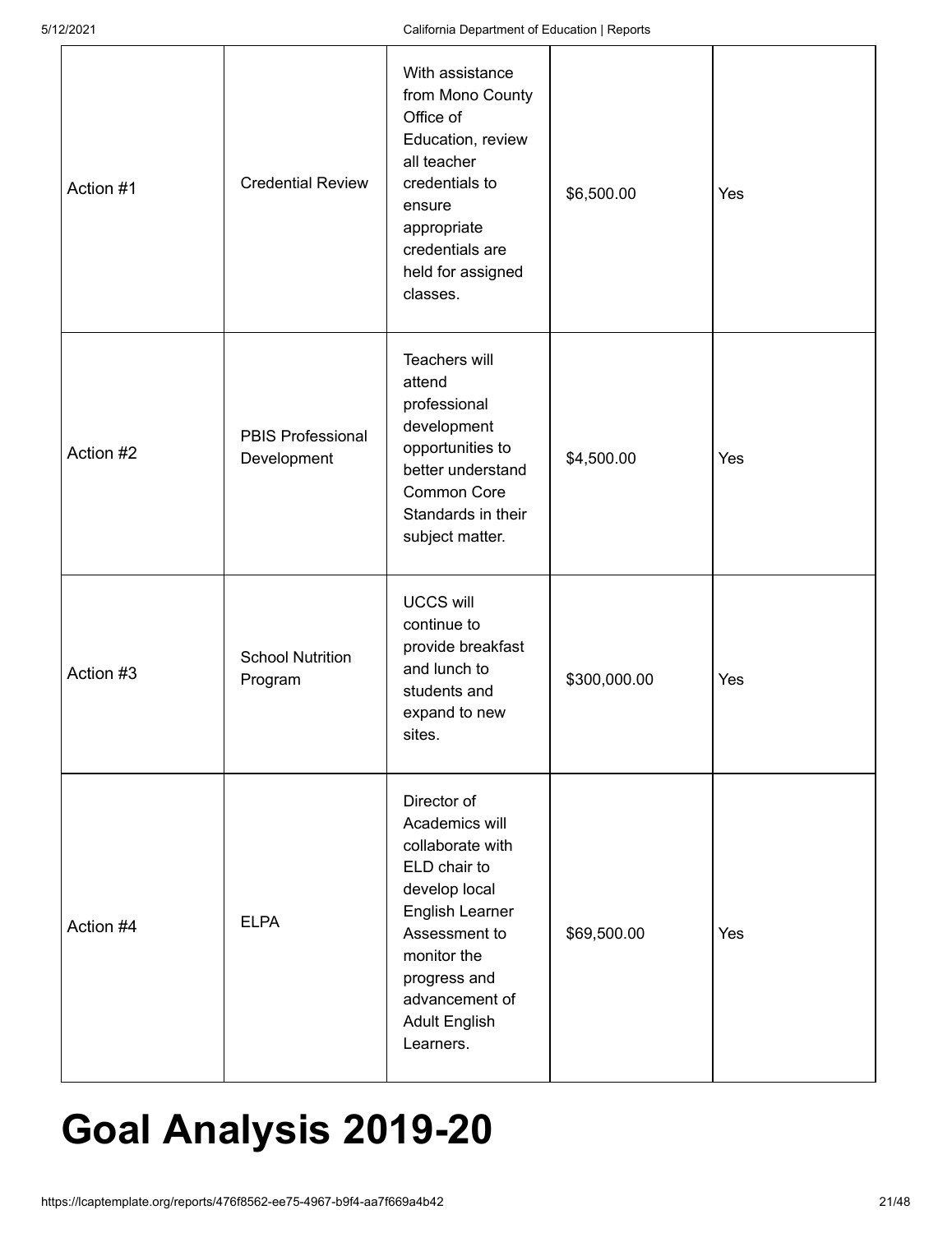| Action #1 | <b>Credential Review</b>                | With assistance<br>from Mono County<br>Office of<br>Education, review<br>all teacher<br>credentials to<br>ensure<br>appropriate<br>credentials are<br>held for assigned<br>classes.                          | \$6,500.00   | Yes |
|-----------|-----------------------------------------|--------------------------------------------------------------------------------------------------------------------------------------------------------------------------------------------------------------|--------------|-----|
| Action #2 | <b>PBIS Professional</b><br>Development | Teachers will<br>attend<br>professional<br>development<br>opportunities to<br>better understand<br><b>Common Core</b><br>Standards in their<br>subject matter.                                               | \$4,500.00   | Yes |
| Action #3 | <b>School Nutrition</b><br>Program      | <b>UCCS will</b><br>continue to<br>provide breakfast<br>and lunch to<br>students and<br>expand to new<br>sites.                                                                                              | \$300,000.00 | Yes |
| Action #4 | <b>ELPA</b>                             | Director of<br>Academics will<br>collaborate with<br>ELD chair to<br>develop local<br>English Learner<br>Assessment to<br>monitor the<br>progress and<br>advancement of<br><b>Adult English</b><br>Learners. | \$69,500.00  | Yes |

## **Goal Analysis 2019-20**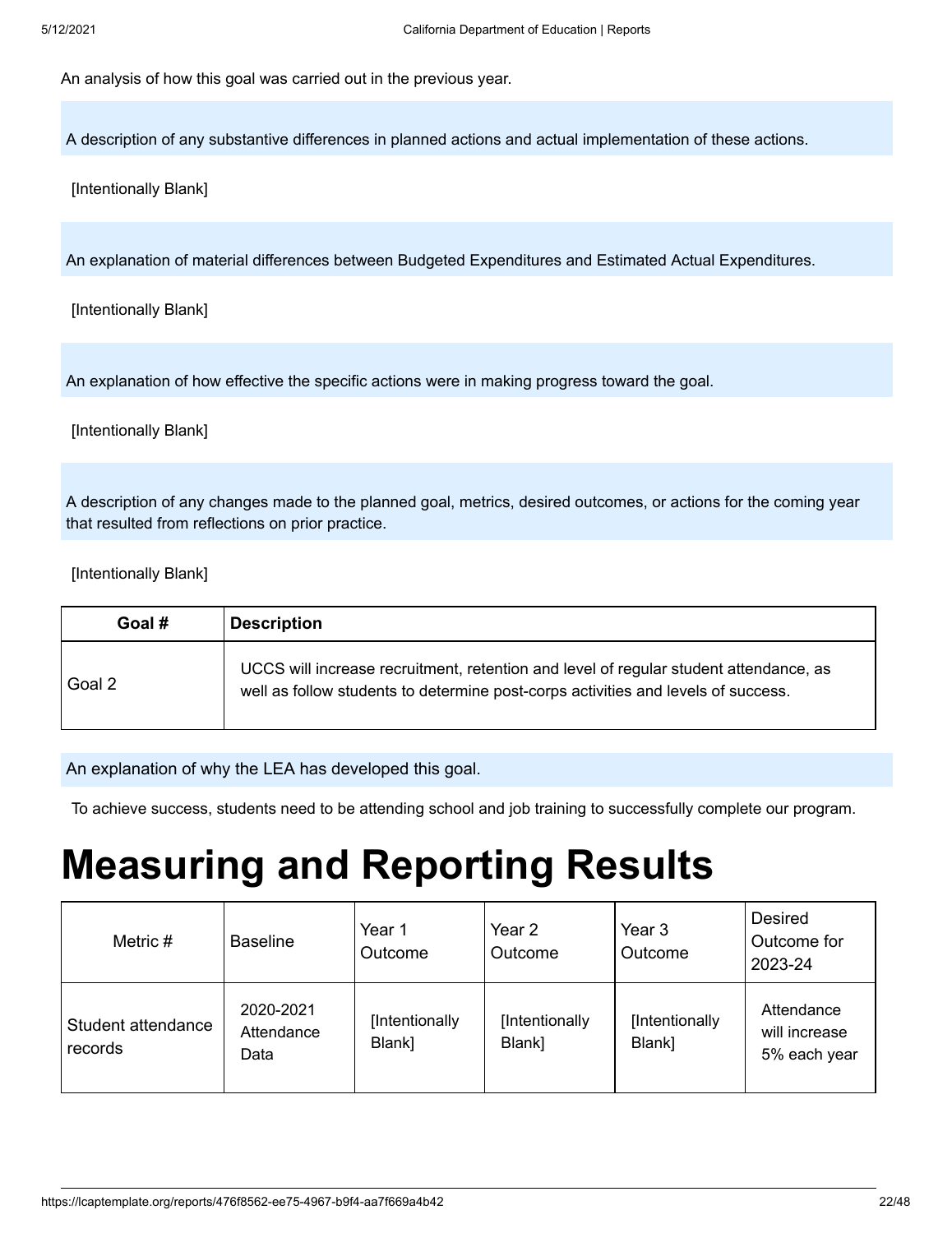An analysis of how this goal was carried out in the previous year.

A description of any substantive differences in planned actions and actual implementation of these actions.

[Intentionally Blank]

An explanation of material differences between Budgeted Expenditures and Estimated Actual Expenditures.

[Intentionally Blank]

An explanation of how effective the specific actions were in making progress toward the goal.

[Intentionally Blank]

A description of any changes made to the planned goal, metrics, desired outcomes, or actions for the coming year that resulted from reflections on prior practice.

[Intentionally Blank]

| Goal # | <b>Description</b>                                                                                                                                                         |
|--------|----------------------------------------------------------------------------------------------------------------------------------------------------------------------------|
| Goal 2 | UCCS will increase recruitment, retention and level of regular student attendance, as<br>well as follow students to determine post-corps activities and levels of success. |

An explanation of why the LEA has developed this goal.

To achieve success, students need to be attending school and job training to successfully complete our program.

## **Measuring and Reporting Results**

| Metric $#$                    | <b>Baseline</b>                 | Year 1<br>Outcome        | Year 2<br>Outcome        | Year 3<br><b>Outcome</b> | <b>Desired</b><br>Outcome for<br>2023-24    |
|-------------------------------|---------------------------------|--------------------------|--------------------------|--------------------------|---------------------------------------------|
| Student attendance<br>records | 2020-2021<br>Attendance<br>Data | [Intentionally<br>Blank] | [Intentionally<br>Blank] | [Intentionally<br>Blank] | Attendance<br>will increase<br>5% each year |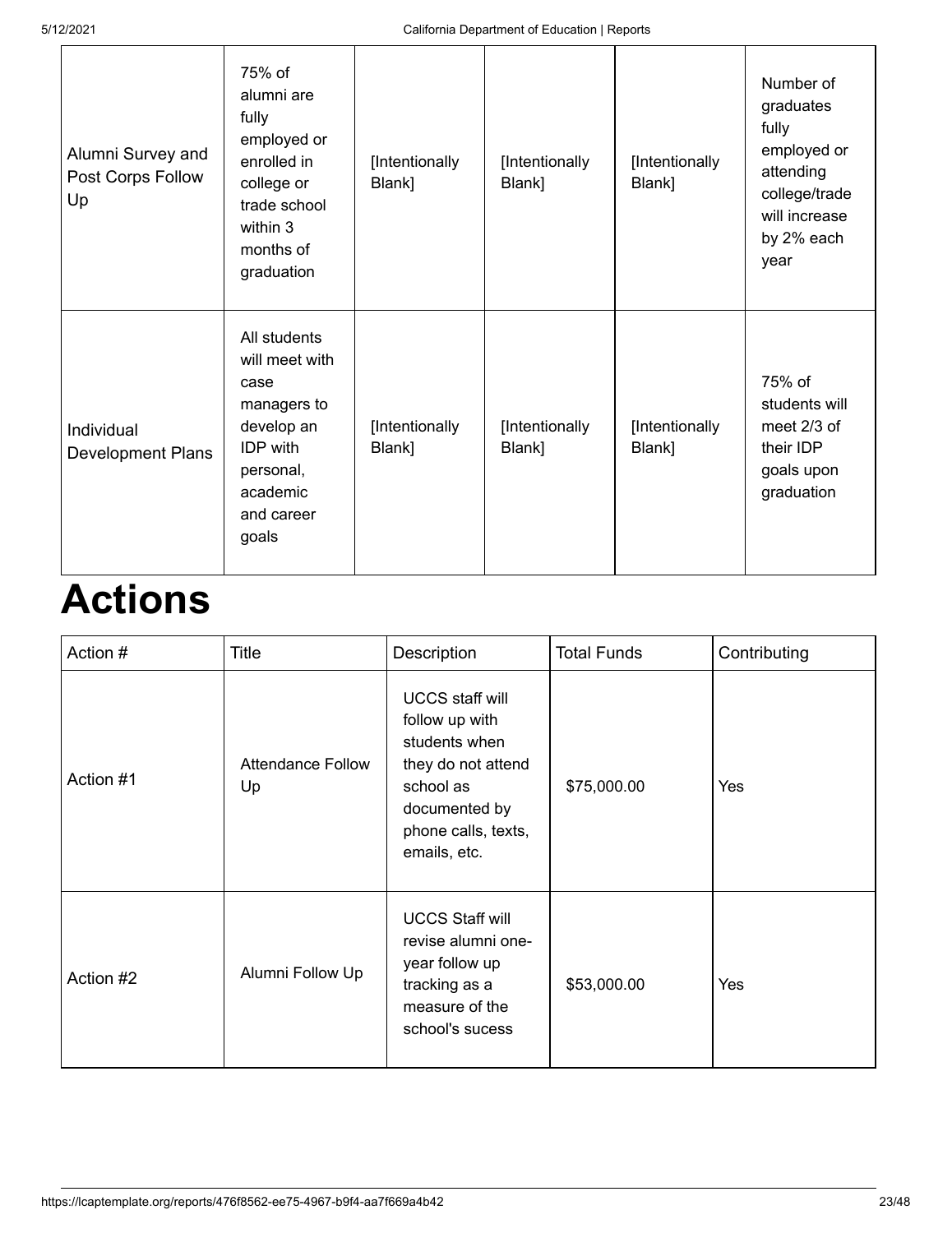| Alumni Survey and<br>Post Corps Follow<br>Up | 75% of<br>alumni are<br>fully<br>employed or<br>enrolled in<br>college or<br>trade school<br>within 3<br>months of<br>graduation       | [Intentionally<br>Blank] | [Intentionally<br>Blank] | [Intentionally<br>Blank] | Number of<br>graduates<br>fully<br>employed or<br>attending<br>college/trade<br>will increase<br>by 2% each<br>year |
|----------------------------------------------|----------------------------------------------------------------------------------------------------------------------------------------|--------------------------|--------------------------|--------------------------|---------------------------------------------------------------------------------------------------------------------|
| Individual<br><b>Development Plans</b>       | All students<br>will meet with<br>case<br>managers to<br>develop an<br><b>IDP</b> with<br>personal,<br>academic<br>and career<br>goals | [Intentionally<br>Blank] | [Intentionally<br>Blank] | [Intentionally<br>Blank] | 75% of<br>students will<br>meet $2/3$ of<br>their IDP<br>goals upon<br>graduation                                   |

## **Actions**

| Action #  | Title                          | Description                                                                                                                                          | <b>Total Funds</b> | Contributing |
|-----------|--------------------------------|------------------------------------------------------------------------------------------------------------------------------------------------------|--------------------|--------------|
| Action #1 | <b>Attendance Follow</b><br>Up | <b>UCCS staff will</b><br>follow up with<br>students when<br>they do not attend<br>school as<br>documented by<br>phone calls, texts,<br>emails, etc. | \$75,000.00        | <b>Yes</b>   |
| Action #2 | Alumni Follow Up               | <b>UCCS Staff will</b><br>revise alumni one-<br>year follow up<br>tracking as a<br>measure of the<br>school's sucess                                 | \$53,000.00        | <b>Yes</b>   |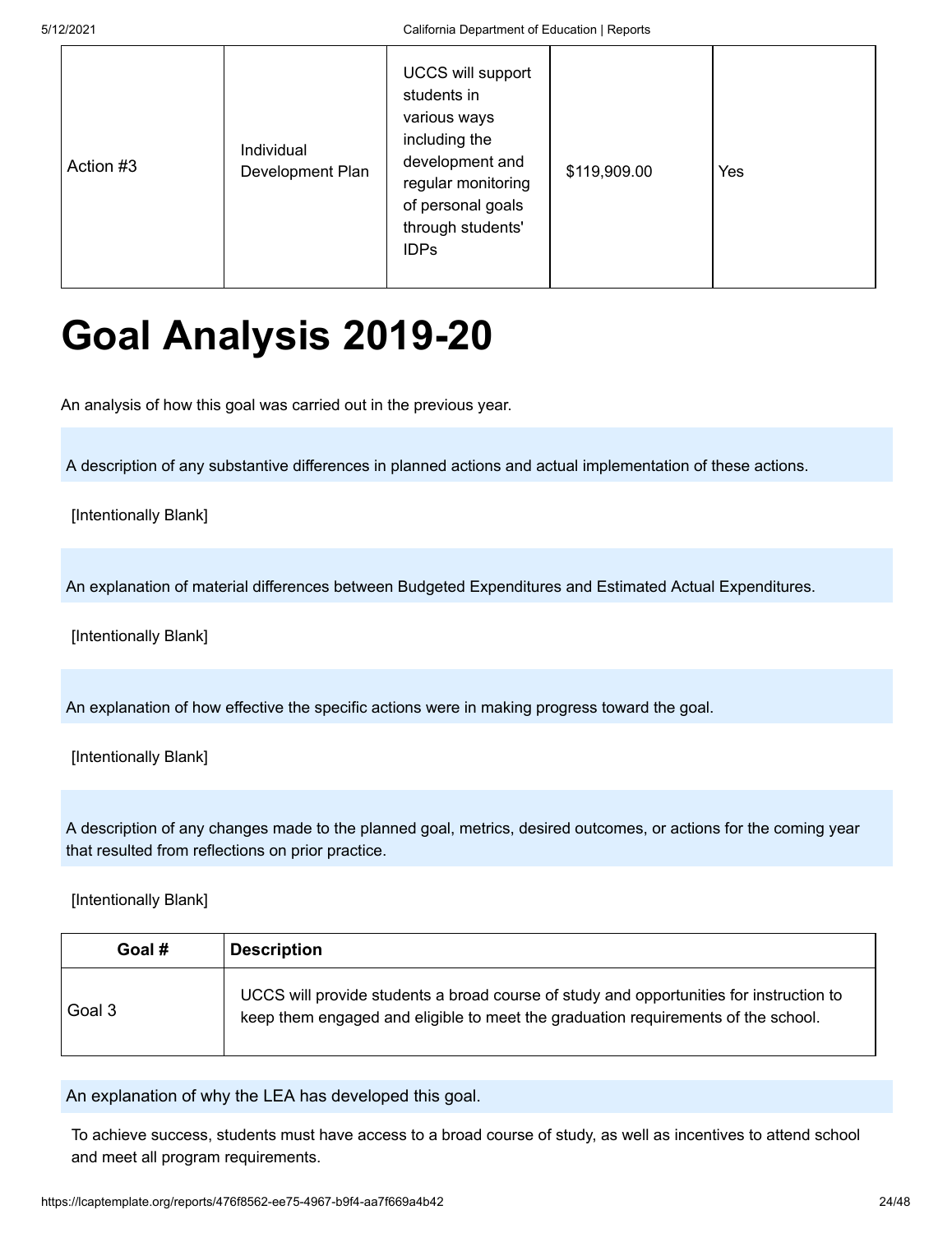5/12/2021 California Department of Education | Reports

| Individual<br>Action #3<br>Development Plan | <b>UCCS will support</b><br>students in<br>various ways<br>including the<br>development and<br>regular monitoring<br>of personal goals<br>through students'<br><b>IDPs</b> | \$119,909.00 | Yes |
|---------------------------------------------|----------------------------------------------------------------------------------------------------------------------------------------------------------------------------|--------------|-----|
|---------------------------------------------|----------------------------------------------------------------------------------------------------------------------------------------------------------------------------|--------------|-----|

## **Goal Analysis 2019-20**

An analysis of how this goal was carried out in the previous year.

A description of any substantive differences in planned actions and actual implementation of these actions.

[Intentionally Blank]

An explanation of material differences between Budgeted Expenditures and Estimated Actual Expenditures.

[Intentionally Blank]

An explanation of how effective the specific actions were in making progress toward the goal.

[Intentionally Blank]

A description of any changes made to the planned goal, metrics, desired outcomes, or actions for the coming year that resulted from reflections on prior practice.

[Intentionally Blank]

| Goal # | <b>Description</b>                                                                                                                                                           |
|--------|------------------------------------------------------------------------------------------------------------------------------------------------------------------------------|
| Goal 3 | UCCS will provide students a broad course of study and opportunities for instruction to<br>keep them engaged and eligible to meet the graduation requirements of the school. |

An explanation of why the LEA has developed this goal.

To achieve success, students must have access to a broad course of study, as well as incentives to attend school and meet all program requirements.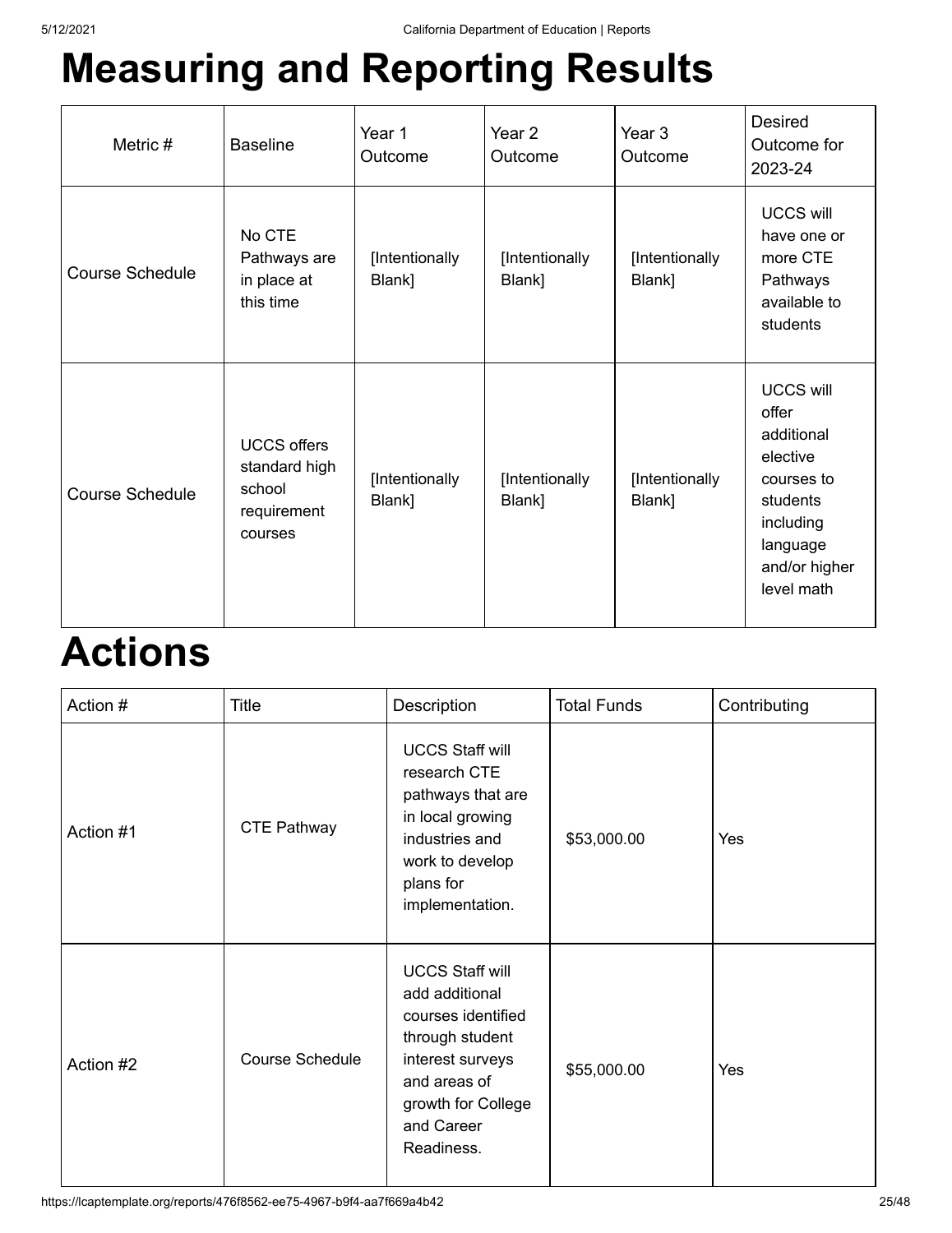## **Measuring and Reporting Results**

| Metric #               | <b>Baseline</b>                                                         | Year 1<br>Outcome        | Year 2<br>Outcome        | Year 3<br>Outcome        | <b>Desired</b><br>Outcome for<br>2023-24                                                                                              |
|------------------------|-------------------------------------------------------------------------|--------------------------|--------------------------|--------------------------|---------------------------------------------------------------------------------------------------------------------------------------|
| <b>Course Schedule</b> | No CTE<br>Pathways are<br>in place at<br>this time                      | [Intentionally<br>Blank] | [Intentionally<br>Blank] | [Intentionally<br>Blank] | <b>UCCS will</b><br>have one or<br>more CTE<br>Pathways<br>available to<br>students                                                   |
| <b>Course Schedule</b> | <b>UCCS offers</b><br>standard high<br>school<br>requirement<br>courses | [Intentionally<br>Blank] | [Intentionally<br>Blank] | [Intentionally<br>Blank] | <b>UCCS will</b><br>offer<br>additional<br>elective<br>courses to<br>students<br>including<br>language<br>and/or higher<br>level math |

## **Actions**

| Action #  | Title                  | Description                                                                                                                                                             | <b>Total Funds</b> | Contributing |
|-----------|------------------------|-------------------------------------------------------------------------------------------------------------------------------------------------------------------------|--------------------|--------------|
| Action #1 | <b>CTE Pathway</b>     | <b>UCCS Staff will</b><br>research CTE<br>pathways that are<br>in local growing<br>industries and<br>work to develop<br>plans for<br>implementation.                    | \$53,000.00        | Yes          |
| Action #2 | <b>Course Schedule</b> | <b>UCCS Staff will</b><br>add additional<br>courses identified<br>through student<br>interest surveys<br>and areas of<br>growth for College<br>and Career<br>Readiness. | \$55,000.00        | Yes          |

https://lcaptemplate.org/reports/476f8562-ee75-4967-b9f4-aa7f669a4b42 25/48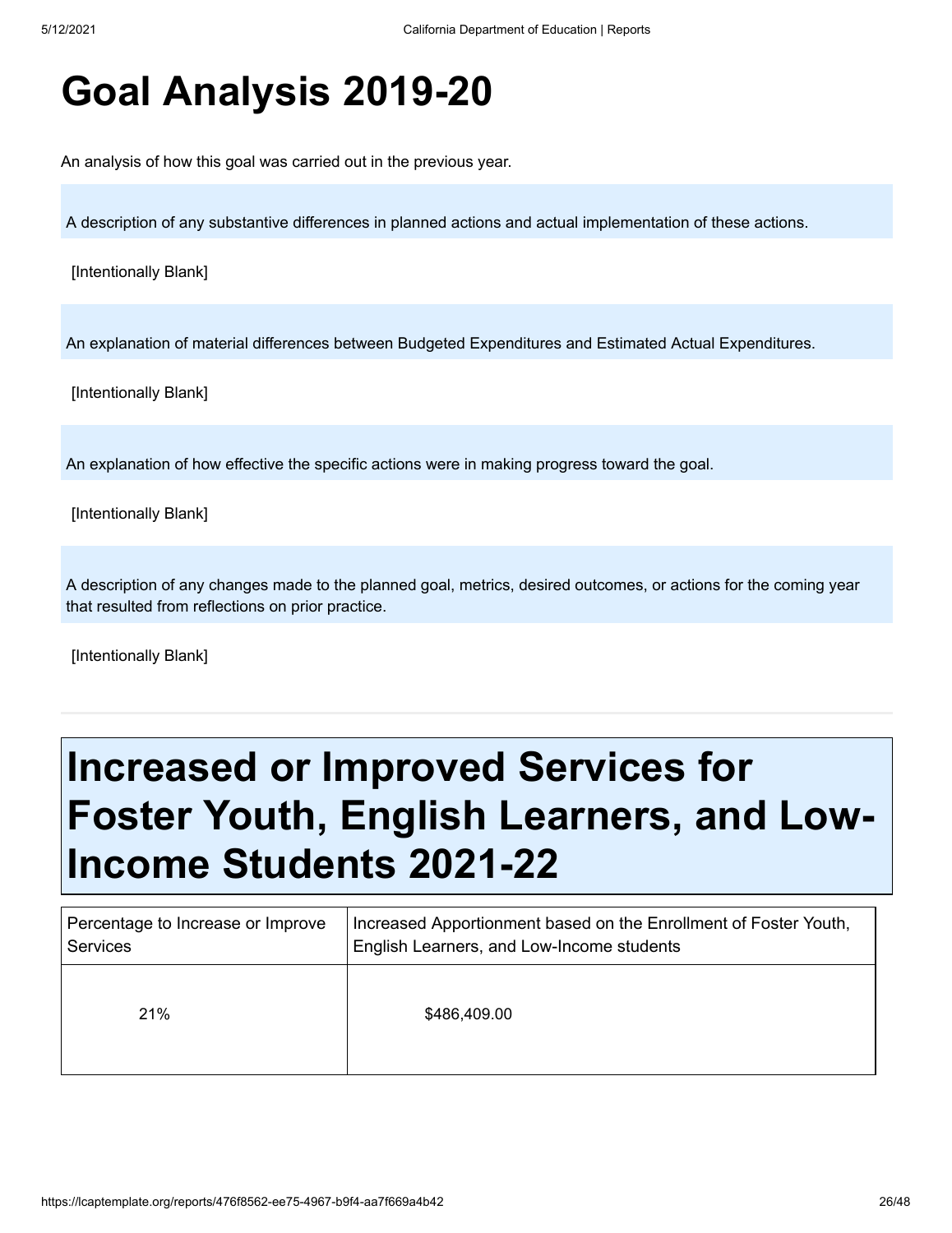## **Goal Analysis 2019-20**

An analysis of how this goal was carried out in the previous year.

A description of any substantive differences in planned actions and actual implementation of these actions.

[Intentionally Blank]

An explanation of material differences between Budgeted Expenditures and Estimated Actual Expenditures.

[Intentionally Blank]

An explanation of how effective the specific actions were in making progress toward the goal.

[Intentionally Blank]

A description of any changes made to the planned goal, metrics, desired outcomes, or actions for the coming year that resulted from reflections on prior practice.

[Intentionally Blank]

## **Increased or Improved Services for Foster Youth, English Learners, and Low-Income Students 2021-22**

| Percentage to Increase or Improve | Increased Apportionment based on the Enrollment of Foster Youth, |
|-----------------------------------|------------------------------------------------------------------|
| Services                          | English Learners, and Low-Income students                        |
| 21%                               | \$486,409.00                                                     |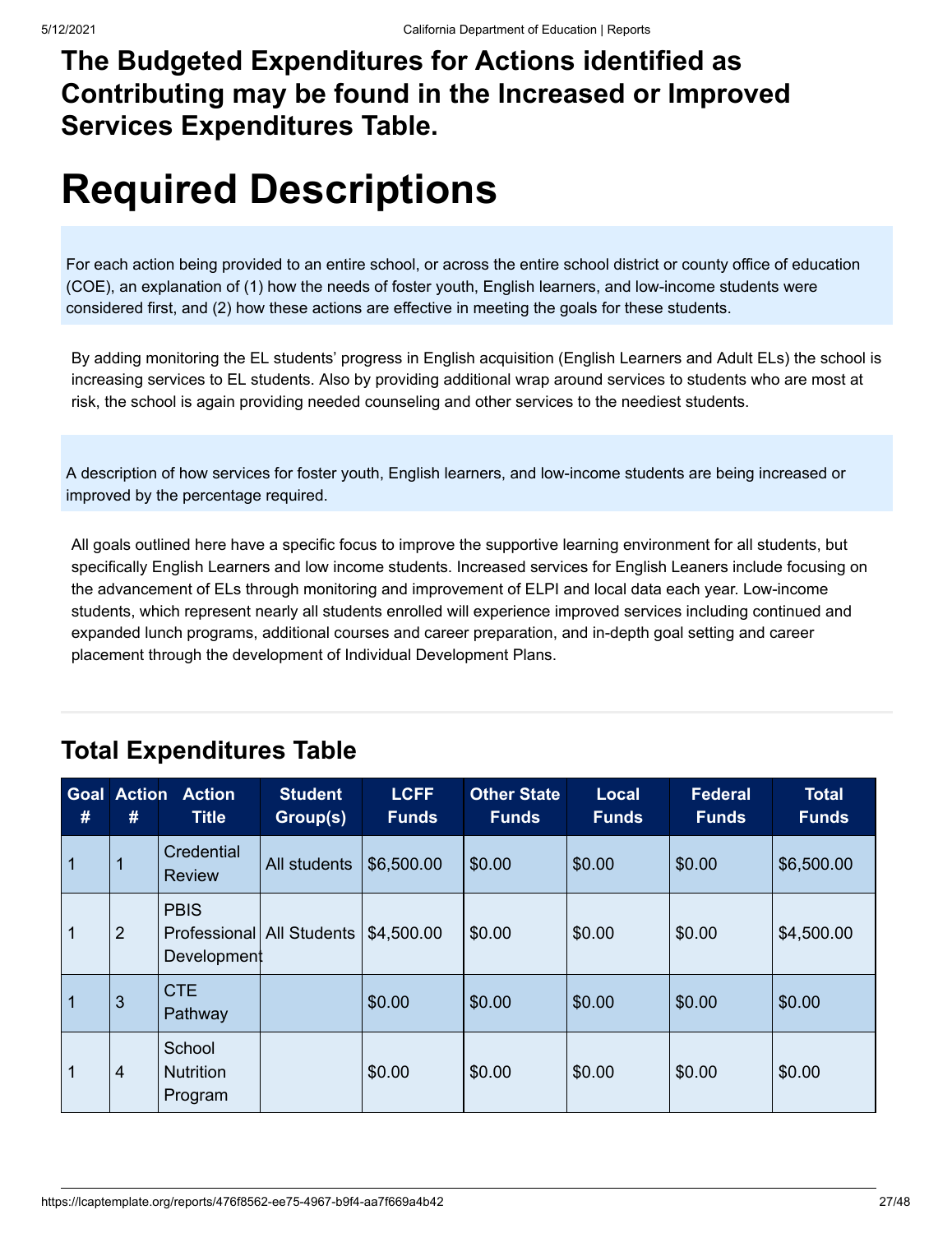### **The Budgeted Expenditures for Actions identified as Contributing may be found in the Increased or Improved Services Expenditures Table.**

## **Required Descriptions**

For each action being provided to an entire school, or across the entire school district or county office of education (COE), an explanation of (1) how the needs of foster youth, English learners, and low-income students were considered first, and (2) how these actions are effective in meeting the goals for these students.

By adding monitoring the EL students' progress in English acquisition (English Learners and Adult ELs) the school is increasing services to EL students. Also by providing additional wrap around services to students who are most at risk, the school is again providing needed counseling and other services to the neediest students.

A description of how services for foster youth, English learners, and low-income students are being increased or improved by the percentage required.

All goals outlined here have a specific focus to improve the supportive learning environment for all students, but specifically English Learners and low income students. Increased services for English Leaners include focusing on the advancement of ELs through monitoring and improvement of ELPI and local data each year. Low-income students, which represent nearly all students enrolled will experience improved services including continued and expanded lunch programs, additional courses and career preparation, and in-depth goal setting and career placement through the development of Individual Development Plans.

| Goal<br>#      | <b>Action</b><br># | <b>Action</b><br><b>Title</b>                           | <b>Student</b><br>Group(s) | <b>LCFF</b><br><b>Funds</b> | <b>Other State</b><br><b>Funds</b> | <b>Local</b><br><b>Funds</b> | <b>Federal</b><br><b>Funds</b> | <b>Total</b><br><b>Funds</b> |
|----------------|--------------------|---------------------------------------------------------|----------------------------|-----------------------------|------------------------------------|------------------------------|--------------------------------|------------------------------|
| $\overline{1}$ |                    | <b>Credential</b><br><b>Review</b>                      | All students               | \$6,500.00                  | \$0.00                             | \$0.00                       | \$0.00                         | \$6,500.00                   |
| $\mathbf 1$    | $\overline{2}$     | <b>PBIS</b><br>Professional All Students<br>Development |                            | \$4,500.00                  | \$0.00                             | \$0.00                       | \$0.00                         | \$4,500.00                   |
| $\overline{1}$ | 3                  | <b>CTE</b><br>Pathway                                   |                            | \$0.00                      | \$0.00                             | \$0.00                       | \$0.00                         | \$0.00                       |
| 1              | 4                  | School<br><b>Nutrition</b><br>Program                   |                            | \$0.00                      | \$0.00                             | \$0.00                       | \$0.00                         | \$0.00                       |

### **Total Expenditures Table**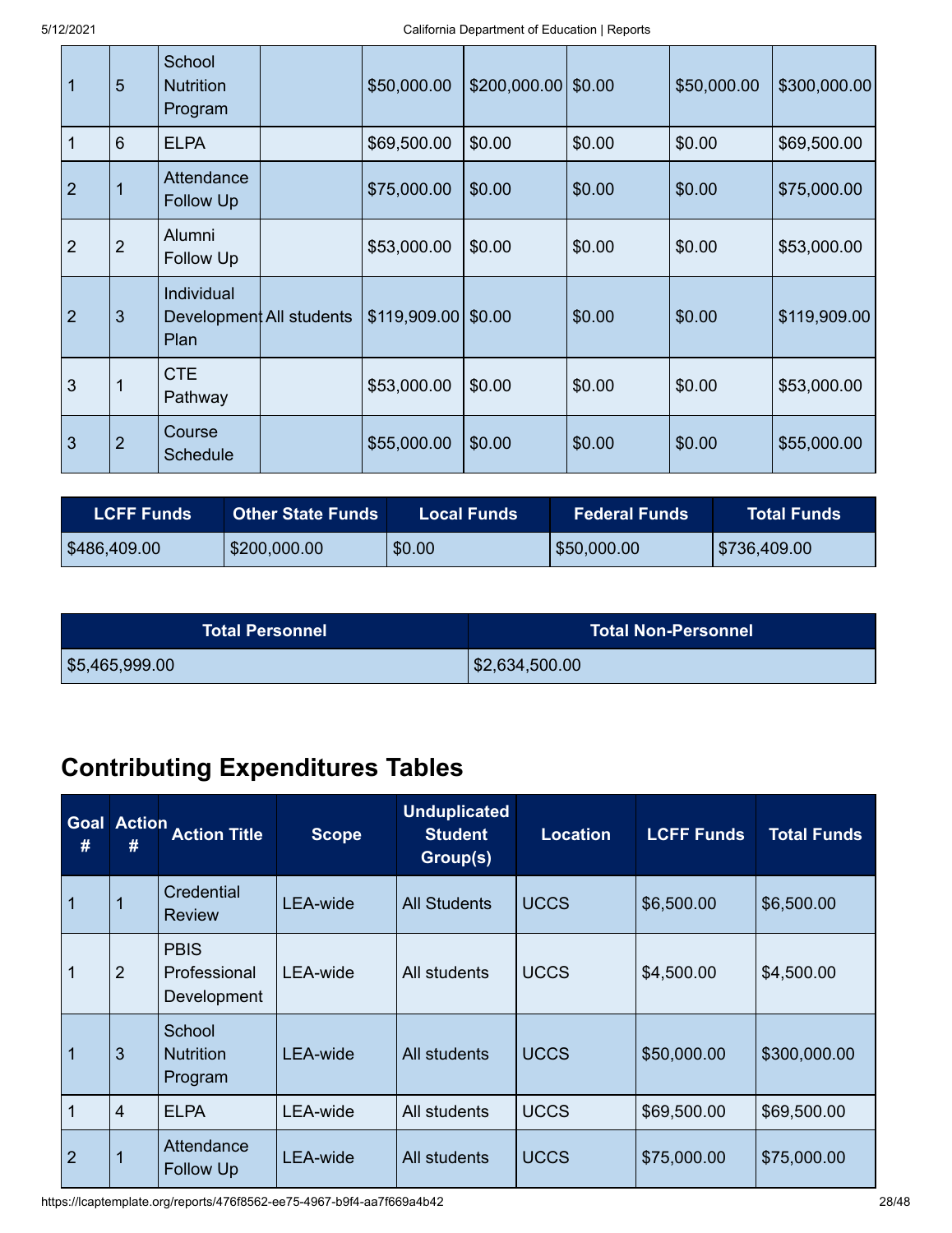| 1              | 5              | School<br><b>Nutrition</b><br>Program          | \$50,000.00          | $$200,000.00$ \$0.00 |        | \$50,000.00 | \$300,000.00 |
|----------------|----------------|------------------------------------------------|----------------------|----------------------|--------|-------------|--------------|
| 1              | 6              | <b>ELPA</b>                                    | \$69,500.00          | \$0.00               | \$0.00 | \$0.00      | \$69,500.00  |
| $\overline{2}$ |                | Attendance<br>Follow Up                        | \$75,000.00          | \$0.00               | \$0.00 | \$0.00      | \$75,000.00  |
| $\overline{2}$ | $\overline{2}$ | Alumni<br>Follow Up                            | \$53,000.00          | \$0.00               | \$0.00 | \$0.00      | \$53,000.00  |
| $\overline{2}$ | 3              | Individual<br>Development All students<br>Plan | $$119,909.00$ \$0.00 |                      | \$0.00 | \$0.00      | \$119,909.00 |
| 3              |                | <b>CTE</b><br>Pathway                          | \$53,000.00          | \$0.00               | \$0.00 | \$0.00      | \$53,000.00  |
| 3              | $\overline{2}$ | Course<br><b>Schedule</b>                      | \$55,000.00          | \$0.00               | \$0.00 | \$0.00      | \$55,000.00  |

| <b>LCFF Funds</b> | <b>Other State Funds</b> | <b>Local Funds</b> | <b>Federal Funds</b> |              |
|-------------------|--------------------------|--------------------|----------------------|--------------|
| \$486,409.00      | \$200,000.00             | \$0.00             | \$50,000.00          | \$736,409.00 |

| <b>Total Personnel</b> | <b>Total Non-Personnel</b> |
|------------------------|----------------------------|
| \$5,465,999.00         | \$2,634,500.00             |

### **Contributing Expenditures Tables**

| <b>Goal</b><br># | <b>Action</b><br># | <b>Action Title</b>                        | <b>Scope</b>    | <b>Unduplicated</b><br><b>Student</b><br>Group(s) | <b>Location</b> | <b>LCFF Funds</b> | <b>Total Funds</b> |
|------------------|--------------------|--------------------------------------------|-----------------|---------------------------------------------------|-----------------|-------------------|--------------------|
| 1                |                    | Credential<br><b>Review</b>                | <b>LEA-wide</b> | <b>All Students</b>                               | <b>UCCS</b>     | \$6,500.00        | \$6,500.00         |
| 1                | $\overline{2}$     | <b>PBIS</b><br>Professional<br>Development | LEA-wide        | All students                                      | <b>UCCS</b>     | \$4,500.00        | \$4,500.00         |
| 1                | 3                  | School<br><b>Nutrition</b><br>Program      | LEA-wide        | All students                                      | <b>UCCS</b>     | \$50,000.00       | \$300,000.00       |
| 1                | $\overline{4}$     | <b>ELPA</b>                                | LEA-wide        | All students                                      | <b>UCCS</b>     | \$69,500.00       | \$69,500.00        |
| $\overline{2}$   | 1                  | Attendance<br>Follow Up                    | <b>LEA-wide</b> | All students                                      | <b>UCCS</b>     | \$75,000.00       | \$75,000.00        |

https://lcaptemplate.org/reports/476f8562-ee75-4967-b9f4-aa7f669a4b42 28/48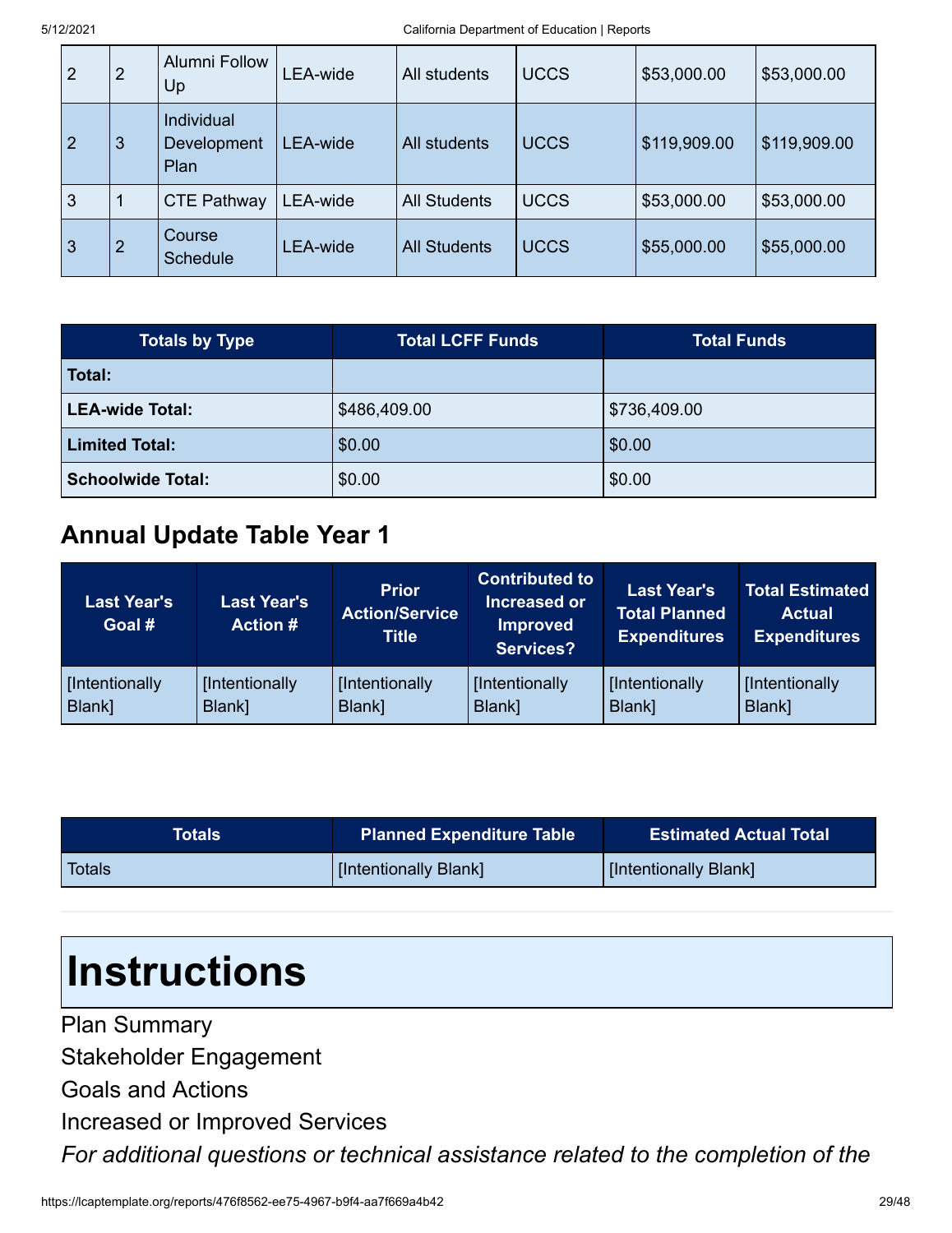| $\overline{2}$ | 2 | <b>Alumni Follow</b><br>Up               | LEA-wide | All students        | <b>UCCS</b> | \$53,000.00  | \$53,000.00  |
|----------------|---|------------------------------------------|----------|---------------------|-------------|--------------|--------------|
| $\overline{2}$ | 3 | <b>Individual</b><br>Development<br>Plan | LEA-wide | All students        | <b>UCCS</b> | \$119,909.00 | \$119,909.00 |
| 3              |   | <b>CTE Pathway</b>                       | LEA-wide | <b>All Students</b> | <b>UCCS</b> | \$53,000.00  | \$53,000.00  |
| $\overline{3}$ | 2 | Course<br><b>Schedule</b>                | LEA-wide | <b>All Students</b> | <b>UCCS</b> | \$55,000.00  | \$55,000.00  |

| <b>Totals by Type</b>    | <b>Total LCFF Funds</b> | <b>Total Funds</b> |
|--------------------------|-------------------------|--------------------|
| Total:                   |                         |                    |
| <b>LEA-wide Total:</b>   | \$486,409.00            | \$736,409.00       |
| <b>Limited Total:</b>    | \$0.00                  | \$0.00             |
| <b>Schoolwide Total:</b> | \$0.00                  | \$0.00             |

#### **Annual Update Table Year 1**

| <b>Last Year's</b><br>Goal # | <b>Last Year's</b><br><b>Action #</b> | <b>Prior</b><br><b>Action/Service</b><br><b>Title</b> | <b>Contributed to</b><br>Increased or<br><b>Improved</b><br><b>Services?</b> | <b>Last Year's</b><br><b>Total Planned</b><br><b>Expenditures</b> | <b>Total Estimated</b><br><b>Actual</b><br><b>Expenditures</b> |
|------------------------------|---------------------------------------|-------------------------------------------------------|------------------------------------------------------------------------------|-------------------------------------------------------------------|----------------------------------------------------------------|
| [Intentionally               | [Intentionally                        | [Intentionally                                        | [Intentionally                                                               | [Intentionally                                                    | [Intentionally                                                 |
| Blank]                       | Blank]                                | Blank]                                                | Blank]                                                                       | Blank]                                                            | Blank]                                                         |

| Totals <b>'</b> | <b>Planned Expenditure Table</b> | <b>Estimated Actual Total</b> |
|-----------------|----------------------------------|-------------------------------|
| Totals          | [Intentionally Blank]            | [Intentionally Blank]         |

# **Instructions**

Plan Summary Stakeholder Engagement Goals and Actions Increased or Improved Services *For additional questions or technical assistance related to the completion of the*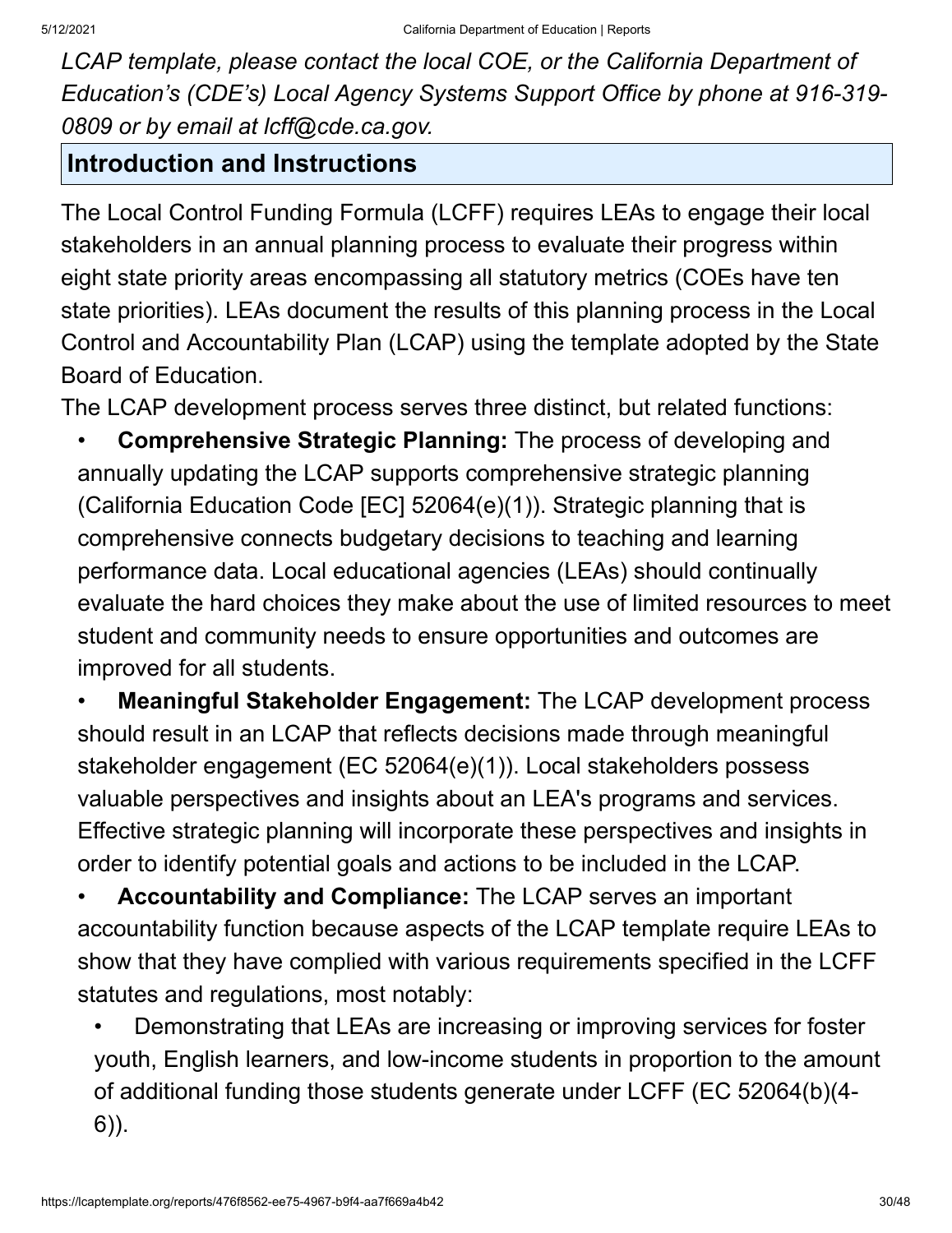*LCAP template, please contact the local COE, or the California Department of Education's (CDE's) Local Agency Systems Support Office by phone at 916-319- 0809 or by email at lcff@cde.ca.gov.*

#### **Introduction and Instructions**

The Local Control Funding Formula (LCFF) requires LEAs to engage their local stakeholders in an annual planning process to evaluate their progress within eight state priority areas encompassing all statutory metrics (COEs have ten state priorities). LEAs document the results of this planning process in the Local Control and Accountability Plan (LCAP) using the template adopted by the State Board of Education.

The LCAP development process serves three distinct, but related functions:

• **Comprehensive Strategic Planning:** The process of developing and annually updating the LCAP supports comprehensive strategic planning (California Education Code [EC] 52064(e)(1)). Strategic planning that is comprehensive connects budgetary decisions to teaching and learning performance data. Local educational agencies (LEAs) should continually evaluate the hard choices they make about the use of limited resources to meet student and community needs to ensure opportunities and outcomes are improved for all students.

• **Meaningful Stakeholder Engagement:** The LCAP development process should result in an LCAP that reflects decisions made through meaningful stakeholder engagement (EC 52064(e)(1)). Local stakeholders possess valuable perspectives and insights about an LEA's programs and services. Effective strategic planning will incorporate these perspectives and insights in order to identify potential goals and actions to be included in the LCAP.

• **Accountability and Compliance:** The LCAP serves an important accountability function because aspects of the LCAP template require LEAs to show that they have complied with various requirements specified in the LCFF statutes and regulations, most notably:

• Demonstrating that LEAs are increasing or improving services for foster youth, English learners, and low-income students in proportion to the amount of additional funding those students generate under LCFF (EC 52064(b)(4- 6)).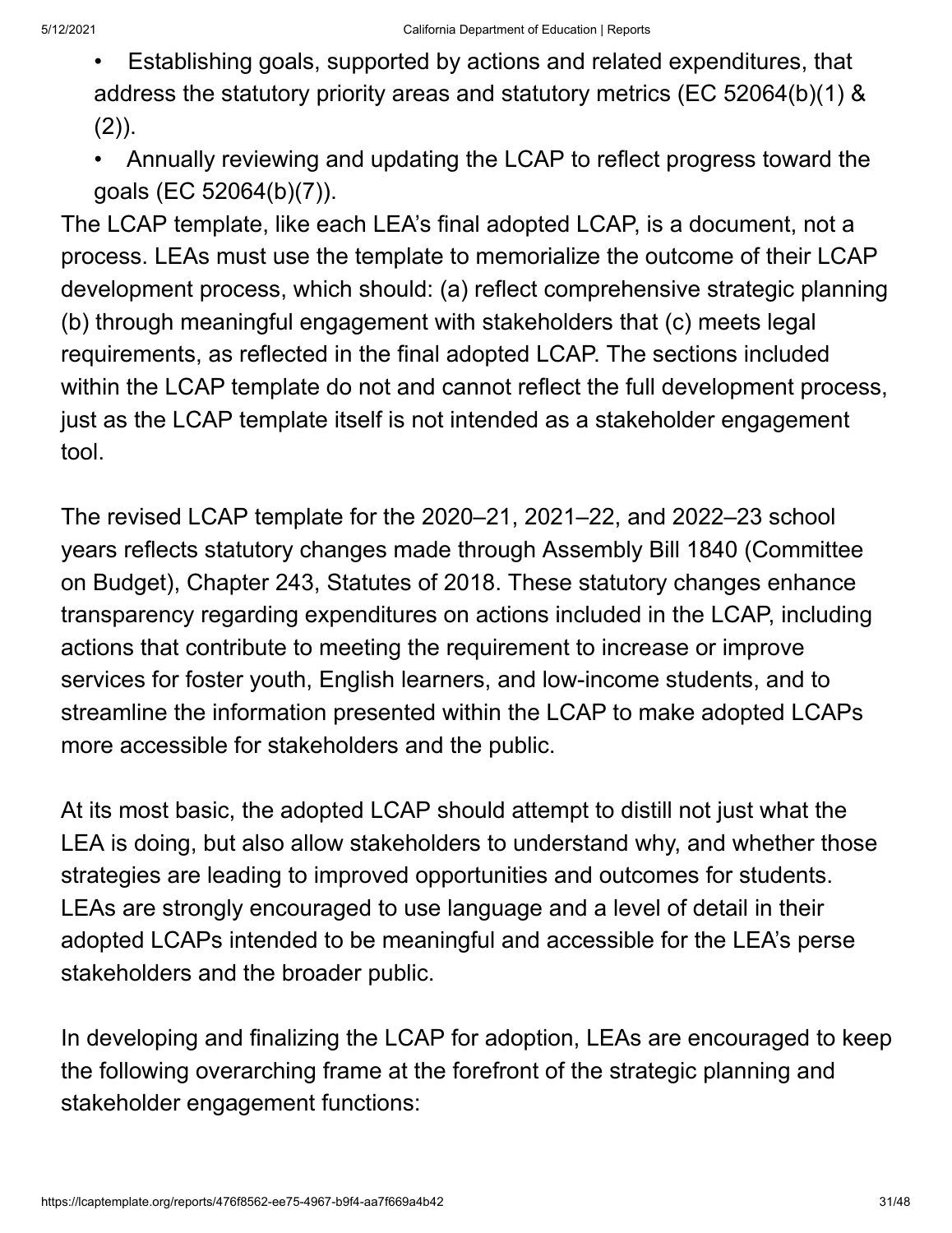- Establishing goals, supported by actions and related expenditures, that address the statutory priority areas and statutory metrics (EC 52064(b)(1) &  $(2)$ ).
- Annually reviewing and updating the LCAP to reflect progress toward the goals (EC 52064(b)(7)).

The LCAP template, like each LEA's final adopted LCAP, is a document, not a process. LEAs must use the template to memorialize the outcome of their LCAP development process, which should: (a) reflect comprehensive strategic planning (b) through meaningful engagement with stakeholders that (c) meets legal requirements, as reflected in the final adopted LCAP. The sections included within the LCAP template do not and cannot reflect the full development process, just as the LCAP template itself is not intended as a stakeholder engagement tool.

The revised LCAP template for the 2020–21, 2021–22, and 2022–23 school years reflects statutory changes made through Assembly Bill 1840 (Committee on Budget), Chapter 243, Statutes of 2018. These statutory changes enhance transparency regarding expenditures on actions included in the LCAP, including actions that contribute to meeting the requirement to increase or improve services for foster youth, English learners, and low-income students, and to streamline the information presented within the LCAP to make adopted LCAPs more accessible for stakeholders and the public.

At its most basic, the adopted LCAP should attempt to distill not just what the LEA is doing, but also allow stakeholders to understand why, and whether those strategies are leading to improved opportunities and outcomes for students. LEAs are strongly encouraged to use language and a level of detail in their adopted LCAPs intended to be meaningful and accessible for the LEA's perse stakeholders and the broader public.

In developing and finalizing the LCAP for adoption, LEAs are encouraged to keep the following overarching frame at the forefront of the strategic planning and stakeholder engagement functions: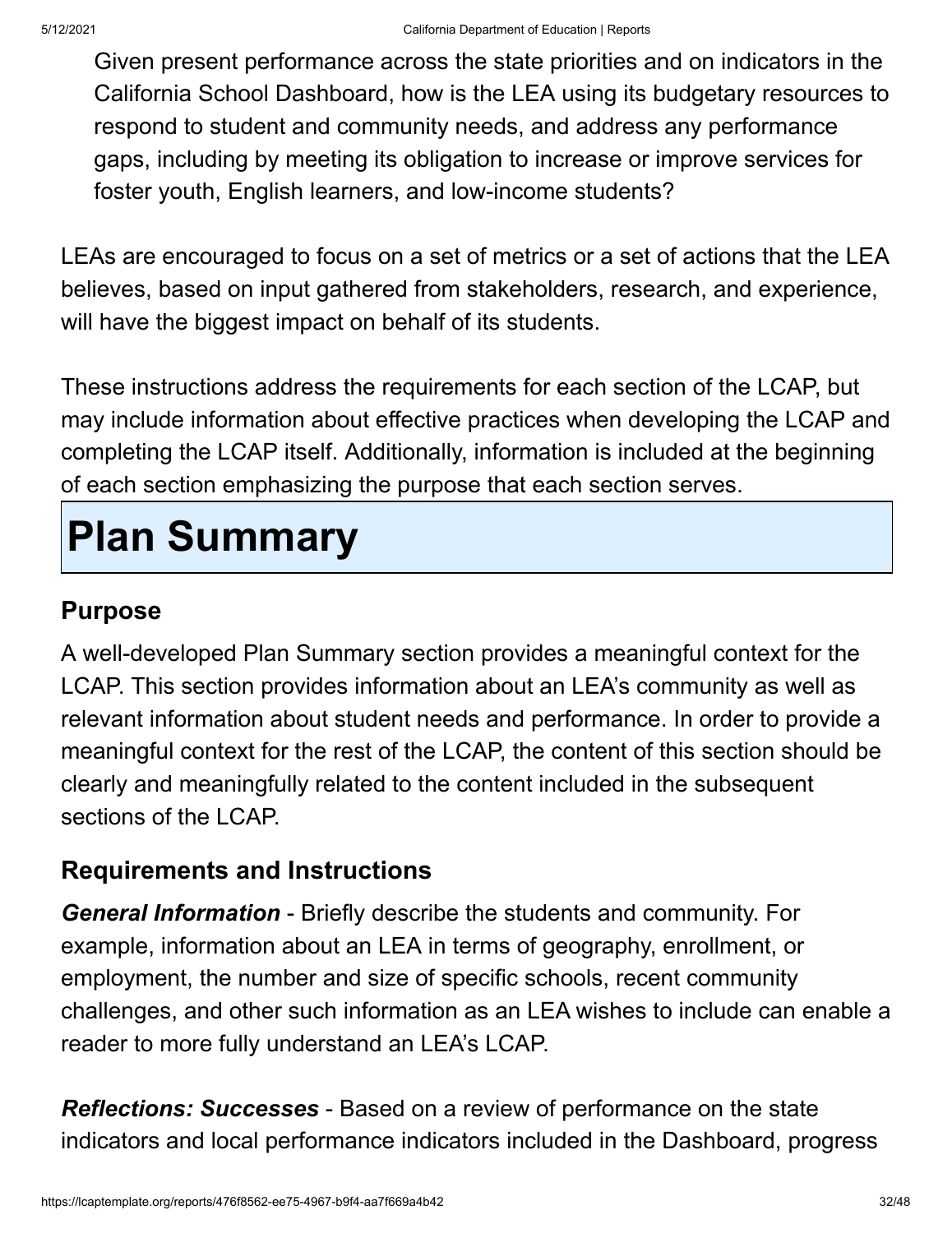Given present performance across the state priorities and on indicators in the California School Dashboard, how is the LEA using its budgetary resources to respond to student and community needs, and address any performance gaps, including by meeting its obligation to increase or improve services for foster youth, English learners, and low-income students?

LEAs are encouraged to focus on a set of metrics or a set of actions that the LEA believes, based on input gathered from stakeholders, research, and experience, will have the biggest impact on behalf of its students.

These instructions address the requirements for each section of the LCAP, but may include information about effective practices when developing the LCAP and completing the LCAP itself. Additionally, information is included at the beginning of each section emphasizing the purpose that each section serves.

# **Plan Summary**

### **Purpose**

A well-developed Plan Summary section provides a meaningful context for the LCAP. This section provides information about an LEA's community as well as relevant information about student needs and performance. In order to provide a meaningful context for the rest of the LCAP, the content of this section should be clearly and meaningfully related to the content included in the subsequent sections of the LCAP.

#### **Requirements and Instructions**

*General Information* - Briefly describe the students and community. For example, information about an LEA in terms of geography, enrollment, or employment, the number and size of specific schools, recent community challenges, and other such information as an LEA wishes to include can enable a reader to more fully understand an LEA's LCAP.

*Reflections: Successes* - Based on a review of performance on the state indicators and local performance indicators included in the Dashboard, progress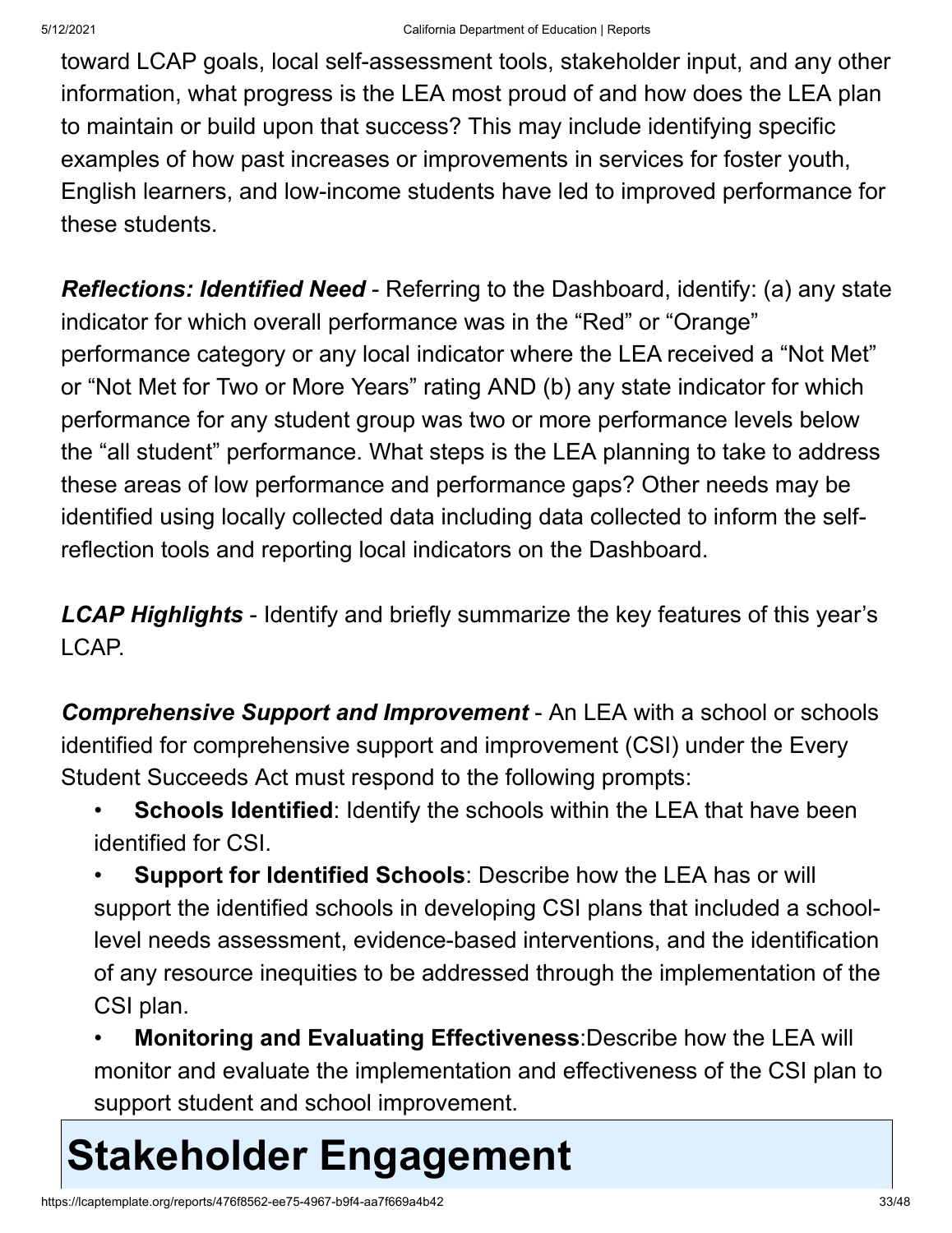toward LCAP goals, local self-assessment tools, stakeholder input, and any other information, what progress is the LEA most proud of and how does the LEA plan to maintain or build upon that success? This may include identifying specific examples of how past increases or improvements in services for foster youth, English learners, and low-income students have led to improved performance for these students.

*Reflections: Identified Need* - Referring to the Dashboard, identify: (a) any state indicator for which overall performance was in the "Red" or "Orange" performance category or any local indicator where the LEA received a "Not Met" or "Not Met for Two or More Years" rating AND (b) any state indicator for which performance for any student group was two or more performance levels below the "all student" performance. What steps is the LEA planning to take to address these areas of low performance and performance gaps? Other needs may be identified using locally collected data including data collected to inform the selfreflection tools and reporting local indicators on the Dashboard.

*LCAP Highlights* - Identify and briefly summarize the key features of this year's LCAP.

**Comprehensive Support and Improvement** - An LEA with a school or schools identified for comprehensive support and improvement (CSI) under the Every Student Succeeds Act must respond to the following prompts:

- **Schools Identified:** Identify the schools within the LEA that have been identified for CSI.
- **Support for Identified Schools**: Describe how the LEA has or will support the identified schools in developing CSI plans that included a schoollevel needs assessment, evidence-based interventions, and the identification of any resource inequities to be addressed through the implementation of the CSI plan.
- **Monitoring and Evaluating Effectiveness**:Describe how the LEA will monitor and evaluate the implementation and effectiveness of the CSI plan to support student and school improvement.

# **Stakeholder Engagement**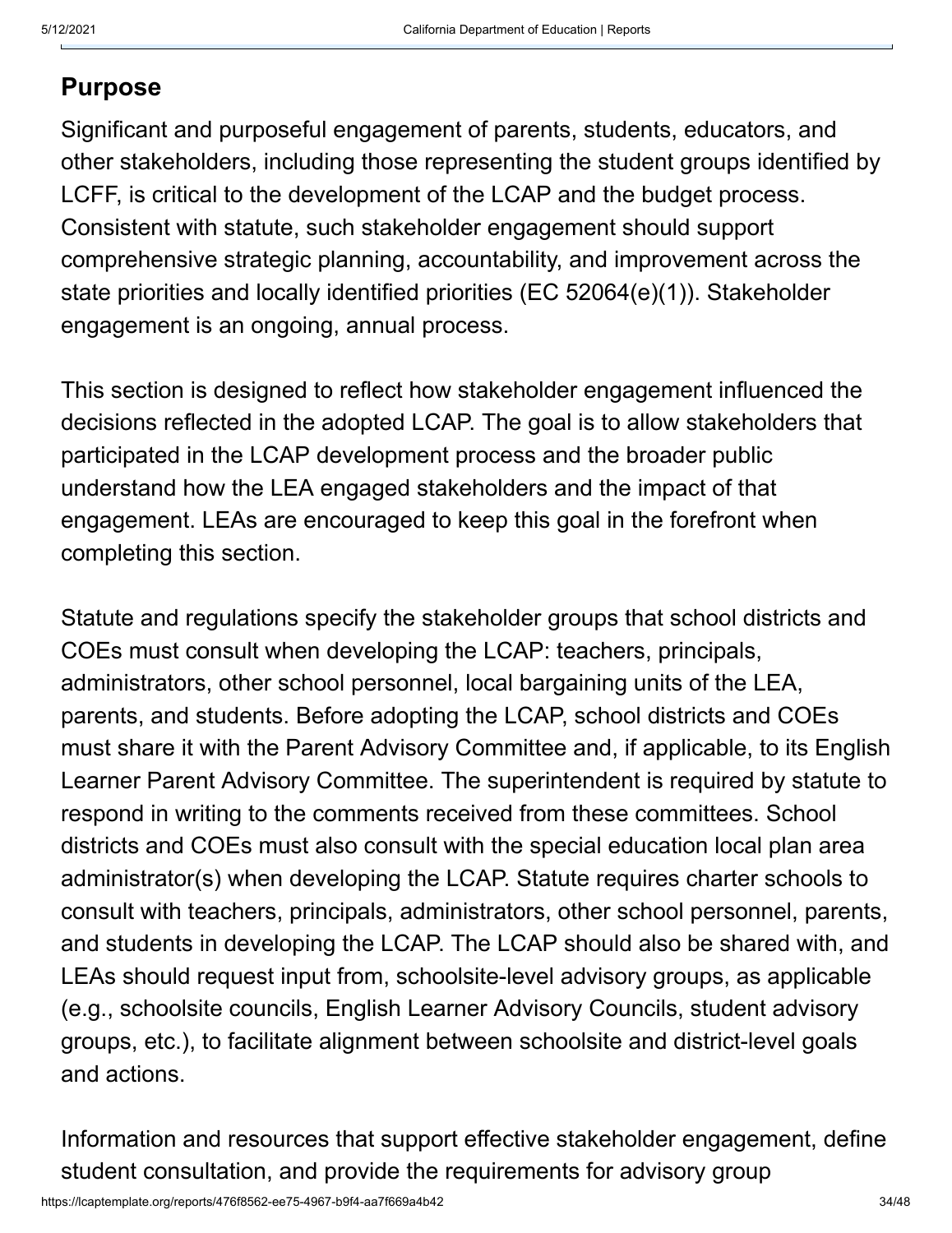#### **Purpose**

Significant and purposeful engagement of parents, students, educators, and other stakeholders, including those representing the student groups identified by LCFF, is critical to the development of the LCAP and the budget process. Consistent with statute, such stakeholder engagement should support comprehensive strategic planning, accountability, and improvement across the state priorities and locally identified priorities (EC 52064(e)(1)). Stakeholder engagement is an ongoing, annual process.

This section is designed to reflect how stakeholder engagement influenced the decisions reflected in the adopted LCAP. The goal is to allow stakeholders that participated in the LCAP development process and the broader public understand how the LEA engaged stakeholders and the impact of that engagement. LEAs are encouraged to keep this goal in the forefront when completing this section.

Statute and regulations specify the stakeholder groups that school districts and COEs must consult when developing the LCAP: teachers, principals, administrators, other school personnel, local bargaining units of the LEA, parents, and students. Before adopting the LCAP, school districts and COEs must share it with the Parent Advisory Committee and, if applicable, to its English Learner Parent Advisory Committee. The superintendent is required by statute to respond in writing to the comments received from these committees. School districts and COEs must also consult with the special education local plan area administrator(s) when developing the LCAP. Statute requires charter schools to consult with teachers, principals, administrators, other school personnel, parents, and students in developing the LCAP. The LCAP should also be shared with, and LEAs should request input from, schoolsite-level advisory groups, as applicable (e.g., schoolsite councils, English Learner Advisory Councils, student advisory groups, etc.), to facilitate alignment between schoolsite and district-level goals and actions.

Information and resources that support effective stakeholder engagement, define student consultation, and provide the requirements for advisory group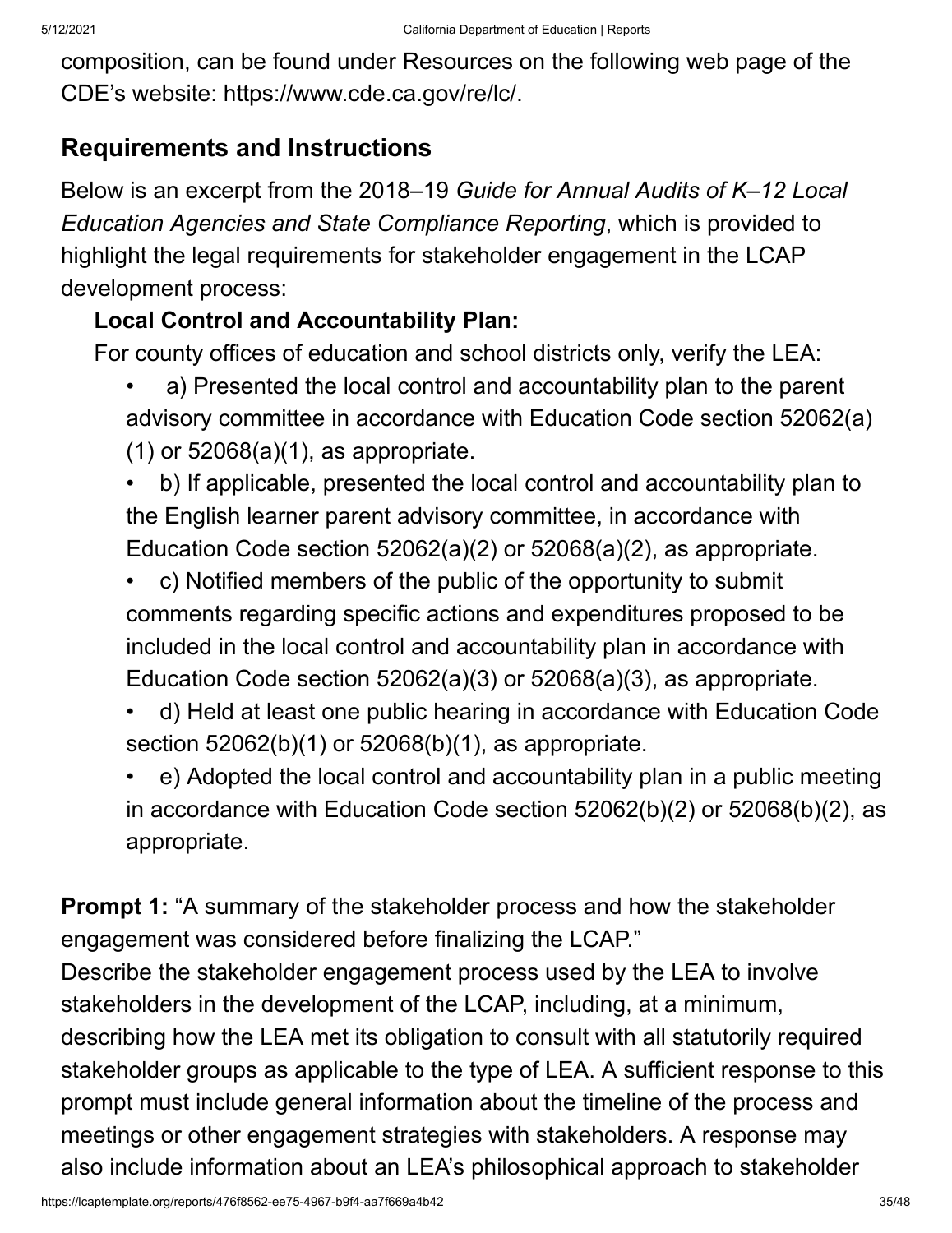composition, can be found under Resources on the following web page of the CDE's website: https://www.cde.ca.gov/re/lc/.

#### **Requirements and Instructions**

Below is an excerpt from the 2018–19 *Guide for Annual Audits of K–12 Local Education Agencies and State Compliance Reporting*, which is provided to highlight the legal requirements for stakeholder engagement in the LCAP development process:

#### **Local Control and Accountability Plan:**

For county offices of education and school districts only, verify the LEA:

- a) Presented the local control and accountability plan to the parent advisory committee in accordance with Education Code section 52062(a) (1) or 52068(a)(1), as appropriate.
- b) If applicable, presented the local control and accountability plan to the English learner parent advisory committee, in accordance with Education Code section 52062(a)(2) or 52068(a)(2), as appropriate.
- c) Notified members of the public of the opportunity to submit comments regarding specific actions and expenditures proposed to be included in the local control and accountability plan in accordance with Education Code section 52062(a)(3) or 52068(a)(3), as appropriate.
- d) Held at least one public hearing in accordance with Education Code section 52062(b)(1) or 52068(b)(1), as appropriate.
- e) Adopted the local control and accountability plan in a public meeting in accordance with Education Code section 52062(b)(2) or 52068(b)(2), as appropriate.

**Prompt 1:** "A summary of the stakeholder process and how the stakeholder engagement was considered before finalizing the LCAP."

Describe the stakeholder engagement process used by the LEA to involve stakeholders in the development of the LCAP, including, at a minimum, describing how the LEA met its obligation to consult with all statutorily required stakeholder groups as applicable to the type of LEA. A sufficient response to this prompt must include general information about the timeline of the process and meetings or other engagement strategies with stakeholders. A response may also include information about an LEA's philosophical approach to stakeholder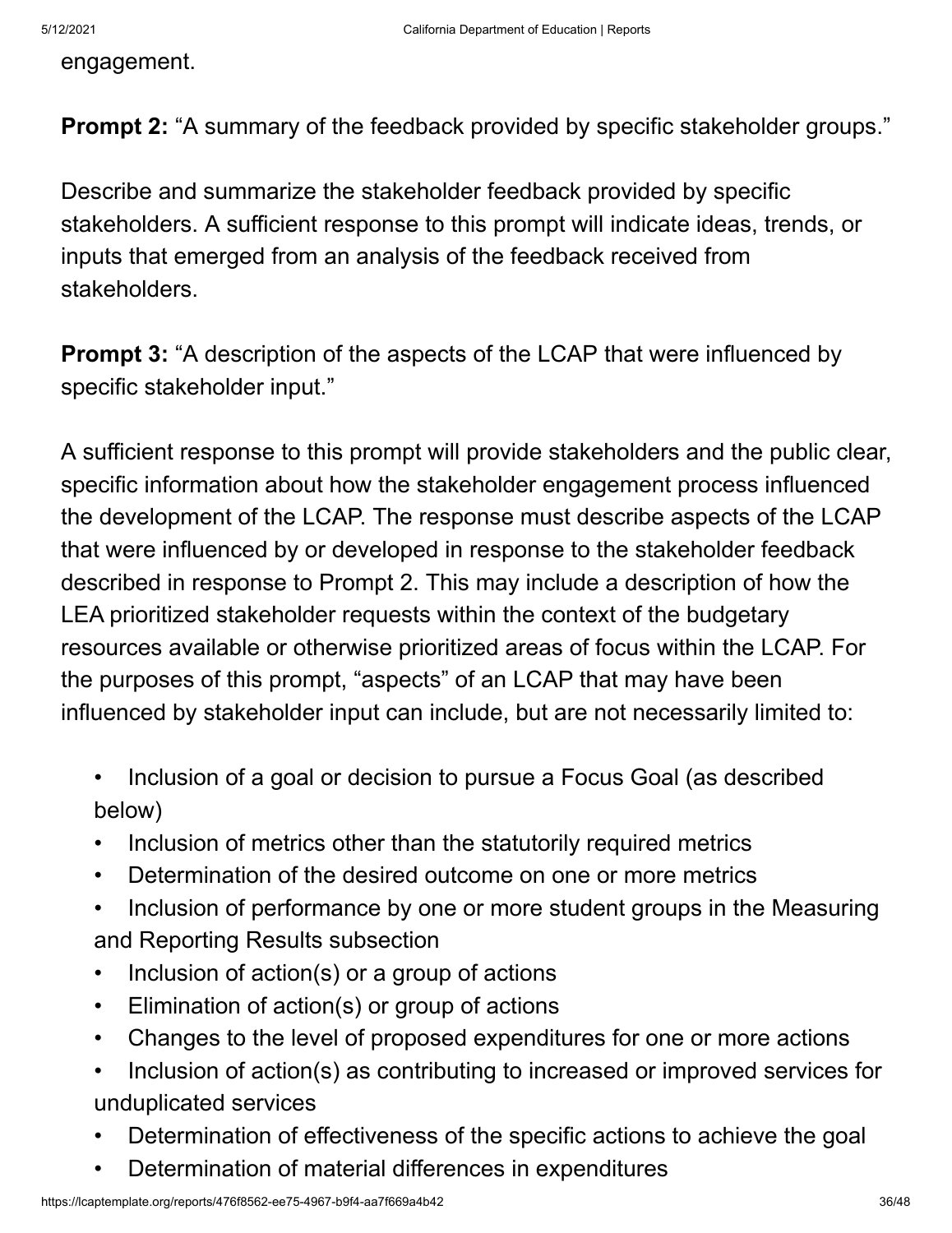engagement.

**Prompt 2:** "A summary of the feedback provided by specific stakeholder groups."

Describe and summarize the stakeholder feedback provided by specific stakeholders. A sufficient response to this prompt will indicate ideas, trends, or inputs that emerged from an analysis of the feedback received from stakeholders.

**Prompt 3:** "A description of the aspects of the LCAP that were influenced by specific stakeholder input."

A sufficient response to this prompt will provide stakeholders and the public clear, specific information about how the stakeholder engagement process influenced the development of the LCAP. The response must describe aspects of the LCAP that were influenced by or developed in response to the stakeholder feedback described in response to Prompt 2. This may include a description of how the LEA prioritized stakeholder requests within the context of the budgetary resources available or otherwise prioritized areas of focus within the LCAP. For the purposes of this prompt, "aspects" of an LCAP that may have been influenced by stakeholder input can include, but are not necessarily limited to:

- Inclusion of a goal or decision to pursue a Focus Goal (as described below)
- Inclusion of metrics other than the statutorily required metrics
- Determination of the desired outcome on one or more metrics
- Inclusion of performance by one or more student groups in the Measuring and Reporting Results subsection
- Inclusion of action(s) or a group of actions
- Elimination of action(s) or group of actions
- Changes to the level of proposed expenditures for one or more actions
- Inclusion of action(s) as contributing to increased or improved services for unduplicated services
- Determination of effectiveness of the specific actions to achieve the goal
- Determination of material differences in expenditures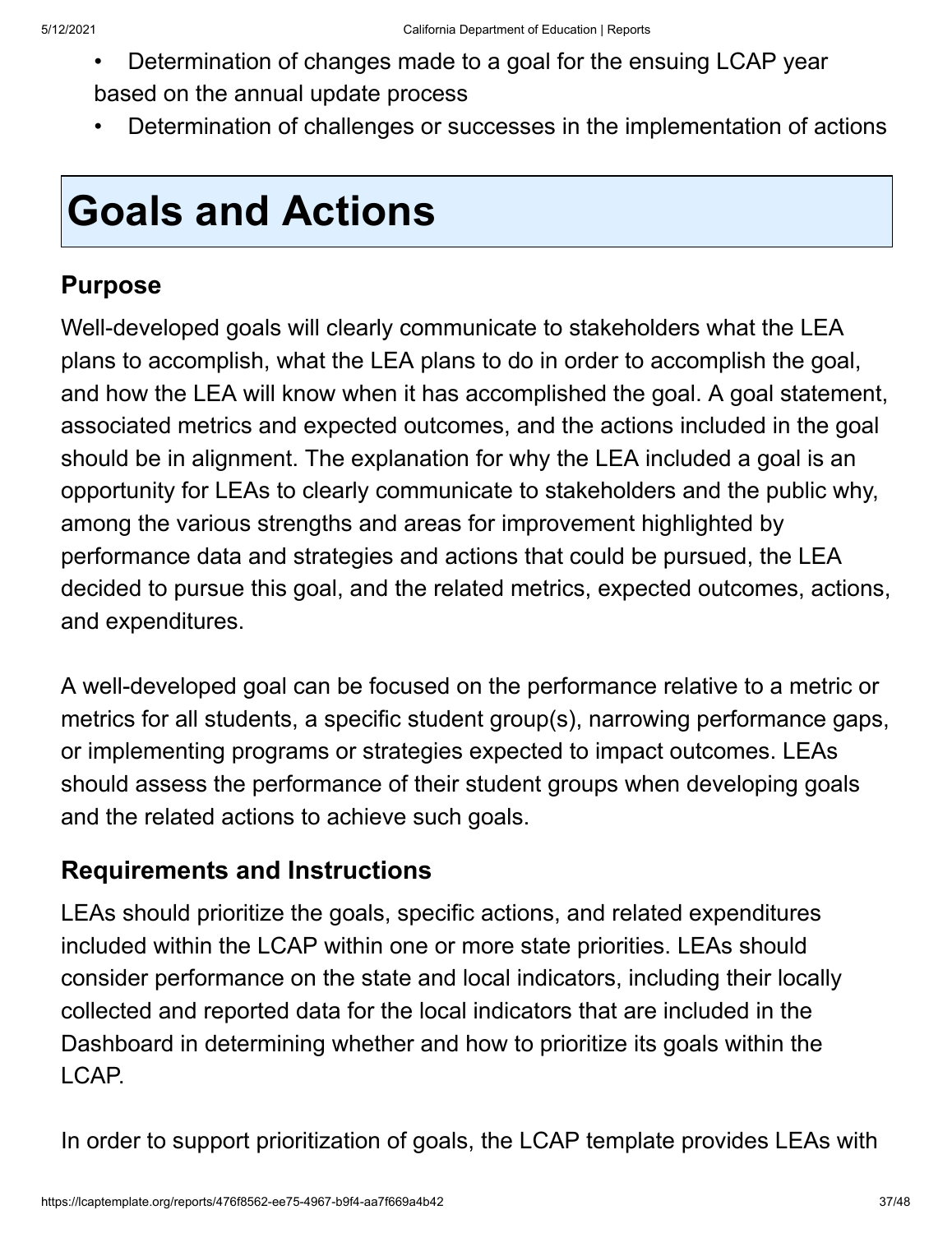- Determination of changes made to a goal for the ensuing LCAP year based on the annual update process
- Determination of challenges or successes in the implementation of actions

# **Goals and Actions**

#### **Purpose**

Well-developed goals will clearly communicate to stakeholders what the LEA plans to accomplish, what the LEA plans to do in order to accomplish the goal, and how the LEA will know when it has accomplished the goal. A goal statement, associated metrics and expected outcomes, and the actions included in the goal should be in alignment. The explanation for why the LEA included a goal is an opportunity for LEAs to clearly communicate to stakeholders and the public why, among the various strengths and areas for improvement highlighted by performance data and strategies and actions that could be pursued, the LEA decided to pursue this goal, and the related metrics, expected outcomes, actions, and expenditures.

A well-developed goal can be focused on the performance relative to a metric or metrics for all students, a specific student group(s), narrowing performance gaps, or implementing programs or strategies expected to impact outcomes. LEAs should assess the performance of their student groups when developing goals and the related actions to achieve such goals.

#### **Requirements and Instructions**

LEAs should prioritize the goals, specific actions, and related expenditures included within the LCAP within one or more state priorities. LEAs should consider performance on the state and local indicators, including their locally collected and reported data for the local indicators that are included in the Dashboard in determining whether and how to prioritize its goals within the LCAP.

In order to support prioritization of goals, the LCAP template provides LEAs with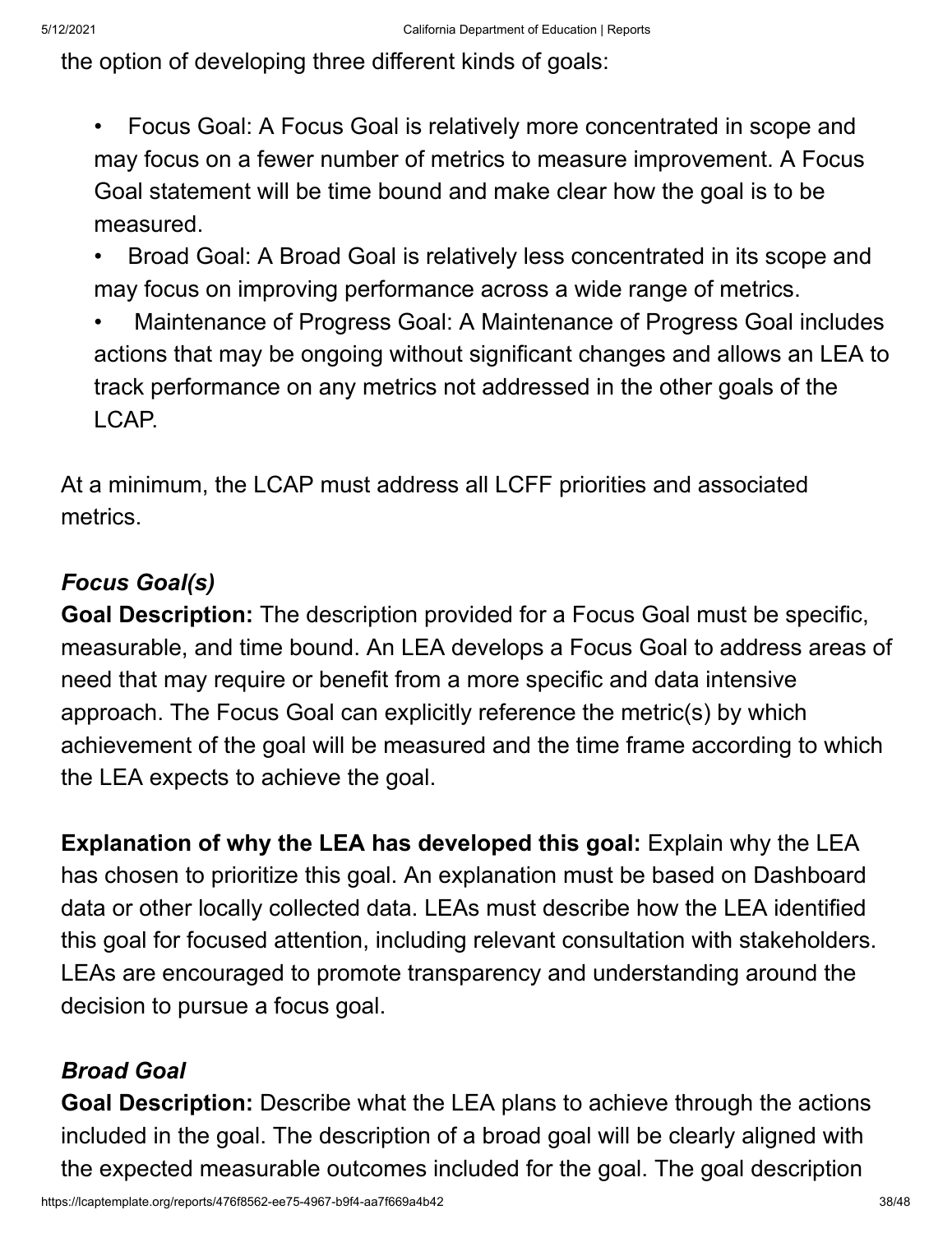the option of developing three different kinds of goals:

- Focus Goal: A Focus Goal is relatively more concentrated in scope and may focus on a fewer number of metrics to measure improvement. A Focus Goal statement will be time bound and make clear how the goal is to be measured.
- Broad Goal: A Broad Goal is relatively less concentrated in its scope and may focus on improving performance across a wide range of metrics.
- Maintenance of Progress Goal: A Maintenance of Progress Goal includes actions that may be ongoing without significant changes and allows an LEA to track performance on any metrics not addressed in the other goals of the LCAP.

At a minimum, the LCAP must address all LCFF priorities and associated metrics.

#### *Focus Goal(s)*

**Goal Description:** The description provided for a Focus Goal must be specific, measurable, and time bound. An LEA develops a Focus Goal to address areas of need that may require or benefit from a more specific and data intensive approach. The Focus Goal can explicitly reference the metric(s) by which achievement of the goal will be measured and the time frame according to which the LEA expects to achieve the goal.

**Explanation of why the LEA has developed this goal:** Explain why the LEA has chosen to prioritize this goal. An explanation must be based on Dashboard data or other locally collected data. LEAs must describe how the LEA identified this goal for focused attention, including relevant consultation with stakeholders. LEAs are encouraged to promote transparency and understanding around the decision to pursue a focus goal.

#### *Broad Goal*

**Goal Description:** Describe what the LEA plans to achieve through the actions included in the goal. The description of a broad goal will be clearly aligned with the expected measurable outcomes included for the goal. The goal description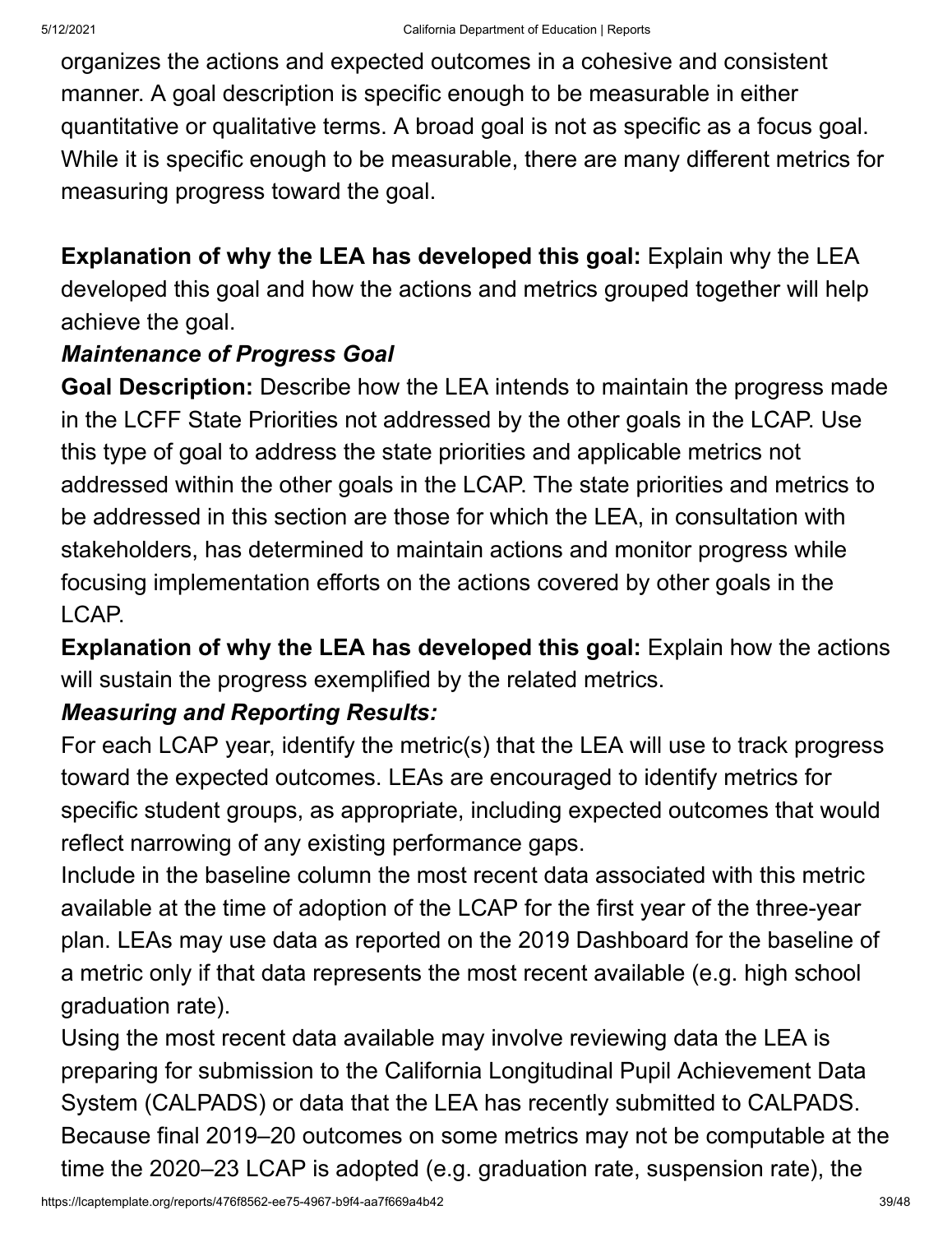organizes the actions and expected outcomes in a cohesive and consistent manner. A goal description is specific enough to be measurable in either quantitative or qualitative terms. A broad goal is not as specific as a focus goal. While it is specific enough to be measurable, there are many different metrics for measuring progress toward the goal.

**Explanation of why the LEA has developed this goal:** Explain why the LEA developed this goal and how the actions and metrics grouped together will help achieve the goal.

#### *Maintenance of Progress Goal*

**Goal Description:** Describe how the LEA intends to maintain the progress made in the LCFF State Priorities not addressed by the other goals in the LCAP. Use this type of goal to address the state priorities and applicable metrics not addressed within the other goals in the LCAP. The state priorities and metrics to be addressed in this section are those for which the LEA, in consultation with stakeholders, has determined to maintain actions and monitor progress while focusing implementation efforts on the actions covered by other goals in the LCAP.

**Explanation of why the LEA has developed this goal:** Explain how the actions will sustain the progress exemplified by the related metrics.

#### *Measuring and Reporting Results:*

For each LCAP year, identify the metric(s) that the LEA will use to track progress toward the expected outcomes. LEAs are encouraged to identify metrics for specific student groups, as appropriate, including expected outcomes that would reflect narrowing of any existing performance gaps.

Include in the baseline column the most recent data associated with this metric available at the time of adoption of the LCAP for the first year of the three-year plan. LEAs may use data as reported on the 2019 Dashboard for the baseline of a metric only if that data represents the most recent available (e.g. high school graduation rate).

Using the most recent data available may involve reviewing data the LEA is preparing for submission to the California Longitudinal Pupil Achievement Data System (CALPADS) or data that the LEA has recently submitted to CALPADS. Because final 2019–20 outcomes on some metrics may not be computable at the time the 2020–23 LCAP is adopted (e.g. graduation rate, suspension rate), the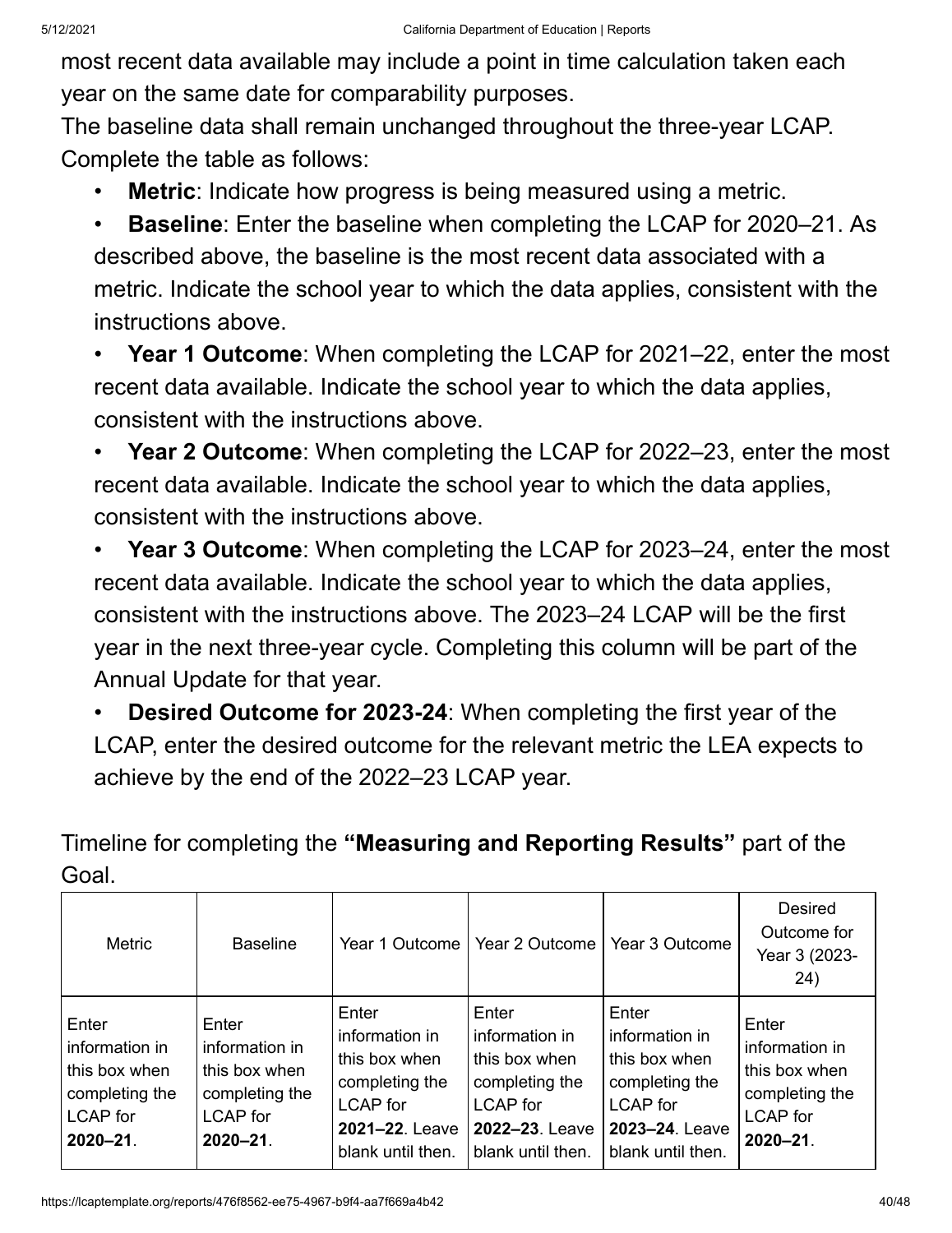most recent data available may include a point in time calculation taken each year on the same date for comparability purposes.

The baseline data shall remain unchanged throughout the three-year LCAP. Complete the table as follows:

- **Metric**: Indicate how progress is being measured using a metric.
- **Baseline**: Enter the baseline when completing the LCAP for 2020–21. As described above, the baseline is the most recent data associated with a metric. Indicate the school year to which the data applies, consistent with the instructions above.

• **Year 1 Outcome**: When completing the LCAP for 2021–22, enter the most recent data available. Indicate the school year to which the data applies, consistent with the instructions above.

• **Year 2 Outcome**: When completing the LCAP for 2022–23, enter the most recent data available. Indicate the school year to which the data applies, consistent with the instructions above.

• **Year 3 Outcome**: When completing the LCAP for 2023–24, enter the most recent data available. Indicate the school year to which the data applies, consistent with the instructions above. The 2023–24 LCAP will be the first year in the next three-year cycle. Completing this column will be part of the Annual Update for that year.

• **Desired Outcome for 2023-24**: When completing the first year of the LCAP, enter the desired outcome for the relevant metric the LEA expects to achieve by the end of the 2022–23 LCAP year.

Timeline for completing the **"Measuring and Reporting Results"** part of the Goal.

| Metric                                                                                         | <b>Baseline</b>                                                                                | Year 1 Outcome I                                                                                                     | Year 2 Outcome                                                                                                       | Year 3 Outcome                                                                                                       | <b>Desired</b><br>Outcome for<br>Year 3 (2023-<br>24)                                          |
|------------------------------------------------------------------------------------------------|------------------------------------------------------------------------------------------------|----------------------------------------------------------------------------------------------------------------------|----------------------------------------------------------------------------------------------------------------------|----------------------------------------------------------------------------------------------------------------------|------------------------------------------------------------------------------------------------|
| Enter<br>information in<br>this box when<br>completing the<br><b>LCAP</b> for<br>$2020 - 21$ . | Enter<br>information in<br>this box when<br>completing the<br><b>LCAP</b> for<br>$2020 - 21$ . | Enter<br>information in<br>this box when<br>completing the<br><b>LCAP</b> for<br>2021-22. Leave<br>blank until then. | Enter<br>information in<br>this box when<br>completing the<br><b>LCAP</b> for<br>2022-23. Leave<br>blank until then. | Enter<br>information in<br>this box when<br>completing the<br><b>LCAP</b> for<br>2023-24. Leave<br>blank until then. | Enter<br>information in<br>this box when<br>completing the<br><b>LCAP</b> for<br>$2020 - 21$ . |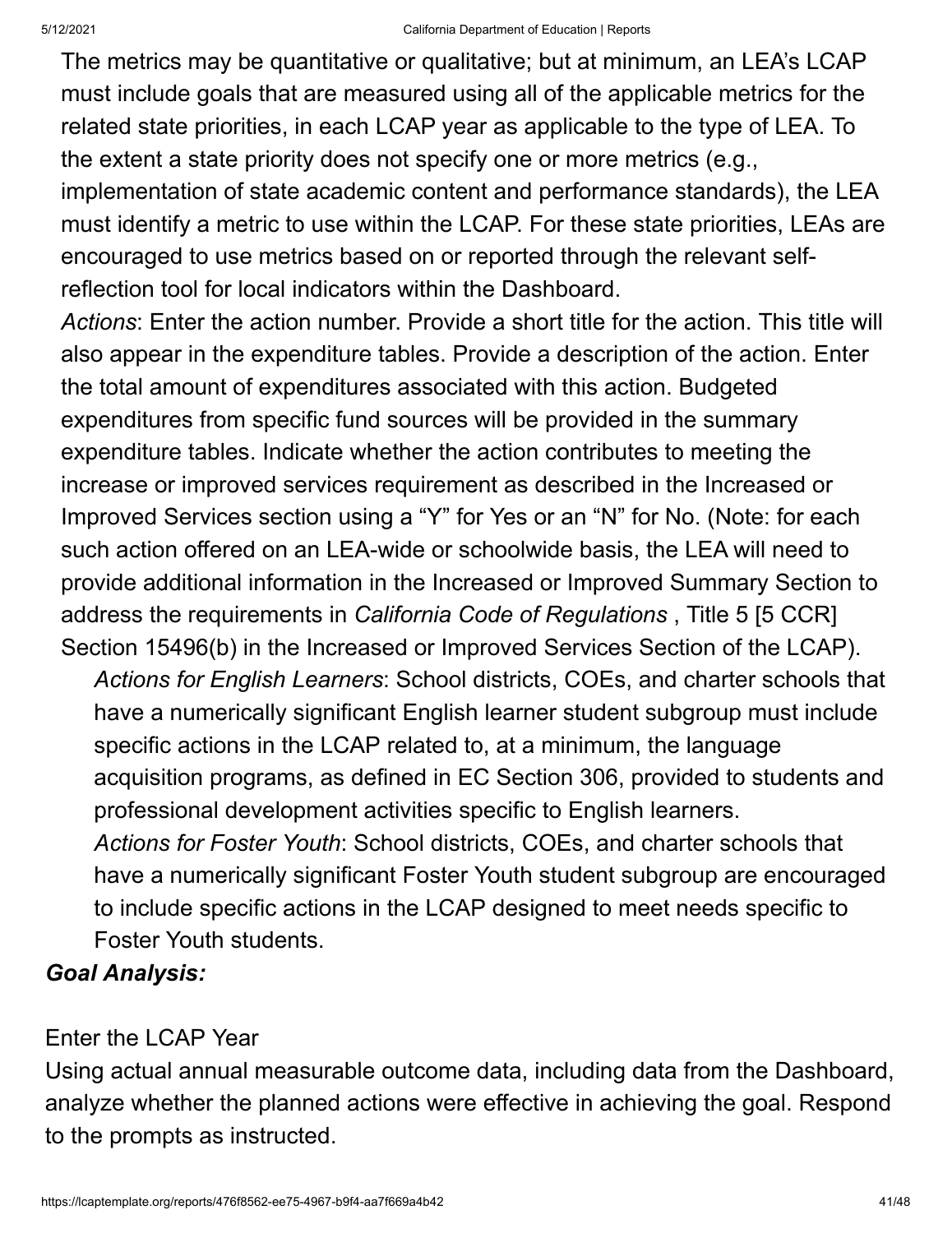The metrics may be quantitative or qualitative; but at minimum, an LEA's LCAP must include goals that are measured using all of the applicable metrics for the related state priorities, in each LCAP year as applicable to the type of LEA. To the extent a state priority does not specify one or more metrics (e.g., implementation of state academic content and performance standards), the LEA must identify a metric to use within the LCAP. For these state priorities, LEAs are encouraged to use metrics based on or reported through the relevant selfreflection tool for local indicators within the Dashboard.

*Actions*: Enter the action number. Provide a short title for the action. This title will also appear in the expenditure tables. Provide a description of the action. Enter the total amount of expenditures associated with this action. Budgeted expenditures from specific fund sources will be provided in the summary expenditure tables. Indicate whether the action contributes to meeting the increase or improved services requirement as described in the Increased or Improved Services section using a "Y" for Yes or an "N" for No. (Note: for each such action offered on an LEA-wide or schoolwide basis, the LEA will need to provide additional information in the Increased or Improved Summary Section to address the requirements in *California Code of Regulations* , Title 5 [5 CCR] Section 15496(b) in the Increased or Improved Services Section of the LCAP).

*Actions for English Learners*: School districts, COEs, and charter schools that have a numerically significant English learner student subgroup must include specific actions in the LCAP related to, at a minimum, the language acquisition programs, as defined in EC Section 306, provided to students and professional development activities specific to English learners. *Actions for Foster Youth*: School districts, COEs, and charter schools that have a numerically significant Foster Youth student subgroup are encouraged to include specific actions in the LCAP designed to meet needs specific to Foster Youth students.

#### *Goal Analysis:*

#### Enter the LCAP Year

Using actual annual measurable outcome data, including data from the Dashboard, analyze whether the planned actions were effective in achieving the goal. Respond to the prompts as instructed.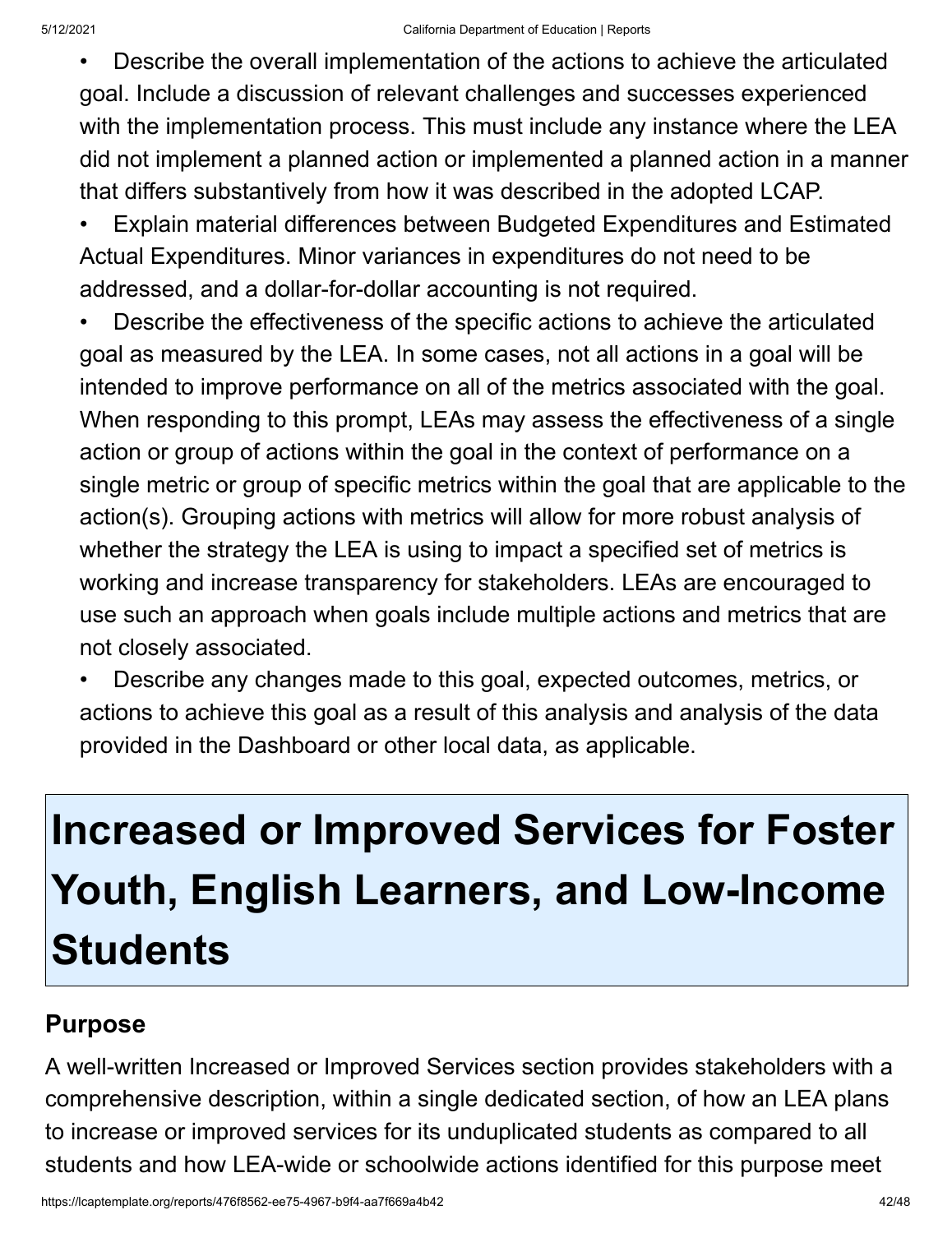• Describe the overall implementation of the actions to achieve the articulated goal. Include a discussion of relevant challenges and successes experienced with the implementation process. This must include any instance where the LEA did not implement a planned action or implemented a planned action in a manner that differs substantively from how it was described in the adopted LCAP.

• Explain material differences between Budgeted Expenditures and Estimated Actual Expenditures. Minor variances in expenditures do not need to be addressed, and a dollar-for-dollar accounting is not required.

• Describe the effectiveness of the specific actions to achieve the articulated goal as measured by the LEA. In some cases, not all actions in a goal will be intended to improve performance on all of the metrics associated with the goal. When responding to this prompt, LEAs may assess the effectiveness of a single action or group of actions within the goal in the context of performance on a single metric or group of specific metrics within the goal that are applicable to the action(s). Grouping actions with metrics will allow for more robust analysis of whether the strategy the LEA is using to impact a specified set of metrics is working and increase transparency for stakeholders. LEAs are encouraged to use such an approach when goals include multiple actions and metrics that are not closely associated.

• Describe any changes made to this goal, expected outcomes, metrics, or actions to achieve this goal as a result of this analysis and analysis of the data provided in the Dashboard or other local data, as applicable.

# **Increased or Improved Services for Foster Youth, English Learners, and Low-Income Students**

#### **Purpose**

A well-written Increased or Improved Services section provides stakeholders with a comprehensive description, within a single dedicated section, of how an LEA plans to increase or improved services for its unduplicated students as compared to all students and how LEA-wide or schoolwide actions identified for this purpose meet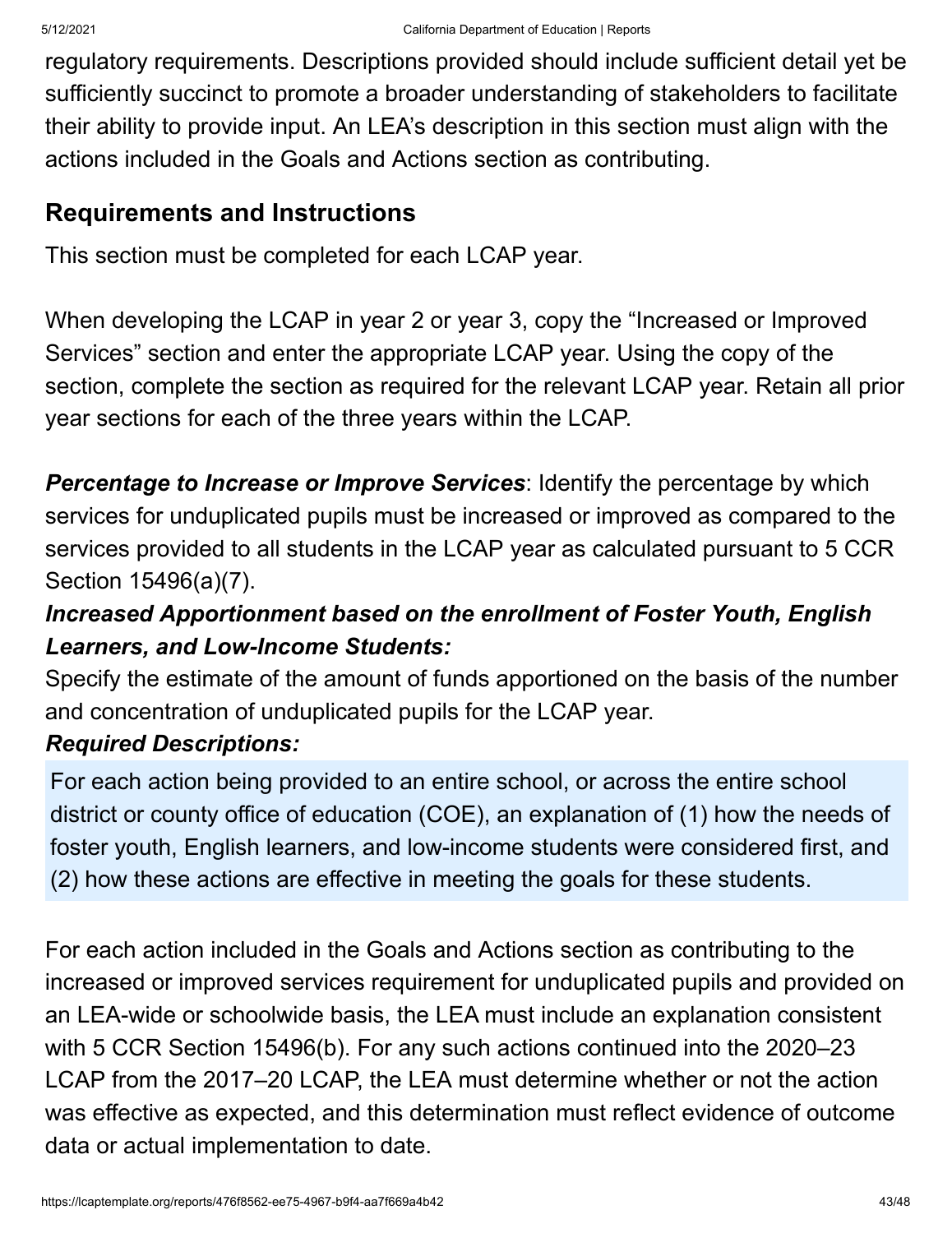regulatory requirements. Descriptions provided should include sufficient detail yet be sufficiently succinct to promote a broader understanding of stakeholders to facilitate their ability to provide input. An LEA's description in this section must align with the actions included in the Goals and Actions section as contributing.

#### **Requirements and Instructions**

This section must be completed for each LCAP year.

When developing the LCAP in year 2 or year 3, copy the "Increased or Improved Services" section and enter the appropriate LCAP year. Using the copy of the section, complete the section as required for the relevant LCAP year. Retain all prior year sections for each of the three years within the LCAP.

**Percentage to Increase or Improve Services:** Identify the percentage by which services for unduplicated pupils must be increased or improved as compared to the services provided to all students in the LCAP year as calculated pursuant to 5 CCR Section 15496(a)(7).

#### *Increased Apportionment based on the enrollment of Foster Youth, English Learners, and Low-Income Students:*

Specify the estimate of the amount of funds apportioned on the basis of the number and concentration of unduplicated pupils for the LCAP year.

#### *Required Descriptions:*

For each action being provided to an entire school, or across the entire school district or county office of education (COE), an explanation of (1) how the needs of foster youth, English learners, and low-income students were considered first, and (2) how these actions are effective in meeting the goals for these students.

For each action included in the Goals and Actions section as contributing to the increased or improved services requirement for unduplicated pupils and provided on an LEA-wide or schoolwide basis, the LEA must include an explanation consistent with 5 CCR Section 15496(b). For any such actions continued into the 2020–23 LCAP from the 2017–20 LCAP, the LEA must determine whether or not the action was effective as expected, and this determination must reflect evidence of outcome data or actual implementation to date.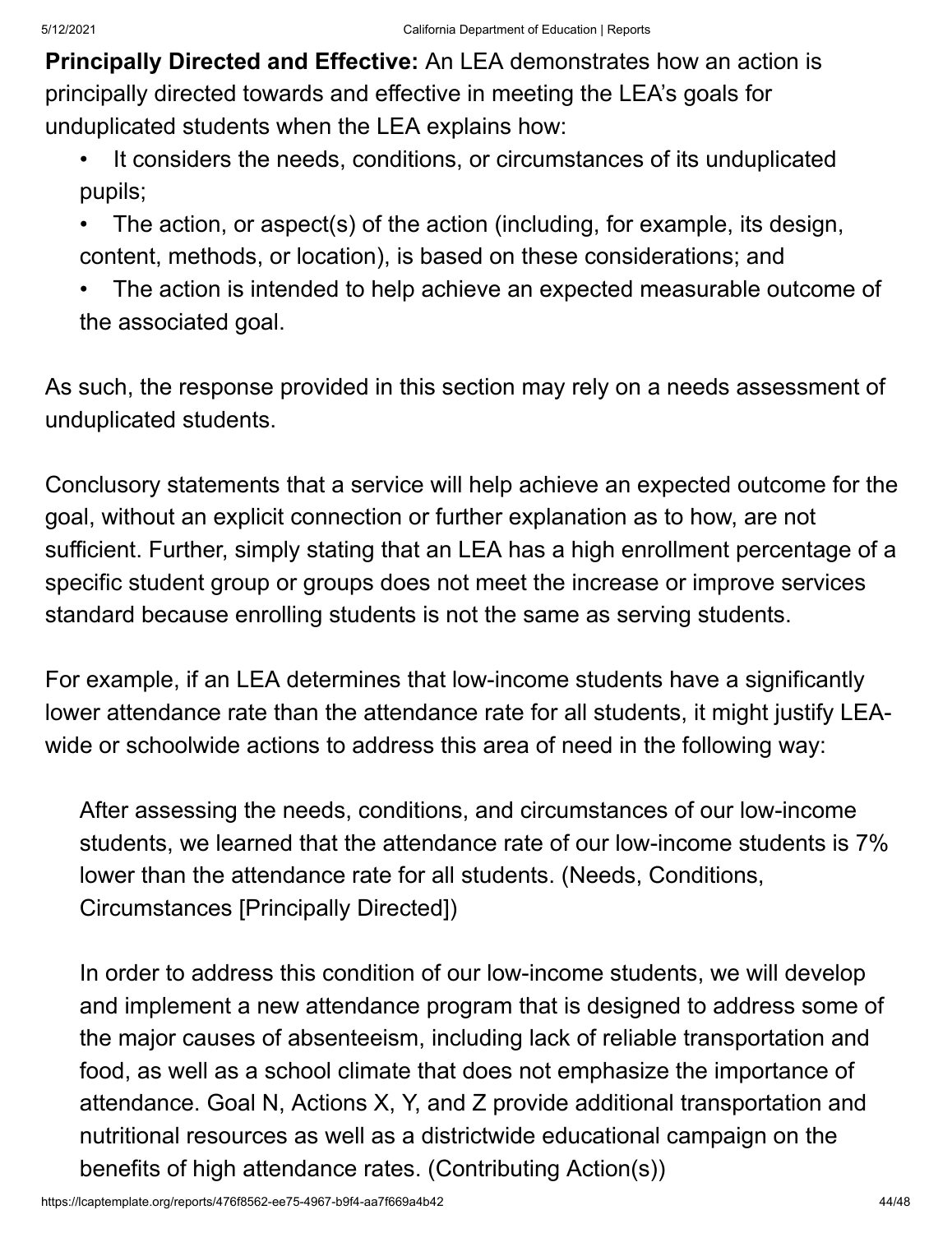**Principally Directed and Effective:** An LEA demonstrates how an action is principally directed towards and effective in meeting the LEA's goals for unduplicated students when the LEA explains how:

- It considers the needs, conditions, or circumstances of its unduplicated pupils;
- The action, or aspect(s) of the action (including, for example, its design, content, methods, or location), is based on these considerations; and
- The action is intended to help achieve an expected measurable outcome of the associated goal.

As such, the response provided in this section may rely on a needs assessment of unduplicated students.

Conclusory statements that a service will help achieve an expected outcome for the goal, without an explicit connection or further explanation as to how, are not sufficient. Further, simply stating that an LEA has a high enrollment percentage of a specific student group or groups does not meet the increase or improve services standard because enrolling students is not the same as serving students.

For example, if an LEA determines that low-income students have a significantly lower attendance rate than the attendance rate for all students, it might justify LEAwide or schoolwide actions to address this area of need in the following way:

After assessing the needs, conditions, and circumstances of our low-income students, we learned that the attendance rate of our low-income students is 7% lower than the attendance rate for all students. (Needs, Conditions, Circumstances [Principally Directed])

In order to address this condition of our low-income students, we will develop and implement a new attendance program that is designed to address some of the major causes of absenteeism, including lack of reliable transportation and food, as well as a school climate that does not emphasize the importance of attendance. Goal N, Actions X, Y, and Z provide additional transportation and nutritional resources as well as a districtwide educational campaign on the benefits of high attendance rates. (Contributing Action(s))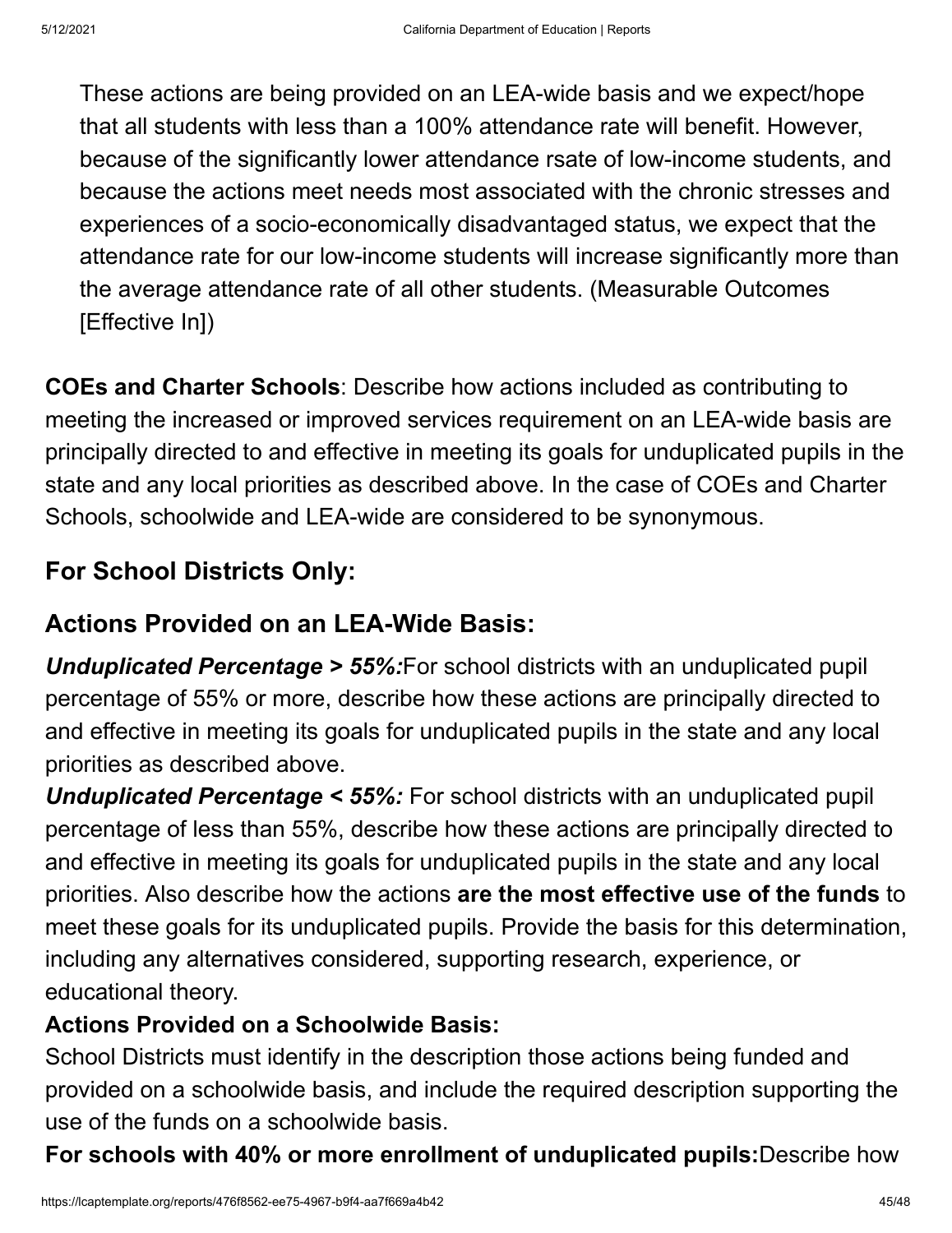These actions are being provided on an LEA-wide basis and we expect/hope that all students with less than a 100% attendance rate will benefit. However, because of the significantly lower attendance rsate of low-income students, and because the actions meet needs most associated with the chronic stresses and experiences of a socio-economically disadvantaged status, we expect that the attendance rate for our low-income students will increase significantly more than the average attendance rate of all other students. (Measurable Outcomes [Effective In])

**COEs and Charter Schools**: Describe how actions included as contributing to meeting the increased or improved services requirement on an LEA-wide basis are principally directed to and effective in meeting its goals for unduplicated pupils in the state and any local priorities as described above. In the case of COEs and Charter Schools, schoolwide and LEA-wide are considered to be synonymous.

### **For School Districts Only:**

### **Actions Provided on an LEA-Wide Basis:**

*Unduplicated Percentage > 55%:*For school districts with an unduplicated pupil percentage of 55% or more, describe how these actions are principally directed to and effective in meeting its goals for unduplicated pupils in the state and any local priorities as described above.

*Unduplicated Percentage < 55%:* For school districts with an unduplicated pupil percentage of less than 55%, describe how these actions are principally directed to and effective in meeting its goals for unduplicated pupils in the state and any local priorities. Also describe how the actions **are the most effective use of the funds** to meet these goals for its unduplicated pupils. Provide the basis for this determination, including any alternatives considered, supporting research, experience, or educational theory.

#### **Actions Provided on a Schoolwide Basis:**

School Districts must identify in the description those actions being funded and provided on a schoolwide basis, and include the required description supporting the use of the funds on a schoolwide basis.

**For schools with 40% or more enrollment of unduplicated pupils:**Describe how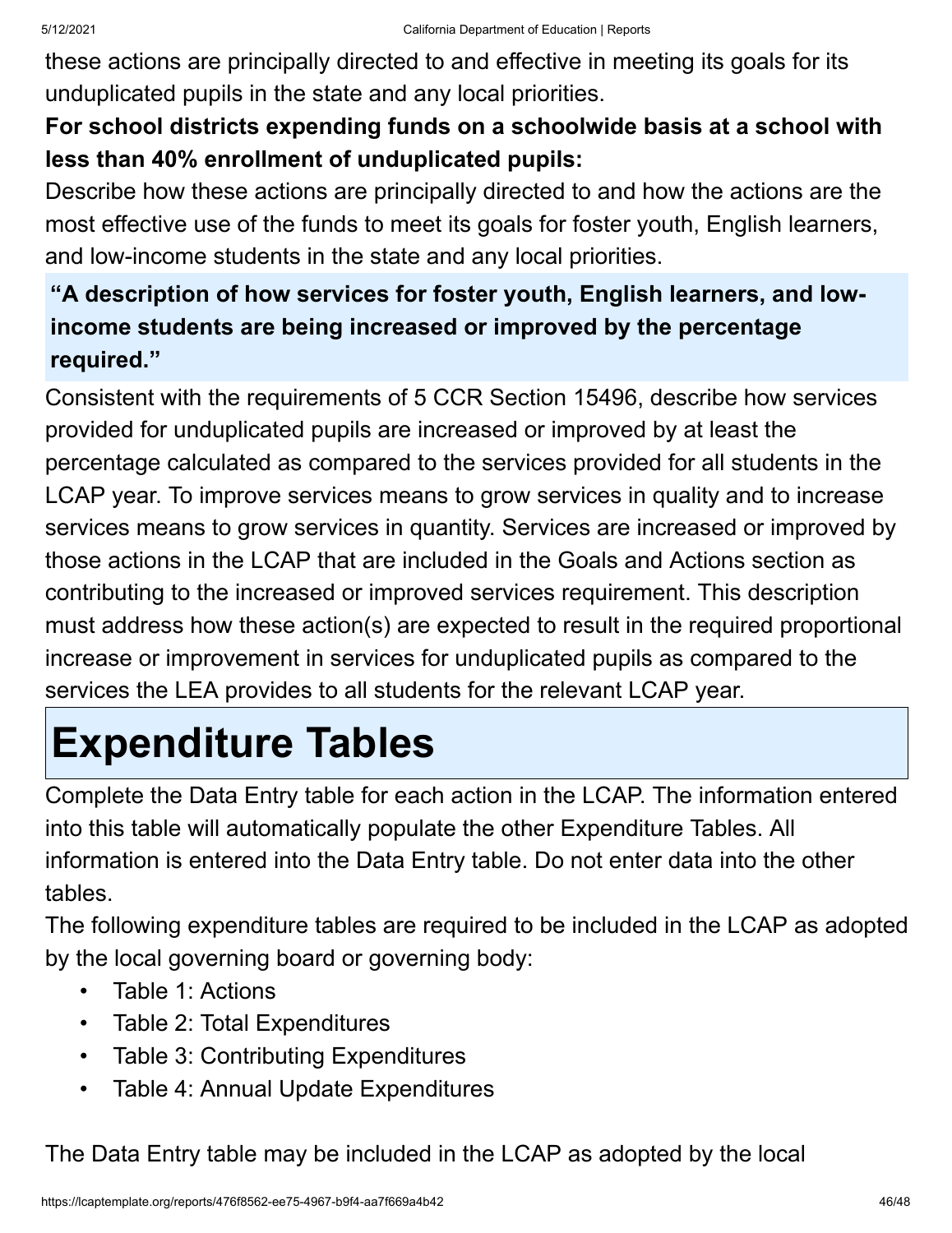these actions are principally directed to and effective in meeting its goals for its unduplicated pupils in the state and any local priorities.

#### **For school districts expending funds on a schoolwide basis at a school with less than 40% enrollment of unduplicated pupils:**

Describe how these actions are principally directed to and how the actions are the most effective use of the funds to meet its goals for foster youth, English learners, and low-income students in the state and any local priorities.

#### **"A description of how services for foster youth, English learners, and lowincome students are being increased or improved by the percentage required."**

Consistent with the requirements of 5 CCR Section 15496, describe how services provided for unduplicated pupils are increased or improved by at least the percentage calculated as compared to the services provided for all students in the LCAP year. To improve services means to grow services in quality and to increase services means to grow services in quantity. Services are increased or improved by those actions in the LCAP that are included in the Goals and Actions section as contributing to the increased or improved services requirement. This description must address how these action(s) are expected to result in the required proportional increase or improvement in services for unduplicated pupils as compared to the services the LEA provides to all students for the relevant LCAP year.

# **Expenditure Tables**

Complete the Data Entry table for each action in the LCAP. The information entered into this table will automatically populate the other Expenditure Tables. All information is entered into the Data Entry table. Do not enter data into the other tables.

The following expenditure tables are required to be included in the LCAP as adopted by the local governing board or governing body:

- Table 1: Actions
- Table 2: Total Expenditures
- Table 3: Contributing Expenditures
- Table 4: Annual Update Expenditures

The Data Entry table may be included in the LCAP as adopted by the local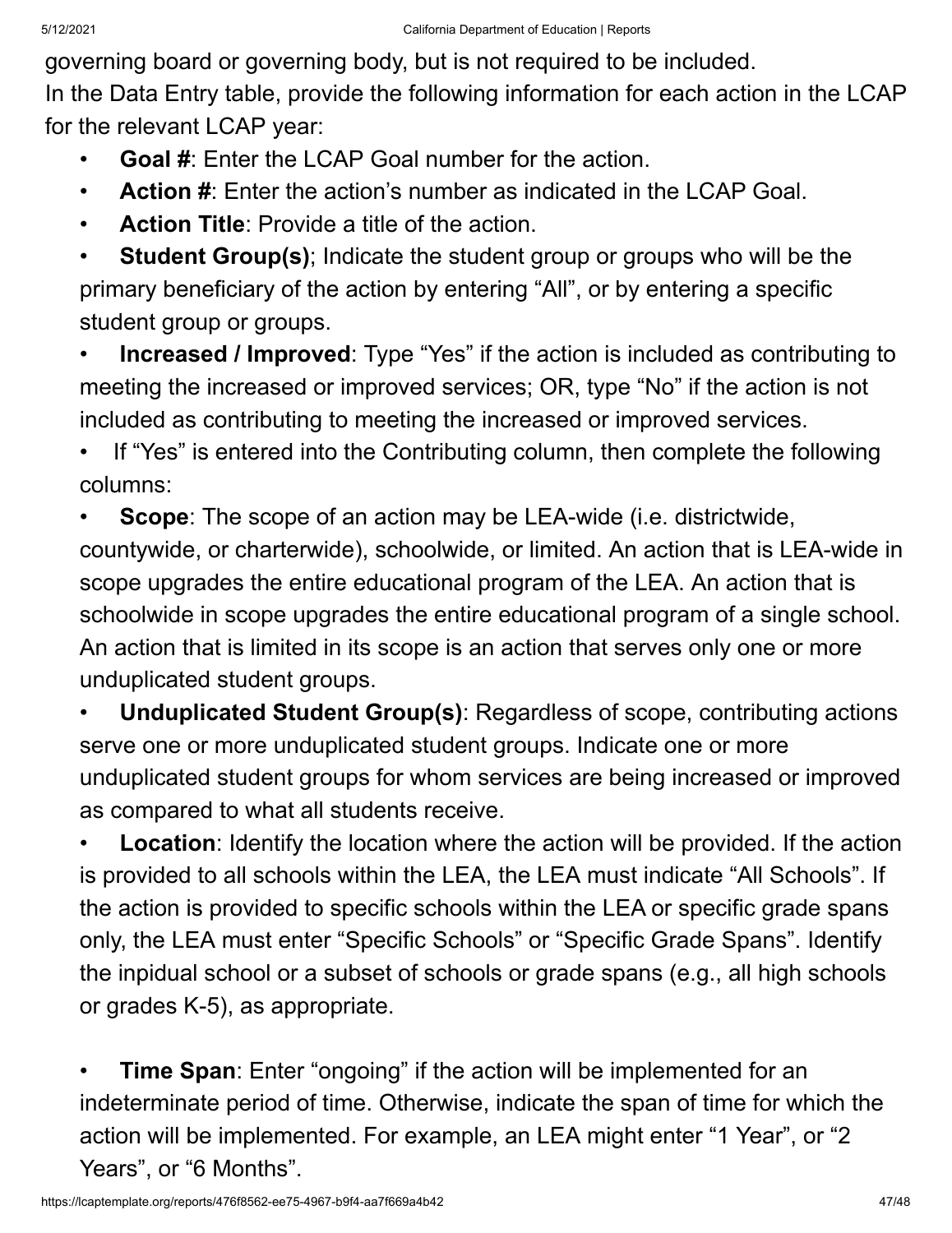governing board or governing body, but is not required to be included.

In the Data Entry table, provide the following information for each action in the LCAP for the relevant LCAP year:

**Goal #:** Enter the LCAP Goal number for the action.

• **Action #**: Enter the action's number as indicated in the LCAP Goal.

**Action Title:** Provide a title of the action.

**Student Group(s)**; Indicate the student group or groups who will be the primary beneficiary of the action by entering "All", or by entering a specific student group or groups.

• **Increased / Improved**: Type "Yes" if the action is included as contributing to meeting the increased or improved services; OR, type "No" if the action is not included as contributing to meeting the increased or improved services.

• If "Yes" is entered into the Contributing column, then complete the following columns:

**Scope**: The scope of an action may be LEA-wide (i.e. districtwide, countywide, or charterwide), schoolwide, or limited. An action that is LEA-wide in scope upgrades the entire educational program of the LEA. An action that is schoolwide in scope upgrades the entire educational program of a single school. An action that is limited in its scope is an action that serves only one or more unduplicated student groups.

• **Unduplicated Student Group(s)**: Regardless of scope, contributing actions serve one or more unduplicated student groups. Indicate one or more unduplicated student groups for whom services are being increased or improved as compared to what all students receive.

**Location**: Identify the location where the action will be provided. If the action is provided to all schools within the LEA, the LEA must indicate "All Schools". If the action is provided to specific schools within the LEA or specific grade spans only, the LEA must enter "Specific Schools" or "Specific Grade Spans". Identify the inpidual school or a subset of schools or grade spans (e.g., all high schools or grades K-5), as appropriate.

• **Time Span**: Enter "ongoing" if the action will be implemented for an indeterminate period of time. Otherwise, indicate the span of time for which the action will be implemented. For example, an LEA might enter "1 Year", or "2 Years", or "6 Months".